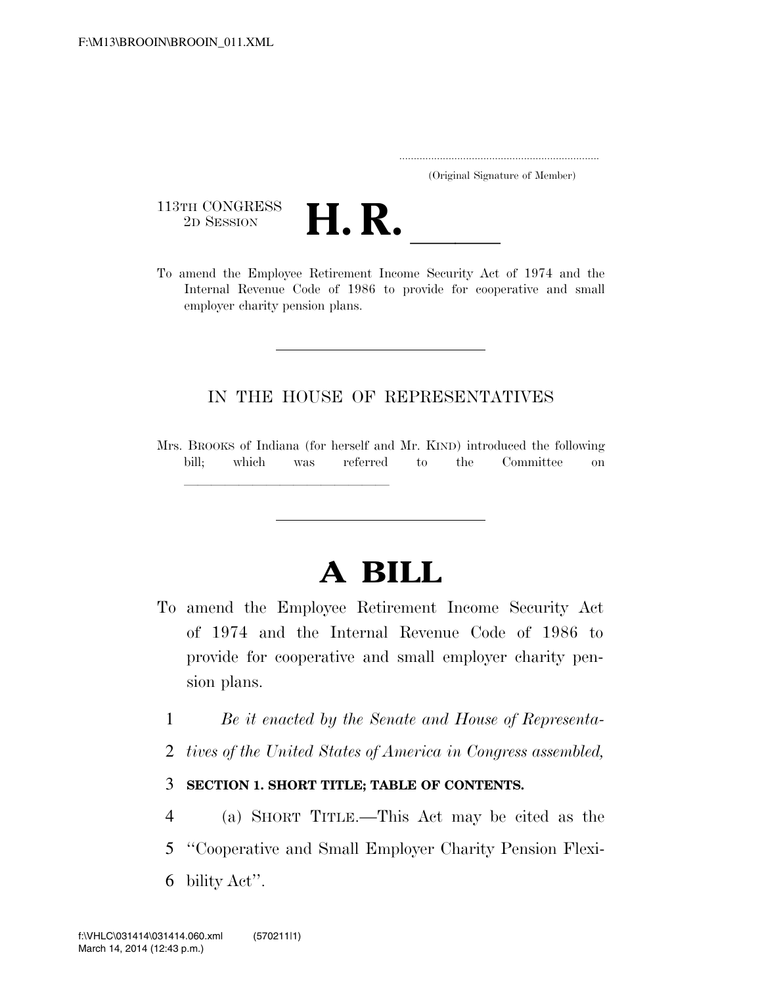..................................................................... (Original Signature of Member)

113TH CONGRESS



To amend the Employee Retirement Income Security Act of 1974 and the Internal Revenue Code of 1986 to provide for cooperative and small employer charity pension plans.

## IN THE HOUSE OF REPRESENTATIVES

Mrs. BROOKS of Indiana (for herself and Mr. KIND) introduced the following bill; which was referred to the Committee on

# **A BILL**

- To amend the Employee Retirement Income Security Act of 1974 and the Internal Revenue Code of 1986 to provide for cooperative and small employer charity pension plans.
	- 1 *Be it enacted by the Senate and House of Representa-*
	- 2 *tives of the United States of America in Congress assembled,*

## 3 **SECTION 1. SHORT TITLE; TABLE OF CONTENTS.**

- 4 (a) SHORT TITLE.—This Act may be cited as the
- 5 ''Cooperative and Small Employer Charity Pension Flexi-
- 6 bility Act''.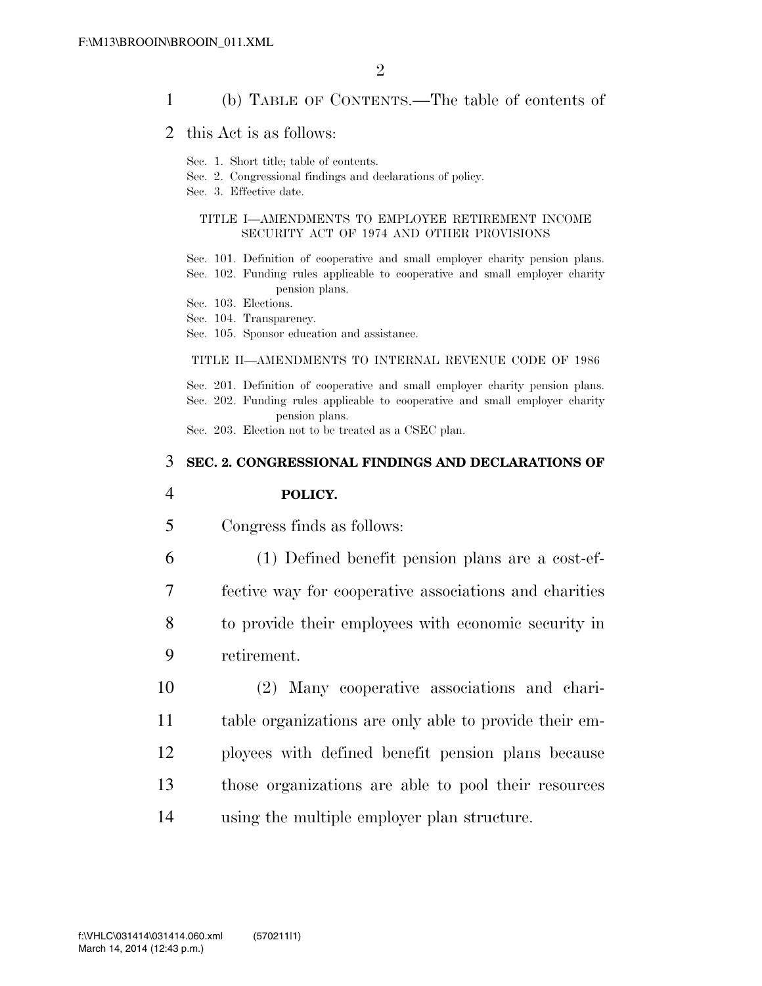## 1 (b) TABLE OF CONTENTS.—The table of contents of

## 2 this Act is as follows:

- Sec. 1. Short title; table of contents.
- Sec. 2. Congressional findings and declarations of policy.
- Sec. 3. Effective date.

### TITLE I—AMENDMENTS TO EMPLOYEE RETIREMENT INCOME SECURITY ACT OF 1974 AND OTHER PROVISIONS

- Sec. 101. Definition of cooperative and small employer charity pension plans.
- Sec. 102. Funding rules applicable to cooperative and small employer charity pension plans.
- Sec. 103. Elections.
- Sec. 104. Transparency.
- Sec. 105. Sponsor education and assistance.

#### TITLE II—AMENDMENTS TO INTERNAL REVENUE CODE OF 1986

Sec. 201. Definition of cooperative and small employer charity pension plans. Sec. 202. Funding rules applicable to cooperative and small employer charity pension plans.

Sec. 203. Election not to be treated as a CSEC plan.

### 3 **SEC. 2. CONGRESSIONAL FINDINGS AND DECLARATIONS OF**

#### 4 **POLICY.**

- 5 Congress finds as follows:
- 6 (1) Defined benefit pension plans are a cost-ef-7 fective way for cooperative associations and charities 8 to provide their employees with economic security in 9 retirement.
- 10 (2) Many cooperative associations and chari-11 table organizations are only able to provide their em-12 ployees with defined benefit pension plans because 13 those organizations are able to pool their resources 14 using the multiple employer plan structure.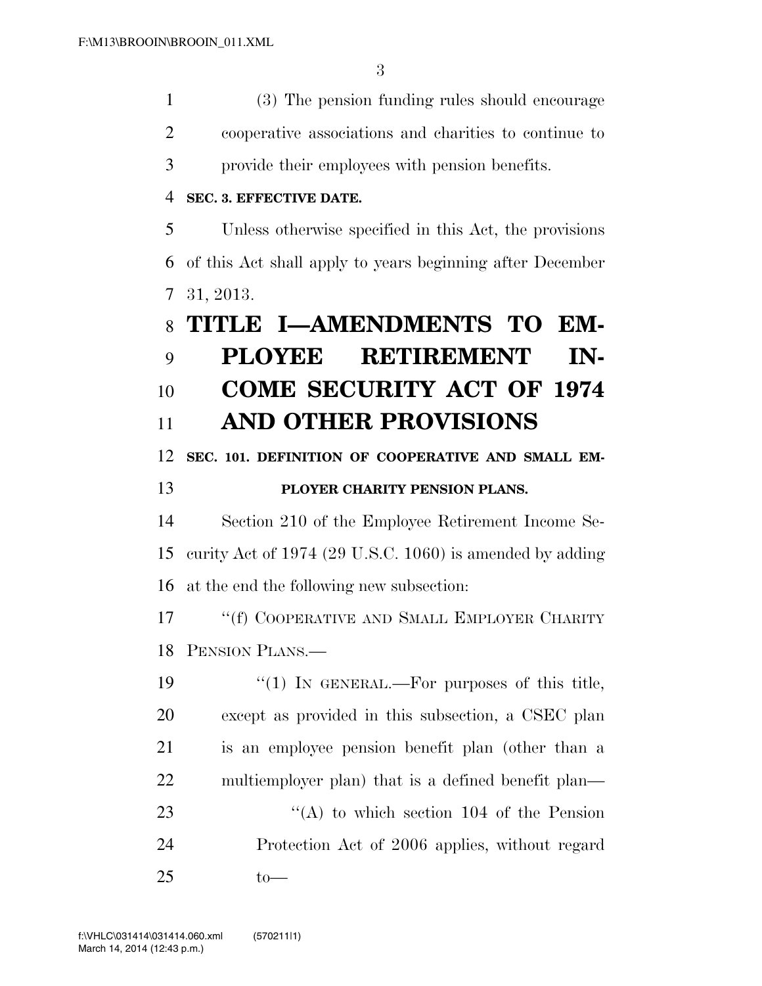(3) The pension funding rules should encourage cooperative associations and charities to continue to provide their employees with pension benefits. **SEC. 3. EFFECTIVE DATE.**  Unless otherwise specified in this Act, the provisions of this Act shall apply to years beginning after December 31, 2013. **TITLE I—AMENDMENTS TO EM- PLOYEE RETIREMENT IN- COME SECURITY ACT OF 1974 AND OTHER PROVISIONS SEC. 101. DEFINITION OF COOPERATIVE AND SMALL EM- PLOYER CHARITY PENSION PLANS.**  Section 210 of the Employee Retirement Income Se- curity Act of 1974 (29 U.S.C. 1060) is amended by adding at the end the following new subsection: 17 <sup>"</sup>(f) COOPERATIVE AND SMALL EMPLOYER CHARITY PENSION PLANS.—  $\frac{1}{2}$  (1) In GENERAL.—For purposes of this title, except as provided in this subsection, a CSEC plan is an employee pension benefit plan (other than a multiemployer plan) that is a defined benefit plan— 23 "(A) to which section 104 of the Pension Protection Act of 2006 applies, without regard to—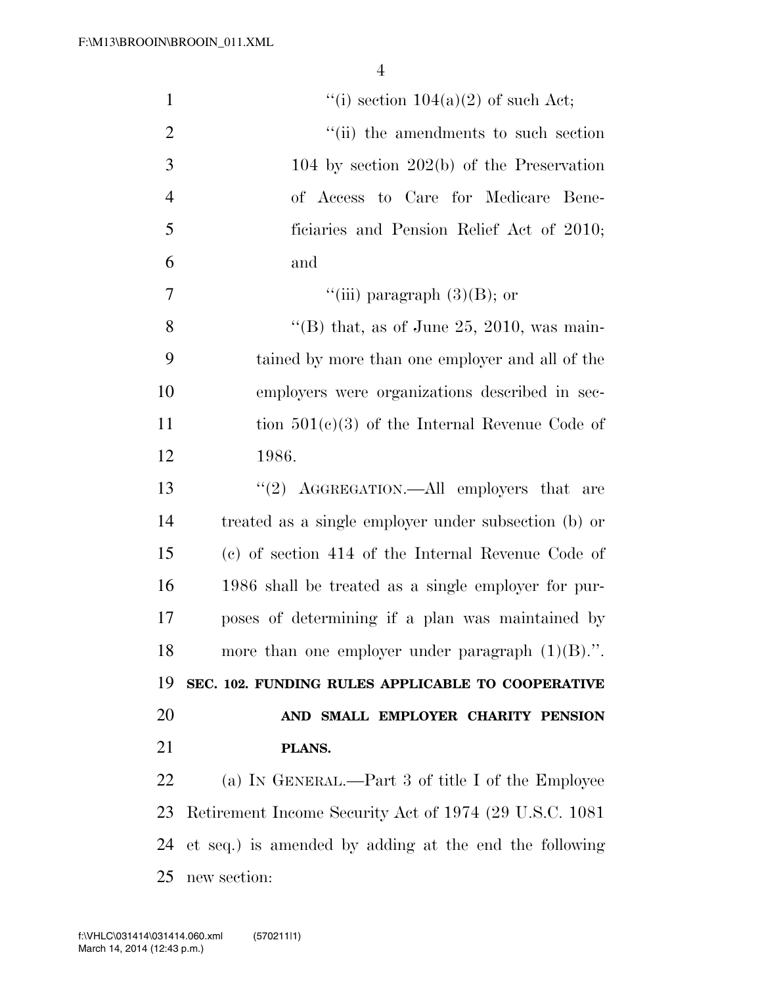| $\mathbf{1}$   | "(i) section $104(a)(2)$ of such Act;                   |
|----------------|---------------------------------------------------------|
| $\overline{2}$ | "(ii) the amendments to such section                    |
| 3              | 104 by section $202(b)$ of the Preservation             |
| $\overline{4}$ | of Access to Care for Medicare Bene-                    |
| 5              | ficiaries and Pension Relief Act of 2010;               |
| 6              | and                                                     |
| 7              | "(iii) paragraph $(3)(B)$ ; or                          |
| 8              | "(B) that, as of June 25, 2010, was main-               |
| 9              | tained by more than one employer and all of the         |
| 10             | employers were organizations described in sec-          |
| 11             | tion $501(c)(3)$ of the Internal Revenue Code of        |
| 12             | 1986.                                                   |
| 13             | "(2) AGGREGATION.—All employers that are                |
| 14             | treated as a single employer under subsection (b) or    |
| 15             | (c) of section 414 of the Internal Revenue Code of      |
| 16             | 1986 shall be treated as a single employer for pur-     |
| 17             | poses of determining if a plan was maintained by        |
| 18             | more than one employer under paragraph $(1)(B)$ .".     |
| 19             | SEC. 102. FUNDING RULES APPLICABLE TO COOPERATIVE       |
| 20             | AND SMALL EMPLOYER CHARITY PENSION                      |
| 21             | PLANS.                                                  |
| 22             | (a) IN GENERAL.—Part 3 of title I of the Employee       |
| 23             | Retirement Income Security Act of 1974 (29 U.S.C. 1081) |
| 24             | et seq.) is amended by adding at the end the following  |
| 25             | new section:                                            |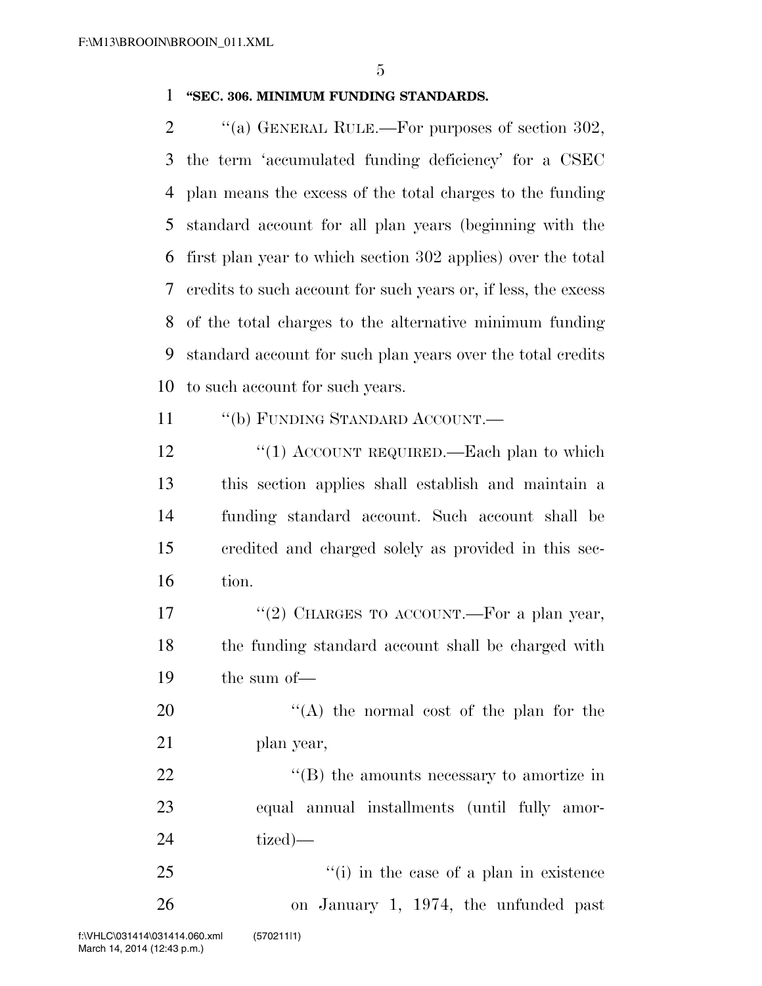## **''SEC. 306. MINIMUM FUNDING STANDARDS.**

2 "(a) GENERAL RULE.—For purposes of section 302, the term 'accumulated funding deficiency' for a CSEC plan means the excess of the total charges to the funding standard account for all plan years (beginning with the first plan year to which section 302 applies) over the total credits to such account for such years or, if less, the excess of the total charges to the alternative minimum funding standard account for such plan years over the total credits to such account for such years.

11 "(b) FUNDING STANDARD ACCOUNT.—

12 "(1) ACCOUNT REQUIRED.—Each plan to which this section applies shall establish and maintain a funding standard account. Such account shall be credited and charged solely as provided in this sec-tion.

17 "(2) CHARGES TO ACCOUNT.—For a plan year, the funding standard account shall be charged with the sum of—

20 "(A) the normal cost of the plan for the plan year,

22 ''(B) the amounts necessary to amortize in equal annual installments (until fully amor-tized)—

25 ''(i) in the case of a plan in existence on January 1, 1974, the unfunded past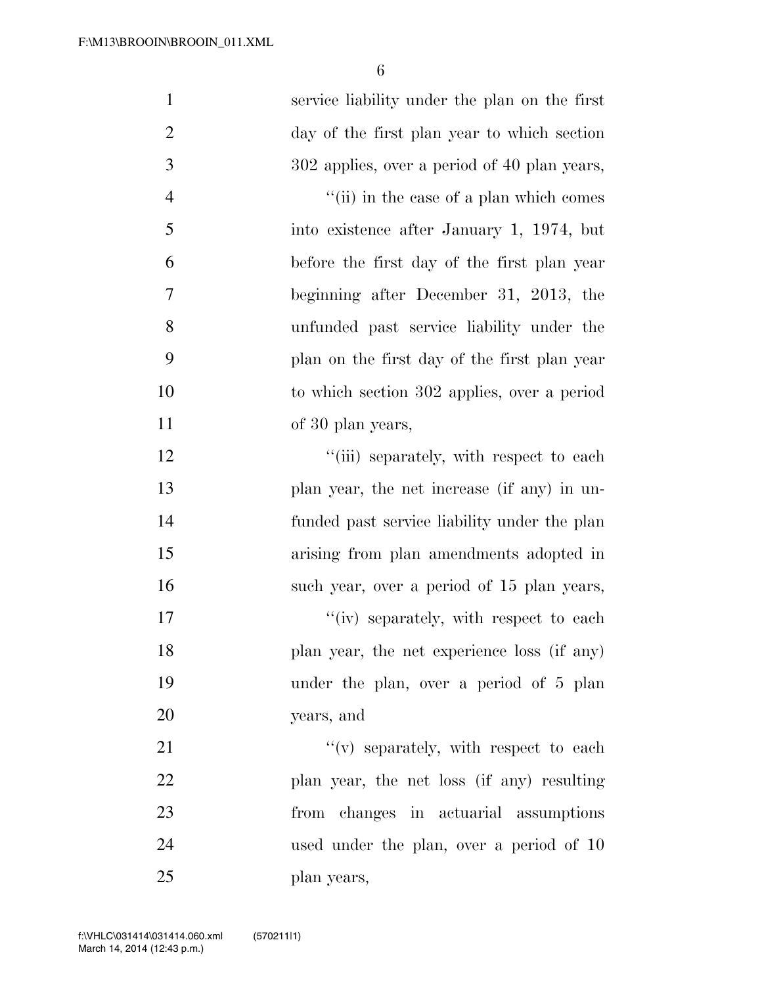| $\mathbf{1}$   | service liability under the plan on the first |
|----------------|-----------------------------------------------|
| $\overline{2}$ | day of the first plan year to which section   |
| 3              | 302 applies, over a period of 40 plan years,  |
| $\overline{4}$ | "(ii) in the case of a plan which comes       |
| 5              | into existence after January 1, 1974, but     |
| 6              | before the first day of the first plan year   |
| 7              | beginning after December 31, 2013, the        |
| 8              | unfunded past service liability under the     |
| 9              | plan on the first day of the first plan year  |
| 10             | to which section 302 applies, over a period   |
| 11             | of 30 plan years,                             |
| 12             | "(iii) separately, with respect to each       |
| 13             | plan year, the net increase (if any) in un-   |
| 14             | funded past service liability under the plan  |
| 15             | arising from plan amendments adopted in       |
| 16             | such year, over a period of 15 plan years,    |
| 17             | "(iv) separately, with respect to each        |
| 18             | plan year, the net experience loss (if any)   |
| 19             | under the plan, over a period of 5 plan       |
| 20             | years, and                                    |
| 21             | $f'(v)$ separately, with respect to each      |
| 22             | plan year, the net loss (if any) resulting    |
| 23             | from changes in actuarial assumptions         |
| 24             | used under the plan, over a period of 10      |
| 25             | plan years,                                   |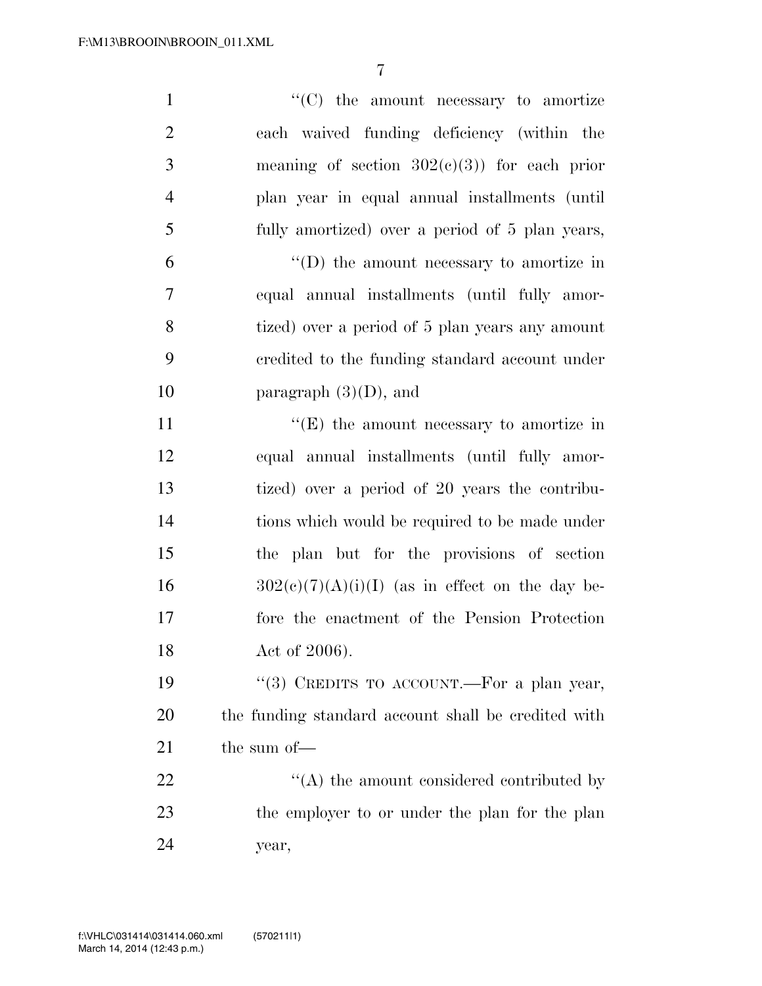| $\mathbf{1}$   | $"$ (C) the amount necessary to amortize            |
|----------------|-----------------------------------------------------|
| $\overline{2}$ | each waived funding deficiency (within the          |
| 3              | meaning of section $302(e)(3)$ for each prior       |
| $\overline{4}$ | plan year in equal annual installments (until       |
| 5              | fully amortized) over a period of 5 plan years,     |
| 6              | $\lq\lq$ the amount necessary to amortize in        |
| $\tau$         | equal annual installments (until fully amor-        |
| 8              | tized) over a period of 5 plan years any amount     |
| 9              | credited to the funding standard account under      |
| 10             | paragraph $(3)(D)$ , and                            |
| 11             | $\lq\lq(E)$ the amount necessary to amortize in     |
| 12             | equal annual installments (until fully amor-        |
| 13             | tized) over a period of 20 years the contribu-      |
| 14             | tions which would be required to be made under      |
| 15             | the plan but for the provisions of section          |
| 16             | $302(c)(7)(A)(i)(I)$ (as in effect on the day be-   |
| 17             | fore the enactment of the Pension Protection        |
| 18             | Act of 2006).                                       |
| 19             | "(3) CREDITS TO ACCOUNT.—For a plan year,           |
| 20             | the funding standard account shall be credited with |
| 21             | the sum of-                                         |
| 22             | $\cdot$ (A) the amount considered contributed by    |
| 23             | the employer to or under the plan for the plan      |
| 24             | year,                                               |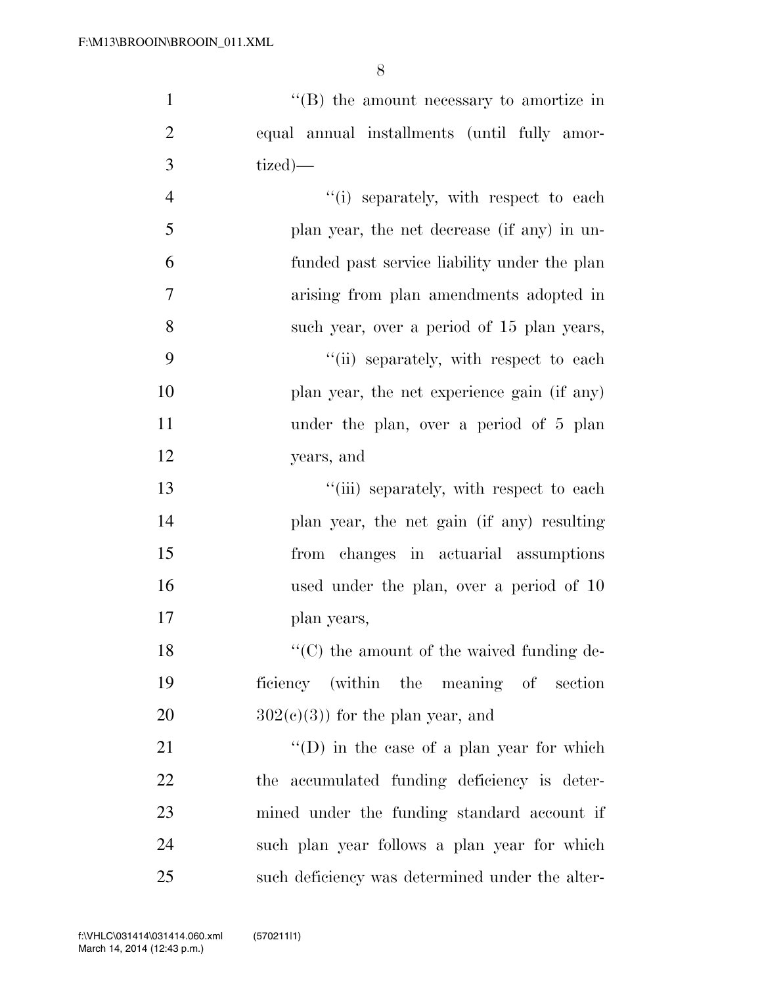$\langle$  (B) the amount necessary to amortize in equal annual installments (until fully amor- tized)— 4 ''(i) separately, with respect to each plan year, the net decrease (if any) in un- funded past service liability under the plan arising from plan amendments adopted in such year, over a period of 15 plan years, 9 "(ii) separately, with respect to each 10 plan year, the net experience gain (if any) under the plan, over a period of 5 plan

years, and

13 ''(iii) separately, with respect to each plan year, the net gain (if any) resulting from changes in actuarial assumptions used under the plan, over a period of 10 plan years,

18 ''(C) the amount of the waived funding de- ficiency (within the meaning of section 20  $302(c)(3)$  for the plan year, and

21 ''(D) in the case of a plan year for which the accumulated funding deficiency is deter- mined under the funding standard account if such plan year follows a plan year for which such deficiency was determined under the alter-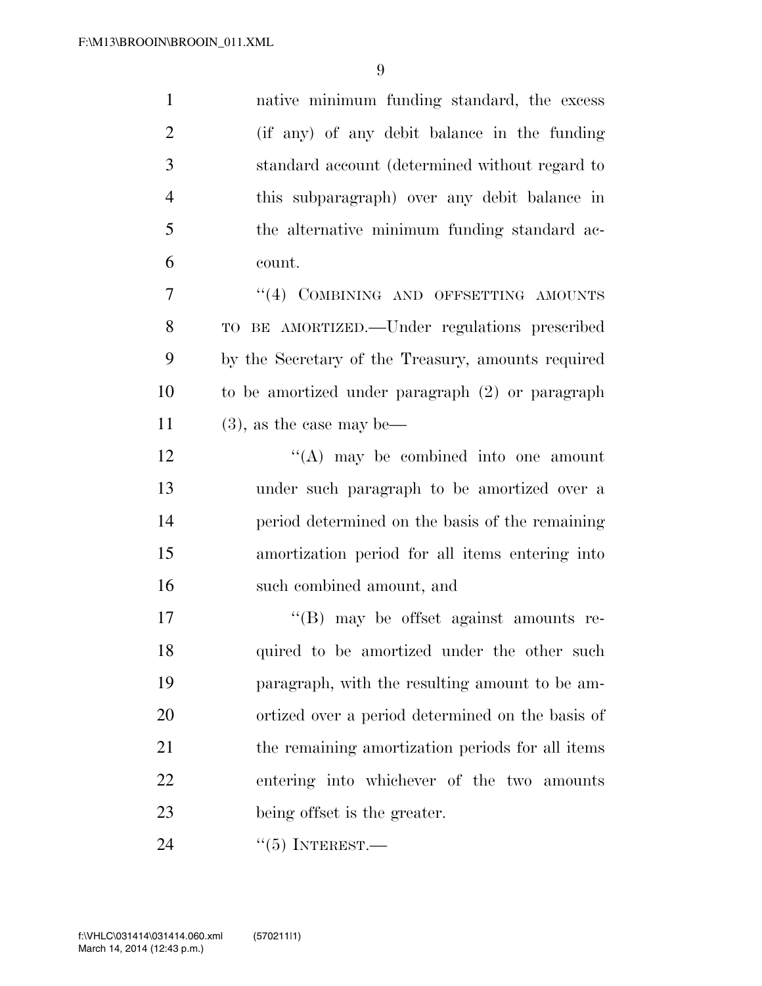native minimum funding standard, the excess (if any) of any debit balance in the funding standard account (determined without regard to this subparagraph) over any debit balance in the alternative minimum funding standard ac- count. 7 "(4) COMBINING AND OFFSETTING AMOUNTS TO BE AMORTIZED.—Under regulations prescribed

 by the Secretary of the Treasury, amounts required to be amortized under paragraph (2) or paragraph 11 (3), as the case may be—

 "(A) may be combined into one amount under such paragraph to be amortized over a period determined on the basis of the remaining amortization period for all items entering into such combined amount, and

 ''(B) may be offset against amounts re-18 quired to be amortized under the other such paragraph, with the resulting amount to be am- ortized over a period determined on the basis of 21 the remaining amortization periods for all items entering into whichever of the two amounts being offset is the greater.

''(5) INTEREST.—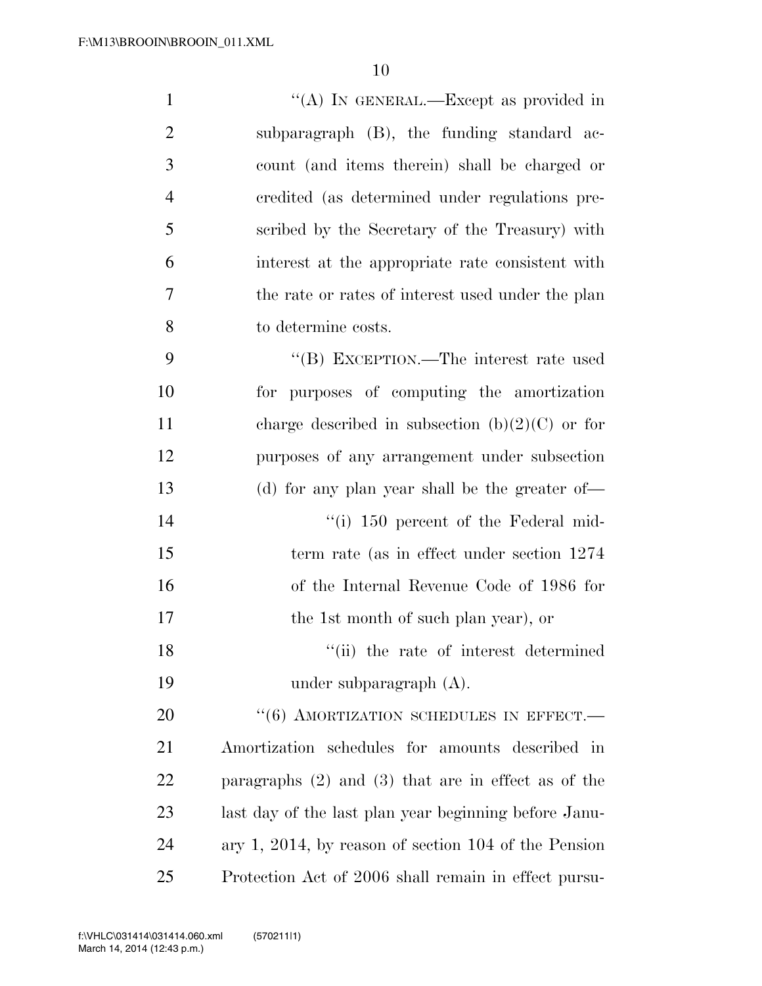| $\mathbf{1}$   | "(A) IN GENERAL.—Except as provided in                  |
|----------------|---------------------------------------------------------|
| $\overline{2}$ | subparagraph (B), the funding standard ac-              |
| 3              | count (and items therein) shall be charged or           |
| $\overline{4}$ | credited (as determined under regulations pre-          |
| 5              | scribed by the Secretary of the Treasury) with          |
| 6              | interest at the appropriate rate consistent with        |
| 7              | the rate or rates of interest used under the plan       |
| 8              | to determine costs.                                     |
| 9              | "(B) EXCEPTION.—The interest rate used                  |
| 10             | for purposes of computing the amortization              |
| 11             | charge described in subsection (b) $(2)(C)$ or for      |
| 12             | purposes of any arrangement under subsection            |
| 13             | (d) for any plan year shall be the greater of—          |
| 14             | "(i) 150 percent of the Federal mid-                    |
| 15             | term rate (as in effect under section 1274)             |
| 16             | of the Internal Revenue Code of 1986 for                |
| 17             | the 1st month of such plan year), or                    |
| 18             | "(ii) the rate of interest determined                   |
| 19             | under subparagraph $(A)$ .                              |
| 20             | $``(6)$ AMORTIZATION SCHEDULES IN EFFECT.               |
| 21             | Amortization schedules for amounts described in         |
| 22             | paragraphs $(2)$ and $(3)$ that are in effect as of the |
| 23             | last day of the last plan year beginning before Janu-   |
| 24             | ary 1, 2014, by reason of section $104$ of the Pension  |
| 25             | Protection Act of 2006 shall remain in effect pursu-    |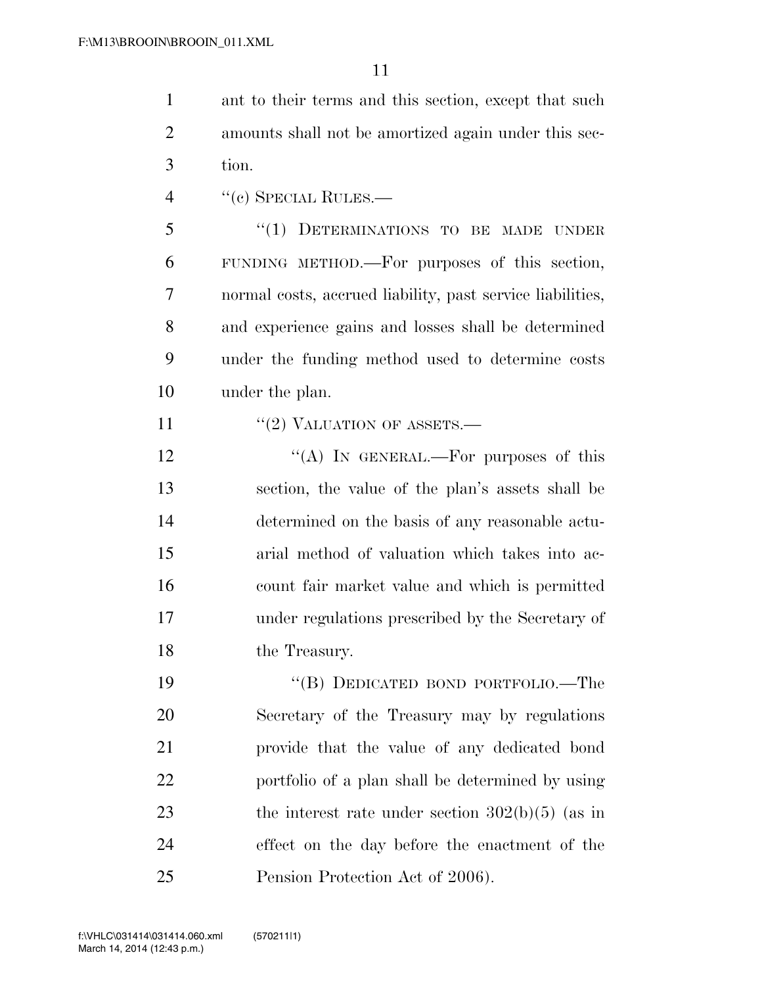ant to their terms and this section, except that such amounts shall not be amortized again under this sec-tion.

4 "(c) SPECIAL RULES.—

 ''(1) DETERMINATIONS TO BE MADE UNDER FUNDING METHOD.—For purposes of this section, normal costs, accrued liability, past service liabilities, and experience gains and losses shall be determined under the funding method used to determine costs under the plan.

11  $\frac{1}{2}$  VALUATION OF ASSETS.—

 $\langle (A) \rangle$  In GENERAL.—For purposes of this section, the value of the plan's assets shall be determined on the basis of any reasonable actu- arial method of valuation which takes into ac- count fair market value and which is permitted under regulations prescribed by the Secretary of the Treasury.

 ''(B) DEDICATED BOND PORTFOLIO.—The Secretary of the Treasury may by regulations provide that the value of any dedicated bond portfolio of a plan shall be determined by using 23 the interest rate under section  $302(b)(5)$  (as in effect on the day before the enactment of the Pension Protection Act of 2006).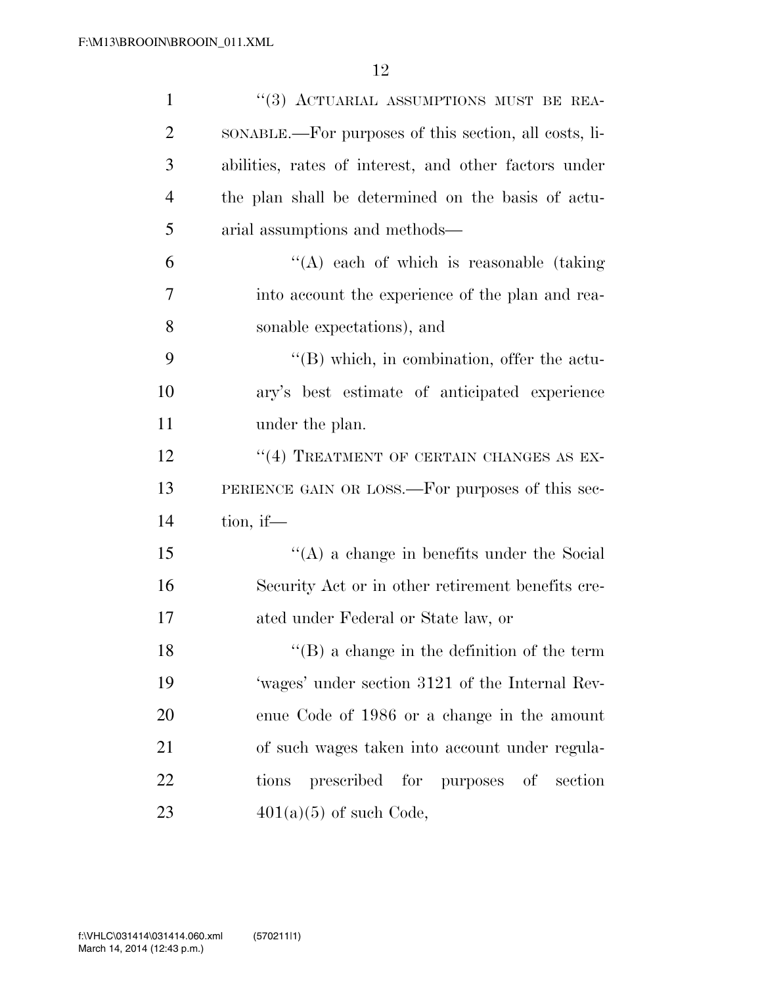| $\mathbf{1}$   | "(3) ACTUARIAL ASSUMPTIONS MUST BE REA-               |
|----------------|-------------------------------------------------------|
| $\overline{2}$ | SONABLE.—For purposes of this section, all costs, li- |
| 3              | abilities, rates of interest, and other factors under |
| $\overline{4}$ | the plan shall be determined on the basis of actu-    |
| 5              | arial assumptions and methods—                        |
| 6              | "(A) each of which is reasonable (taking              |
| 7              | into account the experience of the plan and rea-      |
| 8              | sonable expectations), and                            |
| 9              | "(B) which, in combination, offer the actu-           |
| 10             | ary's best estimate of anticipated experience         |
| 11             | under the plan.                                       |
| 12             | "(4) TREATMENT OF CERTAIN CHANGES AS EX-              |
| 13             | PERIENCE GAIN OR LOSS.—For purposes of this sec-      |
| 14             | tion, if $-$                                          |
| 15             | $\lq\lq$ (A) a change in benefits under the Social    |
| 16             | Security Act or in other retirement benefits cre-     |
| 17             | ated under Federal or State law, or                   |
| 18             | $\lq\lq (B)$ a change in the definition of the term   |
| 19             | 'wages' under section 3121 of the Internal Rev-       |
| <b>20</b>      | enue Code of 1986 or a change in the amount           |
| 21             | of such wages taken into account under regula-        |
| 22             | prescribed for purposes of section<br>tions           |
| 23             | $401(a)(5)$ of such Code,                             |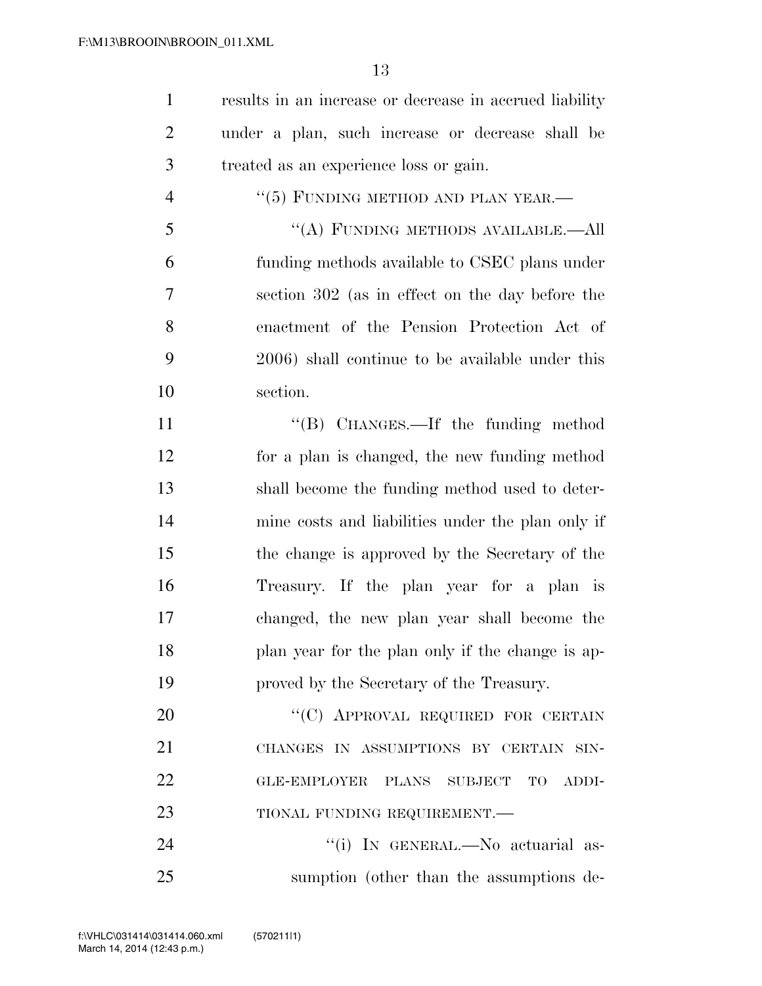results in an increase or decrease in accrued liability under a plan, such increase or decrease shall be treated as an experience loss or gain.  $\frac{4}{5}$   $\frac{1}{100}$  FUNDING METHOD AND PLAN YEAR.

 ''(A) FUNDING METHODS AVAILABLE.—All funding methods available to CSEC plans under section 302 (as in effect on the day before the enactment of the Pension Protection Act of 2006) shall continue to be available under this section.

11 "(B) CHANGES.—If the funding method for a plan is changed, the new funding method shall become the funding method used to deter- mine costs and liabilities under the plan only if the change is approved by the Secretary of the Treasury. If the plan year for a plan is changed, the new plan year shall become the plan year for the plan only if the change is ap-proved by the Secretary of the Treasury.

20 "'(C) APPROVAL REQUIRED FOR CERTAIN CHANGES IN ASSUMPTIONS BY CERTAIN SIN- GLE-EMPLOYER PLANS SUBJECT TO ADDI-23 TIONAL FUNDING REQUIREMENT.

24  $(i)$  In GENERAL.—No actuarial as-sumption (other than the assumptions de-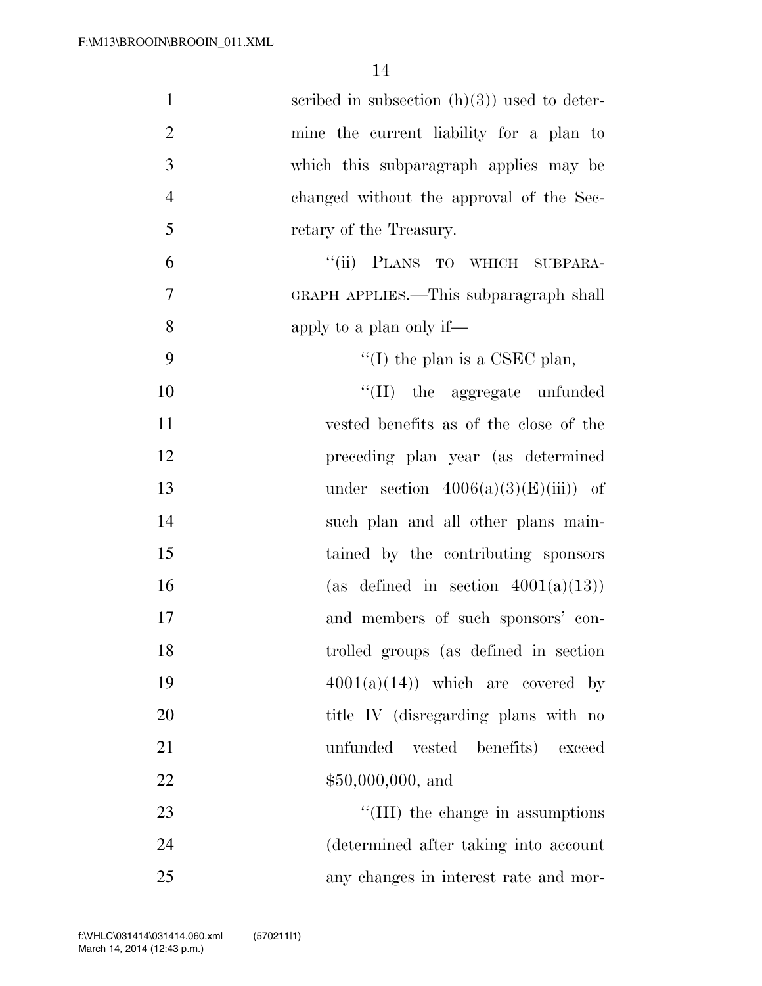| $\mathbf{1}$   | scribed in subsection $(h)(3)$ used to deter- |
|----------------|-----------------------------------------------|
| $\overline{2}$ | mine the current liability for a plan to      |
| 3              | which this subparagraph applies may be        |
| $\overline{4}$ | changed without the approval of the Sec-      |
| 5              | retary of the Treasury.                       |
| 6              | "(ii) PLANS TO WHICH SUBPARA-                 |
| 7              | GRAPH APPLIES.—This subparagraph shall        |
| 8              | apply to a plan only if—                      |
| 9              | "(I) the plan is a CSEC plan,                 |
| 10             | "(II) the aggregate unfunded                  |
| 11             | vested benefits as of the close of the        |
| 12             | preceding plan year (as determined            |
| 13             | under section $4006(a)(3)(E(iii))$ of         |
| 14             | such plan and all other plans main-           |
| 15             | tained by the contributing sponsors           |
| 16             | (as defined in section $4001(a)(13)$ )        |
| 17             | and members of such sponsors' con-            |
| 18             | trolled groups (as defined in section         |
| 19             | $4001(a)(14)$ which are covered by            |
| 20             | title IV (disregarding plans with no          |
| 21             | unfunded<br>vested benefits) exceed           |
| 22             | $$50,000,000,$ and                            |
| 23             | "(III) the change in assumptions              |
| 24             | (determined after taking into account         |
| 25             | any changes in interest rate and mor-         |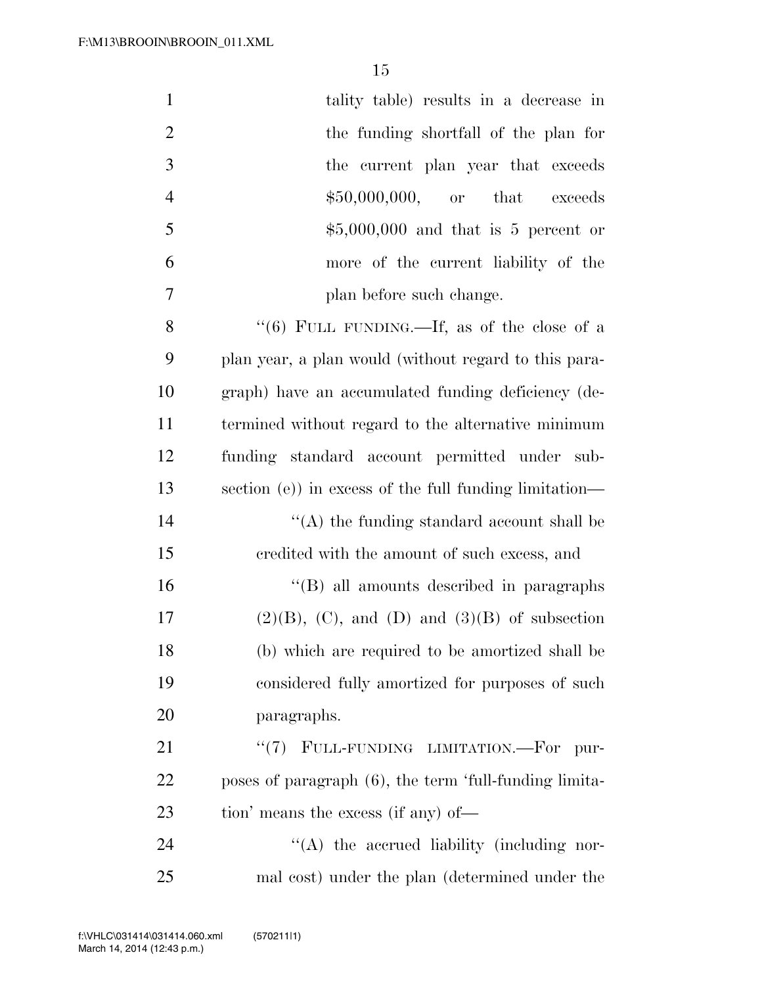| $\mathbf{1}$   | tality table) results in a decrease in                  |
|----------------|---------------------------------------------------------|
| $\overline{2}$ | the funding shortfall of the plan for                   |
| 3              | the current plan year that exceeds                      |
| $\overline{4}$ | $$50,000,000,$ or that<br>exceeds                       |
| 5              | $$5,000,000$ and that is 5 percent or                   |
| 6              | more of the current liability of the                    |
| 7              | plan before such change.                                |
| 8              | "(6) FULL FUNDING.—If, as of the close of a             |
| 9              | plan year, a plan would (without regard to this para-   |
| 10             | graph) have an accumulated funding deficiency (de-      |
| 11             | termined without regard to the alternative minimum      |
| 12             | funding standard account permitted under sub-           |
| 13             | section (e)) in excess of the full funding limitation—  |
| 14             | $\lq\lq$ the funding standard account shall be          |
| 15             | credited with the amount of such excess, and            |
| 16             | "(B) all amounts described in paragraphs                |
| 17             | $(2)(B)$ , $(C)$ , and $(D)$ and $(3)(B)$ of subsection |
| 18             | (b) which are required to be amortized shall be         |
| 19             | considered fully amortized for purposes of such         |
| 20             | paragraphs.                                             |
| 21             | "(7) FULL-FUNDING LIMITATION.—For<br>pur-               |
| 22             | poses of paragraph (6), the term 'full-funding limita-  |
| 23             | tion' means the excess (if any) of—                     |
| 24             | "(A) the accrued liability (including nor-              |
| 25             | mal cost) under the plan (determined under the          |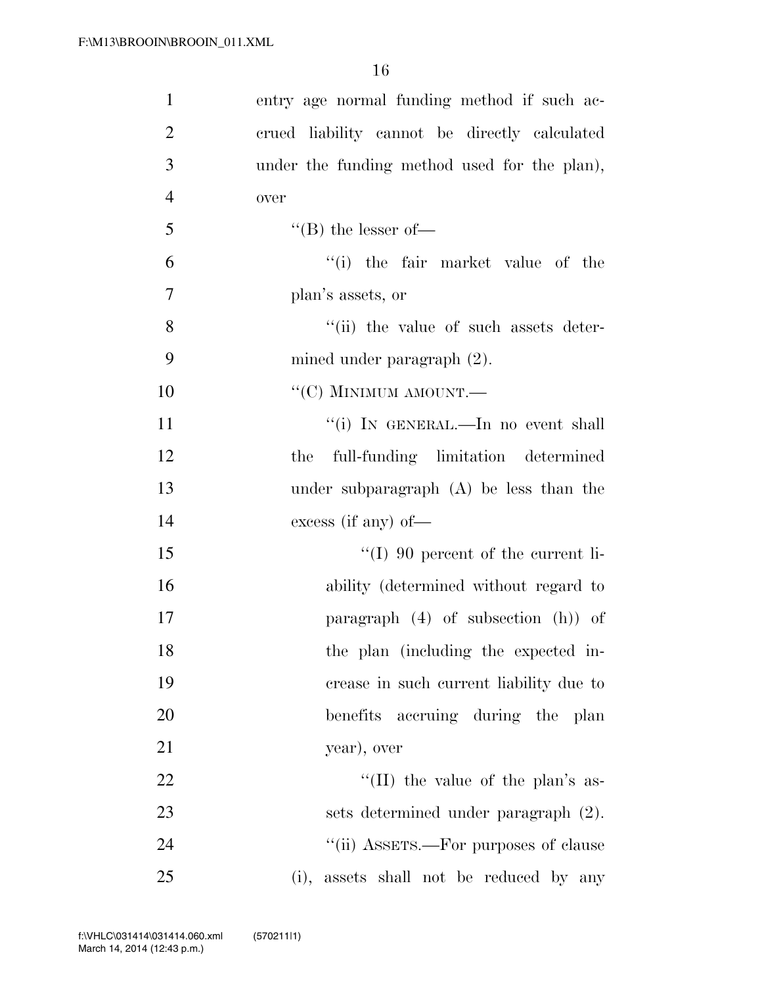| $\mathbf{1}$   | entry age normal funding method if such ac-   |
|----------------|-----------------------------------------------|
| $\overline{2}$ | crued liability cannot be directly calculated |
| 3              | under the funding method used for the plan),  |
| 4              | over                                          |
| 5              | $\lq\lq (B)$ the lesser of-                   |
| 6              | "(i) the fair market value of the             |
| 7              | plan's assets, or                             |
| 8              | "(ii) the value of such assets deter-         |
| 9              | mined under paragraph $(2)$ .                 |
| 10             | " $(C)$ MINIMUM AMOUNT.—                      |
| 11             | "(i) IN GENERAL.—In no event shall            |
| 12             | the full-funding limitation determined        |
| 13             | under subparagraph (A) be less than the       |
| 14             | excess (if any) of $-$                        |
| 15             | $\lq (I)$ 90 percent of the current li-       |
| 16             | ability (determined without regard to         |
| 17             | paragraph (4) of subsection (h)) of           |
| 18             | the plan (including the expected in-          |
| 19             | crease in such current liability due to       |
| 20             | benefits accruing during the plan             |
| 21             | year), over                                   |
| 22             | "(II) the value of the plan's as-             |
| 23             | sets determined under paragraph (2).          |
| 24             | "(ii) ASSETS.—For purposes of clause          |
| 25             | (i), assets shall not be reduced by any       |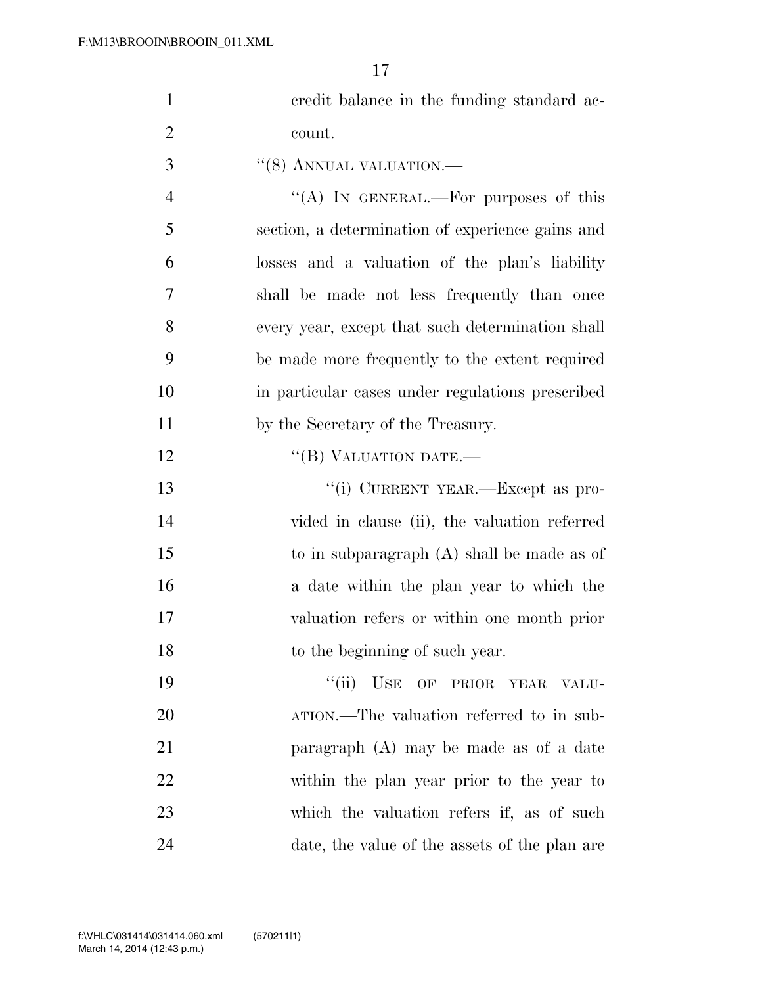| $\mathbf{1}$   | credit balance in the funding standard ac-               |
|----------------|----------------------------------------------------------|
| $\overline{2}$ | count.                                                   |
| 3              | $``(8)$ ANNUAL VALUATION.—                               |
| $\overline{4}$ | "(A) IN GENERAL.—For purposes of this                    |
| 5              | section, a determination of experience gains and         |
| 6              | losses and a valuation of the plan's liability           |
| $\overline{7}$ | shall be made not less frequently than once              |
| 8              | every year, except that such determination shall         |
| 9              | be made more frequently to the extent required           |
| 10             | in particular cases under regulations prescribed         |
| 11             | by the Secretary of the Treasury.                        |
| 12             | "(B) VALUATION DATE.-                                    |
| 13             | "(i) CURRENT YEAR.—Except as pro-                        |
| 14             | vided in clause (ii), the valuation referred             |
| 15             | to in subparagraph $(A)$ shall be made as of             |
| 16             | a date within the plan year to which the                 |
| 17             | valuation refers or within one month prior               |
| 18             | to the beginning of such year.                           |
| 19             | ``(ii)<br>$\overline{\text{USE}}$<br>OF PRIOR YEAR VALU- |
| 20             | ATION.—The valuation referred to in sub-                 |
| 21             | paragraph $(A)$ may be made as of a date                 |
| 22             | within the plan year prior to the year to                |
| 23             | which the valuation refers if, as of such                |
| 24             | date, the value of the assets of the plan are            |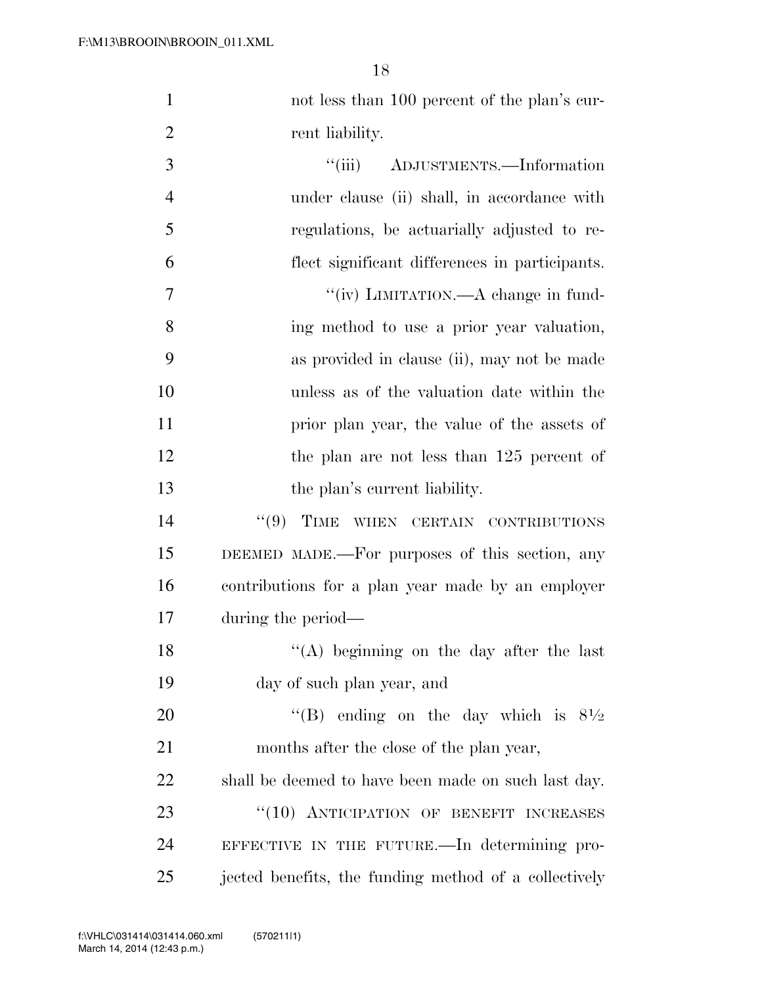1 not less than 100 percent of the plan's cur-2 rent liability.

 $\frac{1}{\text{ii}}$  ADJUSTMENTS.—Information under clause (ii) shall, in accordance with regulations, be actuarially adjusted to re- flect significant differences in participants.  $''(iv)$  LIMITATION.—A change in fund- ing method to use a prior year valuation, as provided in clause (ii), may not be made unless as of the valuation date within the prior plan year, the value of the assets of 12 the plan are not less than 125 percent of 13 the plan's current liability. 14 "(9) TIME WHEN CERTAIN CONTRIBUTIONS DEEMED MADE.—For purposes of this section, any contributions for a plan year made by an employer during the period— 18 ''(A) beginning on the day after the last day of such plan year, and  $\text{``(B)}$  ending on the day which is  $8\frac{1}{2}$  months after the close of the plan year, shall be deemed to have been made on such last day. 23 "(10) ANTICIPATION OF BENEFIT INCREASES EFFECTIVE IN THE FUTURE.—In determining pro-25 iected benefits, the funding method of a collectively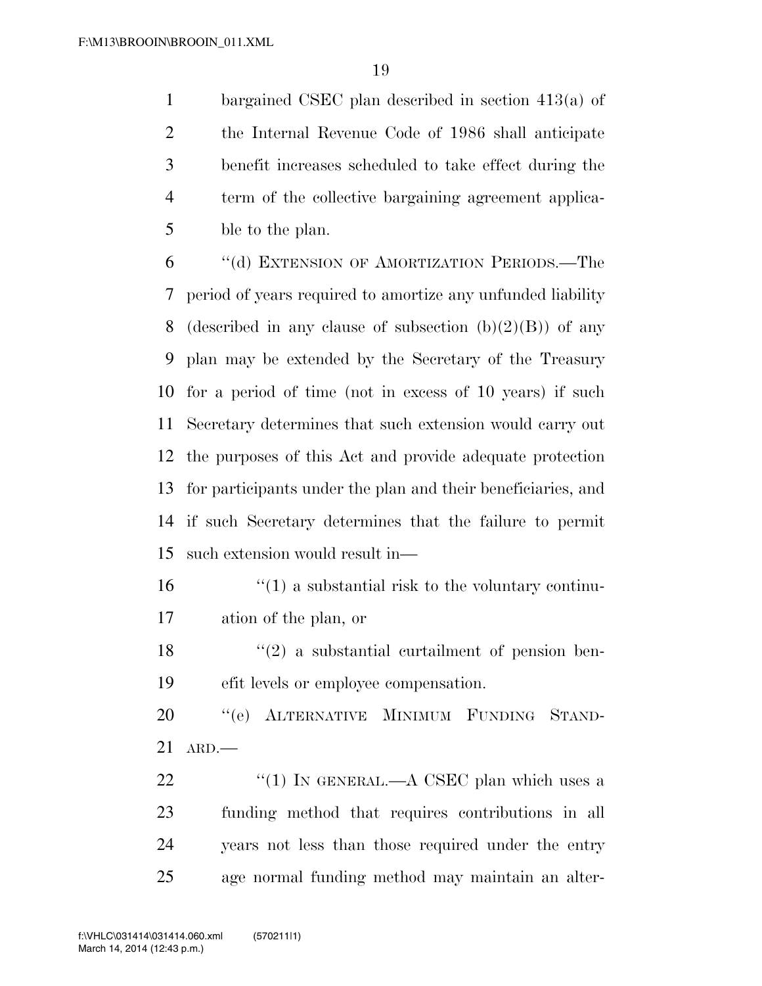bargained CSEC plan described in section 413(a) of the Internal Revenue Code of 1986 shall anticipate benefit increases scheduled to take effect during the term of the collective bargaining agreement applica-ble to the plan.

 ''(d) EXTENSION OF AMORTIZATION PERIODS.—The period of years required to amortize any unfunded liability 8 (described in any clause of subsection  $(b)(2)(B)$ ) of any plan may be extended by the Secretary of the Treasury for a period of time (not in excess of 10 years) if such Secretary determines that such extension would carry out the purposes of this Act and provide adequate protection for participants under the plan and their beneficiaries, and if such Secretary determines that the failure to permit such extension would result in—

 $\mathbf{16}$  ''(1) a substantial risk to the voluntary continu-ation of the plan, or

18  $\langle \cdot (2) \rangle$  a substantial curtailment of pension ben-efit levels or employee compensation.

 ''(e) ALTERNATIVE MINIMUM FUNDING STAND-ARD.—

 $\frac{4}{1}$  IN GENERAL.—A CSEC plan which uses a funding method that requires contributions in all years not less than those required under the entry age normal funding method may maintain an alter-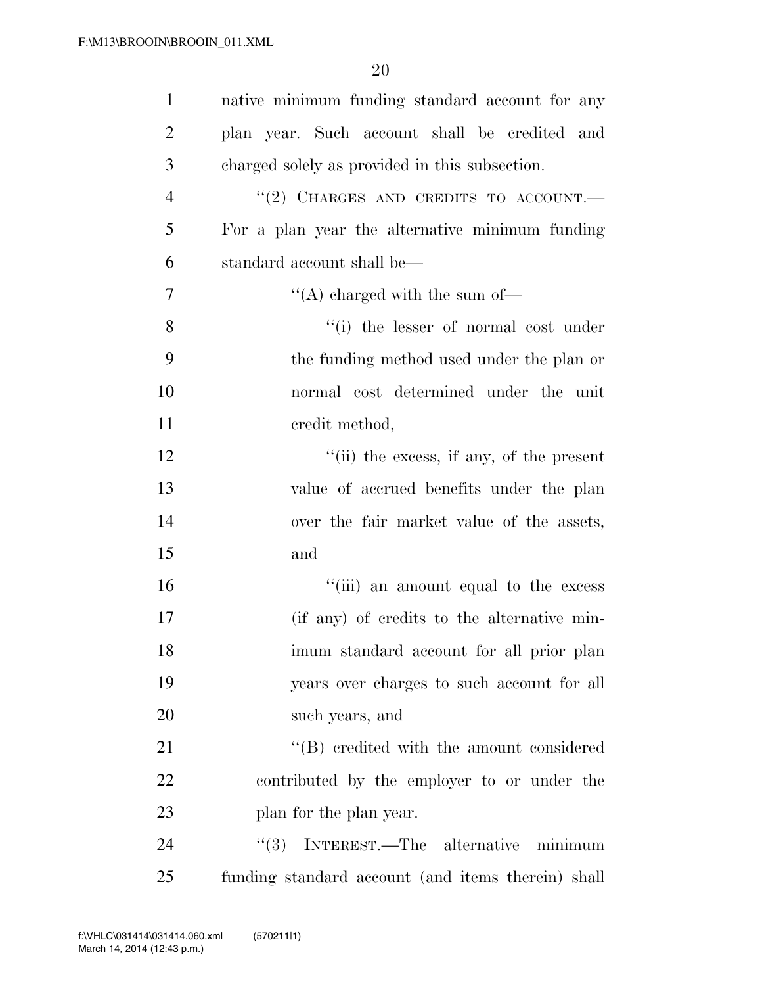| $\mathbf{1}$   | native minimum funding standard account for any            |
|----------------|------------------------------------------------------------|
| $\overline{2}$ | plan year. Such account shall be credited and              |
| 3              | charged solely as provided in this subsection.             |
| $\overline{4}$ | "(2) CHARGES AND CREDITS TO ACCOUNT.                       |
| 5              | For a plan year the alternative minimum funding            |
| 6              | standard account shall be—                                 |
| 7              | $\lq\lq$ charged with the sum of $\lq$                     |
| 8              | "(i) the lesser of normal cost under                       |
| 9              | the funding method used under the plan or                  |
| 10             | normal cost determined under the unit                      |
| 11             | credit method,                                             |
| 12             | $\lq$ <sup>"</sup> (ii) the excess, if any, of the present |
| 13             | value of accrued benefits under the plan                   |
| 14             | over the fair market value of the assets,                  |
| 15             | and                                                        |
| 16             | "(iii) an amount equal to the excess                       |
| 17             | (if any) of credits to the alternative min-                |
| 18             | imum standard account for all prior plan                   |
| 19             | years over charges to such account for all                 |
| 20             | such years, and                                            |
| 21             | "(B) credited with the amount considered                   |
| 22             | contributed by the employer to or under the                |
| 23             | plan for the plan year.                                    |
| 24             | (3)<br>INTEREST.—The alternative<br>minimum                |
| 25             | funding standard account (and items therein) shall         |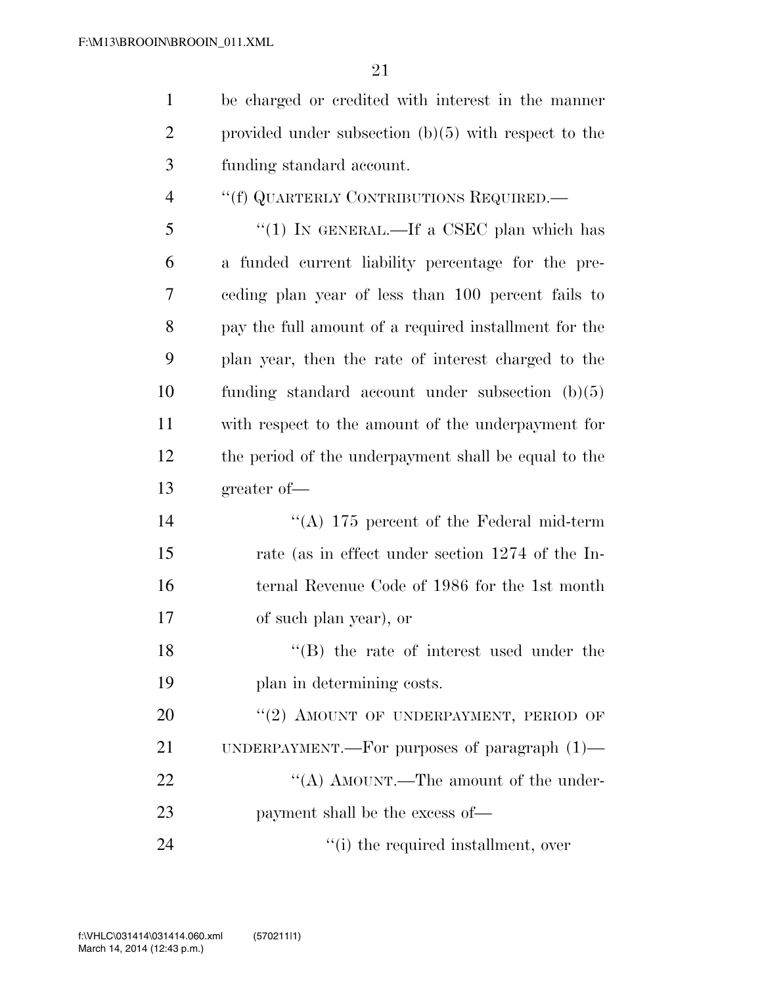be charged or credited with interest in the manner

| $\overline{2}$ | provided under subsection $(b)(5)$ with respect to the |
|----------------|--------------------------------------------------------|
| 3              | funding standard account.                              |
| $\overline{4}$ | "(f) QUARTERLY CONTRIBUTIONS REQUIRED.—                |
| 5              | "(1) IN GENERAL.—If a CSEC plan which has              |
| 6              | a funded current liability percentage for the pre-     |
| 7              | eeding plan year of less than 100 percent fails to     |
| 8              | pay the full amount of a required installment for the  |
| 9              | plan year, then the rate of interest charged to the    |
| 10             | funding standard account under subsection $(b)(5)$     |
| 11             | with respect to the amount of the underpayment for     |
| 12             | the period of the underpayment shall be equal to the   |
| 13             | greater of-                                            |
| 14             | "(A) $175$ percent of the Federal mid-term             |
| 15             | rate (as in effect under section 1274 of the In-       |
| 16             | ternal Revenue Code of 1986 for the 1st month          |
| 17             | of such plan year), or                                 |
| 18             | $\lq\lq$ the rate of interest used under the           |
| 19             | plan in determining costs.                             |
| 20             | "(2) AMOUNT OF UNDERPAYMENT, PERIOD OF                 |
| 21             | UNDERPAYMENT.—For purposes of paragraph $(1)$ —        |
| 22             | "(A) AMOUNT.—The amount of the under-                  |
| 23             | payment shall be the excess of—                        |
| 24             | "(i) the required installment, over                    |
|                |                                                        |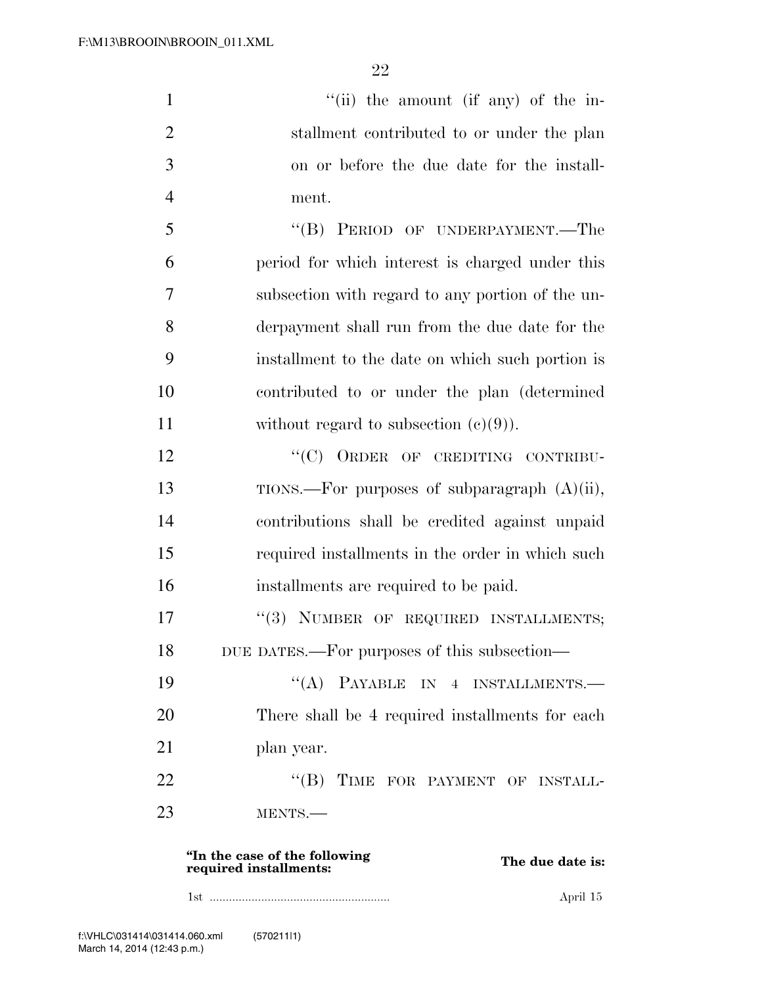1 ''(ii) the amount (if any) of the in-2 stallment contributed to or under the plan 3 on or before the due date for the install-4 ment. 5 ''(B) PERIOD OF UNDERPAYMENT.—The 6 period for which interest is charged under this 7 subsection with regard to any portion of the un-8 derpayment shall run from the due date for the 9 installment to the date on which such portion is 10 contributed to or under the plan (determined 11 without regard to subsection  $(e)(9)$ . 12 "(C) ORDER OF CREDITING CONTRIBU-13 TIONS.—For purposes of subparagraph (A)(ii), 14 contributions shall be credited against unpaid 15 required installments in the order in which such 16 installments are required to be paid. 17 "(3) NUMBER OF REQUIRED INSTALLMENTS; 18 DUE DATES.—For purposes of this subsection— 19 "(A) PAYABLE IN 4 INSTALLMENTS.— 20 There shall be 4 required installments for each 21 plan year. 22 "(B) TIME FOR PAYMENT OF INSTALL-23 MENTS.— **''In the case of the following rim the case of the following<br>required installments:** The due date is:

1st ........................................................ April 15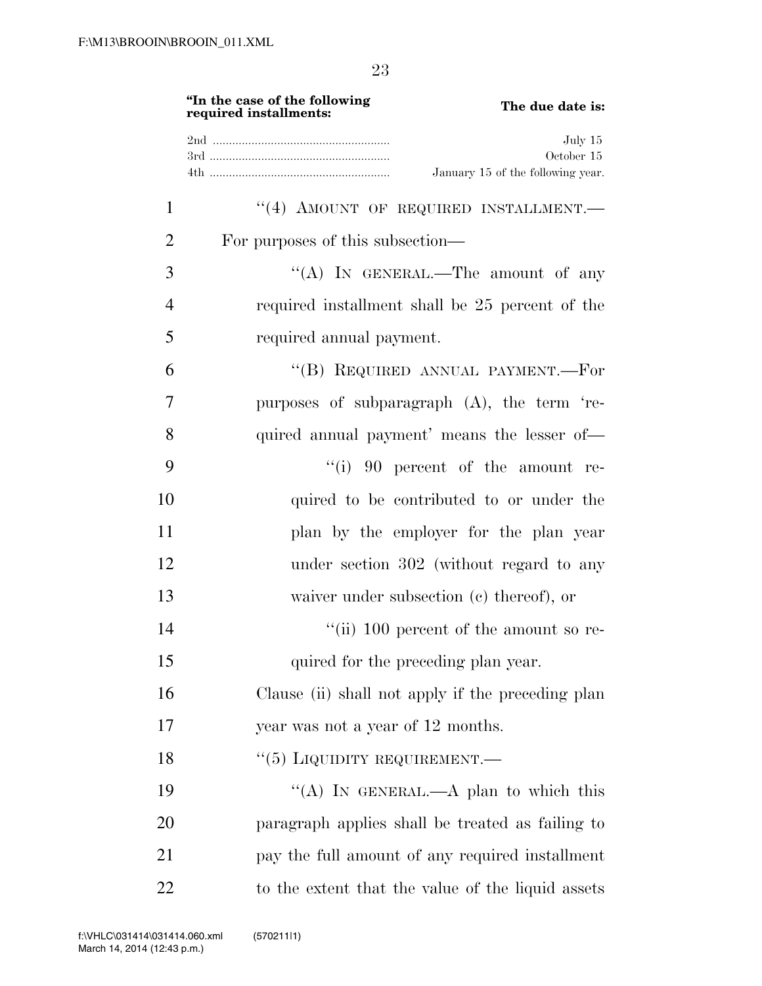|                | "In the case of the following<br>The due date is:<br>required installments: |
|----------------|-----------------------------------------------------------------------------|
|                | July 15<br>October 15<br>January 15 of the following year.                  |
| $\mathbf{1}$   | "(4) AMOUNT OF REQUIRED INSTALLMENT.                                        |
| $\overline{2}$ | For purposes of this subsection—                                            |
| 3              | "(A) IN GENERAL.—The amount of any                                          |
| 4              | required installment shall be 25 percent of the                             |
| 5              | required annual payment.                                                    |
| 6              | "(B) REQUIRED ANNUAL PAYMENT.—For                                           |
| 7              | purposes of subparagraph (A), the term 're-                                 |
| 8              | quired annual payment' means the lesser of-                                 |
| 9              | $``(i)$ 90 percent of the amount re-                                        |
| 10             | quired to be contributed to or under the                                    |
| 11             | plan by the employer for the plan year                                      |
| 12             | under section 302 (without regard to any                                    |
| 13             | waiver under subsection $(c)$ thereof), or                                  |
| 14             | $\lq\lq$ (ii) 100 percent of the amount so re-                              |
| 15             | quired for the preceding plan year.                                         |
| 16             | Clause (ii) shall not apply if the preceding plan                           |
| 17             | year was not a year of 12 months.                                           |
| 18             | $``(5)$ LIQUIDITY REQUIREMENT.—                                             |
| 19             | "(A) IN GENERAL.—A plan to which this                                       |
| 20             | paragraph applies shall be treated as failing to                            |
| 21             | pay the full amount of any required installment                             |
| 22             | to the extent that the value of the liquid assets                           |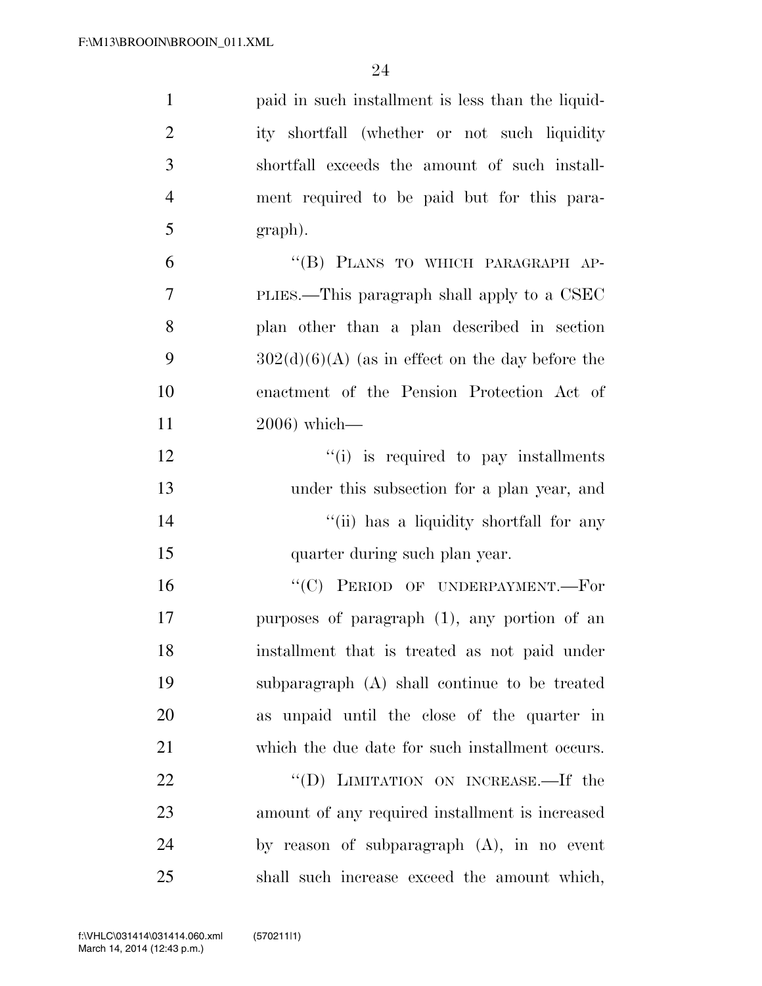| $\mathbf{1}$   | paid in such installment is less than the liquid-  |
|----------------|----------------------------------------------------|
| $\overline{2}$ | ity shortfall (whether or not such liquidity       |
| 3              | shortfall exceeds the amount of such install-      |
| $\overline{4}$ | ment required to be paid but for this para-        |
| 5              | graph).                                            |
| 6              | "(B) PLANS TO WHICH PARAGRAPH AP-                  |
| 7              | PLIES.—This paragraph shall apply to a CSEC        |
| 8              | plan other than a plan described in section        |
| 9              | $302(d)(6)(A)$ (as in effect on the day before the |
| 10             | enactment of the Pension Protection Act of         |
| 11             | $2006$ ) which—                                    |
| 12             | "(i) is required to pay installments               |
| 13             | under this subsection for a plan year, and         |
| 14             | "(ii) has a liquidity shortfall for any            |
| 15             | quarter during such plan year.                     |
| 16             | "(C) PERIOD OF UNDERPAYMENT.-For                   |
| 17             | purposes of paragraph (1), any portion of an       |
| 18             | installment that is treated as not paid under      |
| 19             | subparagraph (A) shall continue to be treated      |
| 20             | as unpaid until the close of the quarter in        |
| 21             | which the due date for such installment occurs.    |
| 22             | "(D) LIMITATION ON INCREASE.—If the                |
| 23             | amount of any required installment is increased    |
| 24             | by reason of subparagraph $(A)$ , in no event      |
| 25             | shall such increase exceed the amount which,       |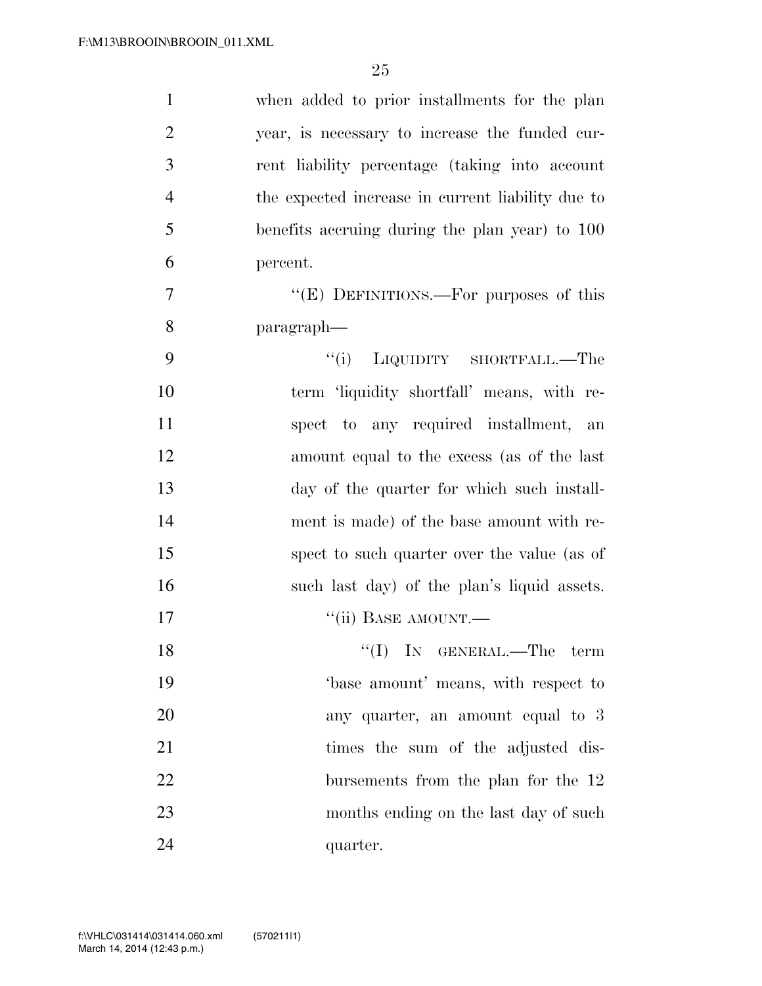| $\mathbf{1}$   | when added to prior installments for the plan     |
|----------------|---------------------------------------------------|
| $\overline{2}$ | year, is necessary to increase the funded cur-    |
| 3              | rent liability percentage (taking into account    |
| $\overline{4}$ | the expected increase in current liability due to |
| 5              | benefits accruing during the plan year) to 100    |
| 6              | percent.                                          |
| $\overline{7}$ | "(E) DEFINITIONS.—For purposes of this            |
| 8              | paragraph—                                        |
| 9              | "(i) LIQUIDITY SHORTFALL.—The                     |
| 10             | term 'liquidity shortfall' means, with re-        |
| 11             | spect to any required installment, an             |
| 12             | amount equal to the excess (as of the last        |
| 13             | day of the quarter for which such install-        |
| 14             | ment is made) of the base amount with re-         |
| 15             | spect to such quarter over the value (as of       |
| 16             | such last day) of the plan's liquid assets.       |
| 17             | "(ii) BASE AMOUNT.—                               |
| 18             | $``(I)$ IN GENERAL.—The term                      |
| 19             | base amount' means, with respect to               |
| 20             | any quarter, an amount equal to 3                 |
| 21             | times the sum of the adjusted dis-                |
| 22             | bursements from the plan for the 12               |
| 23             | months ending on the last day of such             |
| 24             | quarter.                                          |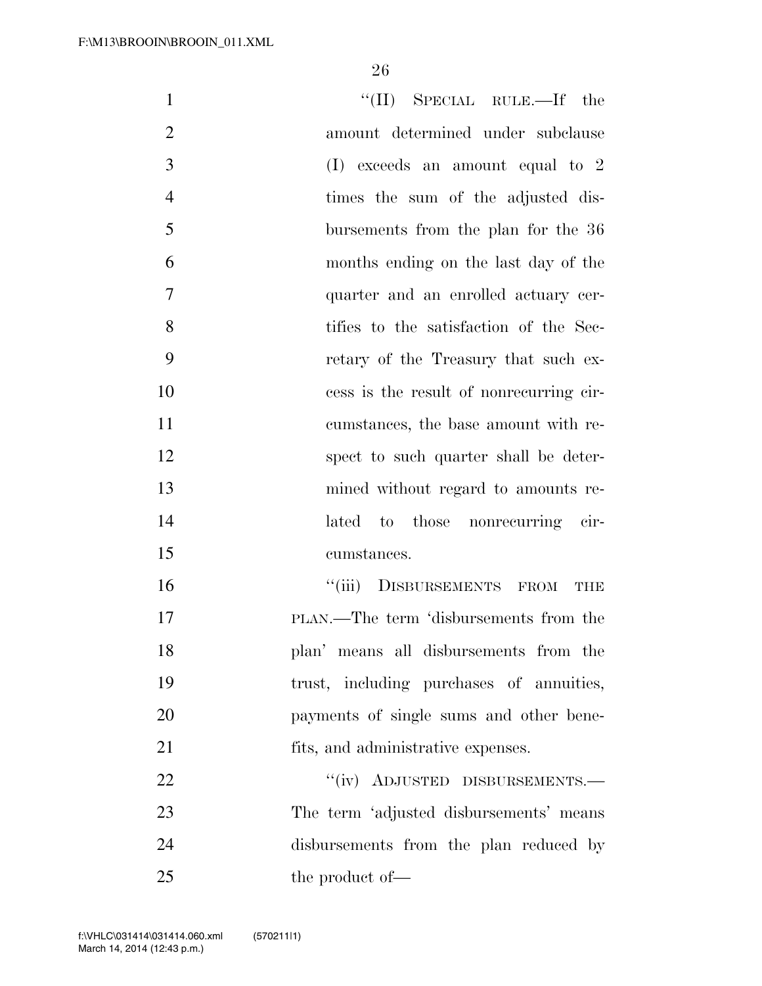| $\mathbf{1}$   | $``(II)$ SPECIAL RULE.—If the            |
|----------------|------------------------------------------|
| $\overline{2}$ | amount determined under subclause        |
| 3              | $(I)$ exceeds an amount equal to 2       |
| $\overline{4}$ | times the sum of the adjusted dis-       |
| 5              | bursements from the plan for the 36      |
| 6              | months ending on the last day of the     |
| 7              | quarter and an enrolled actuary cer-     |
| 8              | tifies to the satisfaction of the Sec-   |
| 9              | retary of the Treasury that such ex-     |
| 10             | cess is the result of nonrecurring cir-  |
| 11             | cumstances, the base amount with re-     |
| 12             | spect to such quarter shall be deter-    |
| 13             | mined without regard to amounts re-      |
| 14             | lated to those nonrecurring cir-         |
| 15             | cumstances.                              |
| 16             | "(iii) DISBURSEMENTS FROM<br><b>THE</b>  |
| 17             | PLAN.—The term 'disbursements from the   |
| 18             | plan' means all disbursements from the   |
| 19             | trust, including purchases of annuities, |
| 20             | payments of single sums and other bene-  |
| 21             | fits, and administrative expenses.       |
| 22             | "(iv) ADJUSTED DISBURSEMENTS.-           |
| 23             | The term 'adjusted disbursements' means  |
| 24             | disbursements from the plan reduced by   |
| 25             | the product of-                          |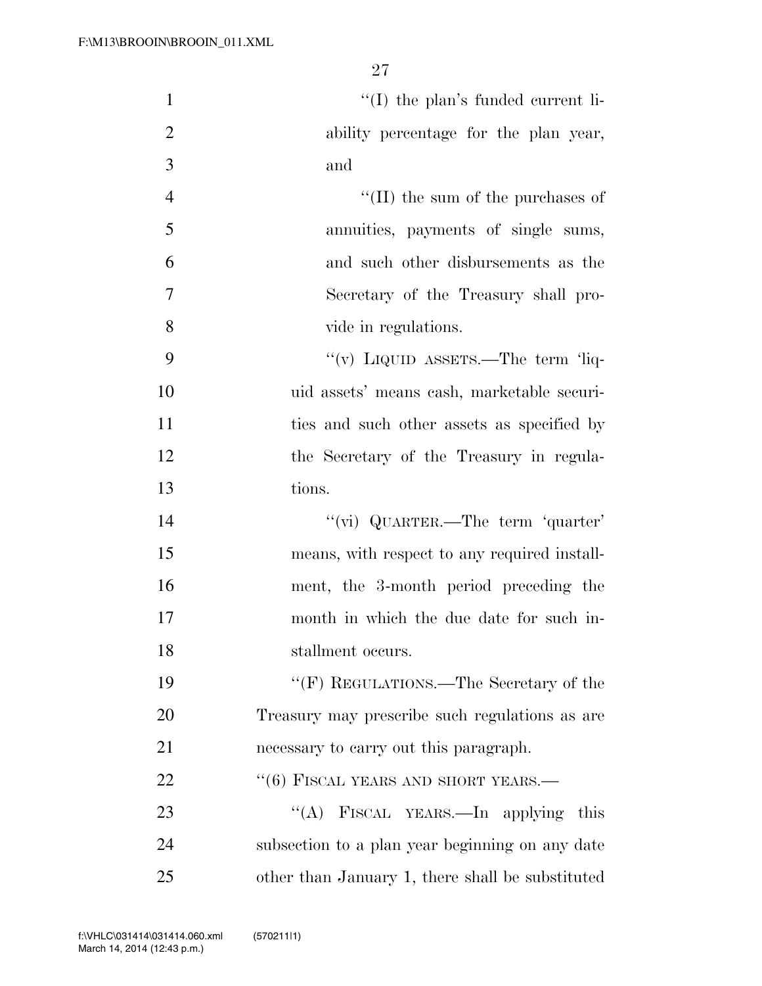| $\mathbf{1}$   | $\lq\lq$ (I) the plan's funded current li-       |
|----------------|--------------------------------------------------|
| $\overline{2}$ | ability percentage for the plan year,            |
| 3              | and                                              |
| $\overline{4}$ | $\lq\lq$ (II) the sum of the purchases of        |
| 5              | annuities, payments of single sums,              |
| 6              | and such other disbursements as the              |
| 7              | Secretary of the Treasury shall pro-             |
| 8              | vide in regulations.                             |
| 9              | "(v) LIQUID ASSETS.—The term 'liq-               |
| 10             | uid assets' means cash, marketable securi-       |
| 11             | ties and such other assets as specified by       |
| 12             | the Secretary of the Treasury in regula-         |
| 13             | tions.                                           |
| 14             | "(vi) QUARTER.—The term 'quarter'                |
| 15             | means, with respect to any required install-     |
| 16             | ment, the 3-month period preceding the           |
| 17             | month in which the due date for such in-         |
| 18             | stallment occurs.                                |
| 19             | "(F) REGULATIONS.—The Secretary of the           |
| 20             | Treasury may prescribe such regulations as are   |
| 21             | necessary to carry out this paragraph.           |
| 22             | $``(6)$ FISCAL YEARS AND SHORT YEARS.—           |
| 23             | "(A) FISCAL YEARS.—In applying this              |
| 24             | subsection to a plan year beginning on any date  |
| 25             | other than January 1, there shall be substituted |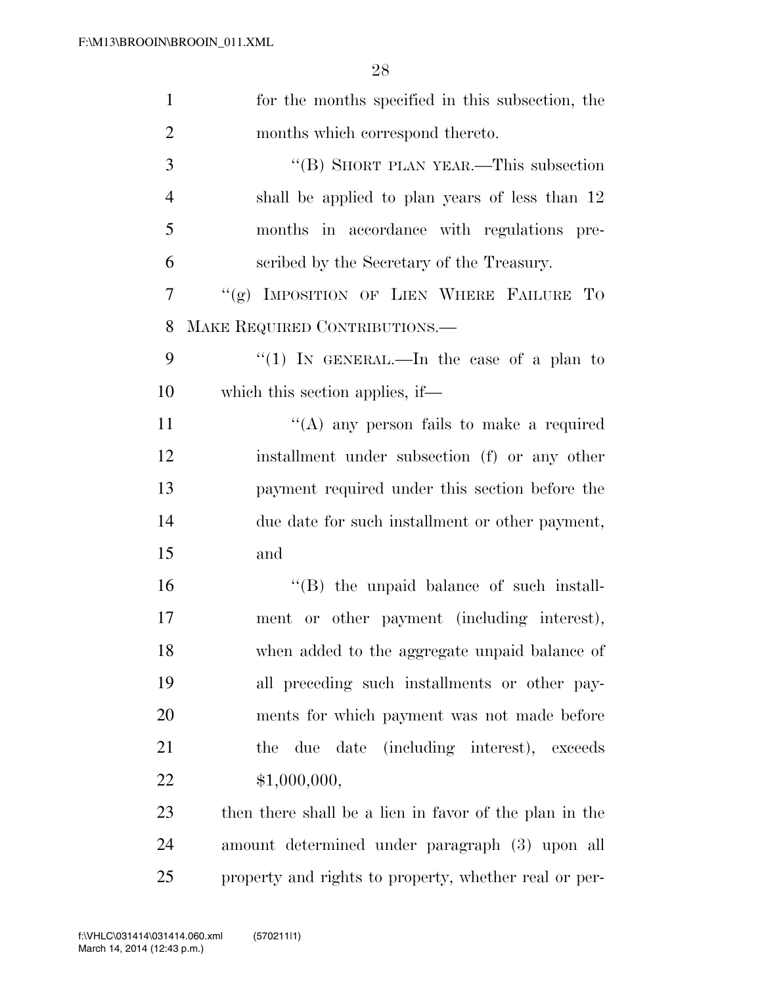| $\mathbf{1}$   | for the months specified in this subsection, the       |
|----------------|--------------------------------------------------------|
| $\overline{2}$ | months which correspond thereto.                       |
| 3              | "(B) SHORT PLAN YEAR.—This subsection                  |
| $\overline{4}$ | shall be applied to plan years of less than 12         |
| 5              | months in accordance with regulations pre-             |
| 6              | scribed by the Secretary of the Treasury.              |
| $\overline{7}$ | "(g) IMPOSITION OF LIEN WHERE FAILURE TO               |
| 8              | MAKE REQUIRED CONTRIBUTIONS.                           |
| 9              | "(1) IN GENERAL.—In the case of a plan to              |
| 10             | which this section applies, if—                        |
| 11             | "(A) any person fails to make a required               |
| 12             | installment under subsection (f) or any other          |
| 13             | payment required under this section before the         |
| 14             | due date for such installment or other payment,        |
| 15             | and                                                    |
| 16             | "(B) the unpaid balance of such install-               |
| 17             | ment or other payment (including interest),            |
| 18             | when added to the aggregate unpaid balance of          |
| 19             | all preceding such installments or other pay-          |
| 20             | ments for which payment was not made before            |
| 21             | due date (including interest), exceeds<br>the          |
| 22             | \$1,000,000,                                           |
| 23             | then there shall be a lien in favor of the plan in the |
| 24             | amount determined under paragraph (3) upon all         |
| 25             | property and rights to property, whether real or per-  |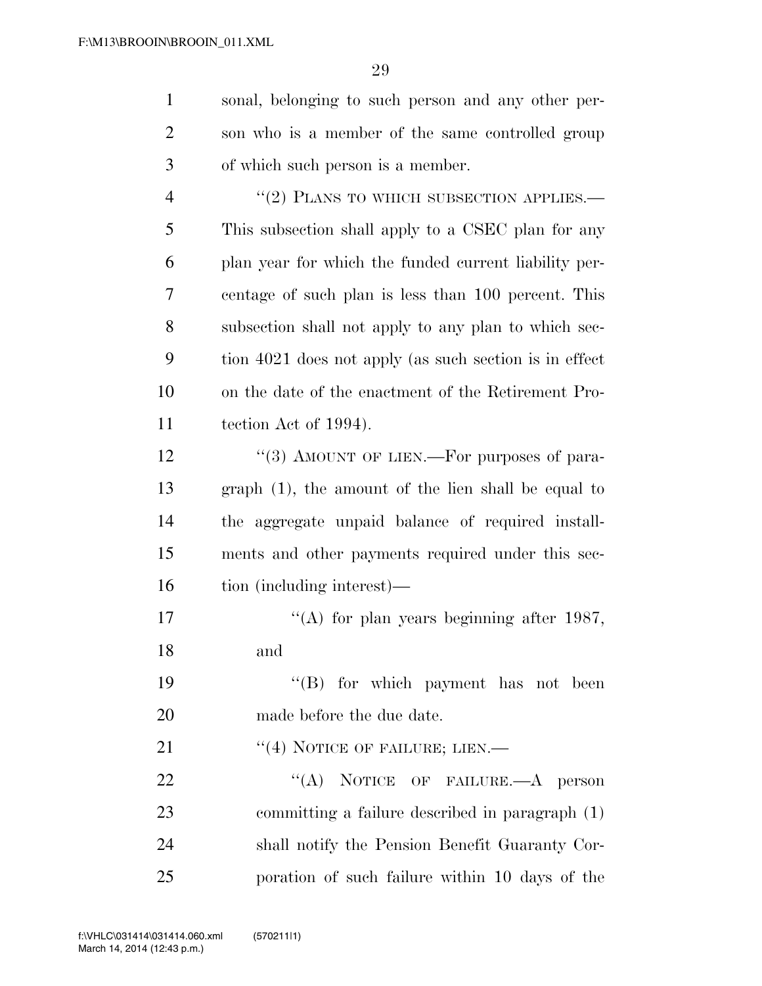sonal, belonging to such person and any other per-

 son who is a member of the same controlled group of which such person is a member. 4 "(2) PLANS TO WHICH SUBSECTION APPLIES. This subsection shall apply to a CSEC plan for any plan year for which the funded current liability per- centage of such plan is less than 100 percent. This subsection shall not apply to any plan to which sec- tion 4021 does not apply (as such section is in effect on the date of the enactment of the Retirement Pro- tection Act of 1994). 12 "(3) AMOUNT OF LIEN.—For purposes of para- graph (1), the amount of the lien shall be equal to the aggregate unpaid balance of required install- ments and other payments required under this sec- tion (including interest)— 17 ''(A) for plan years beginning after 1987, and 19 ''(B) for which payment has not been made before the due date. 21 "(4) NOTICE OF FAILURE; LIEN.— 22 "(A) NOTICE OF FAILURE.—A person committing a failure described in paragraph (1) shall notify the Pension Benefit Guaranty Cor-

poration of such failure within 10 days of the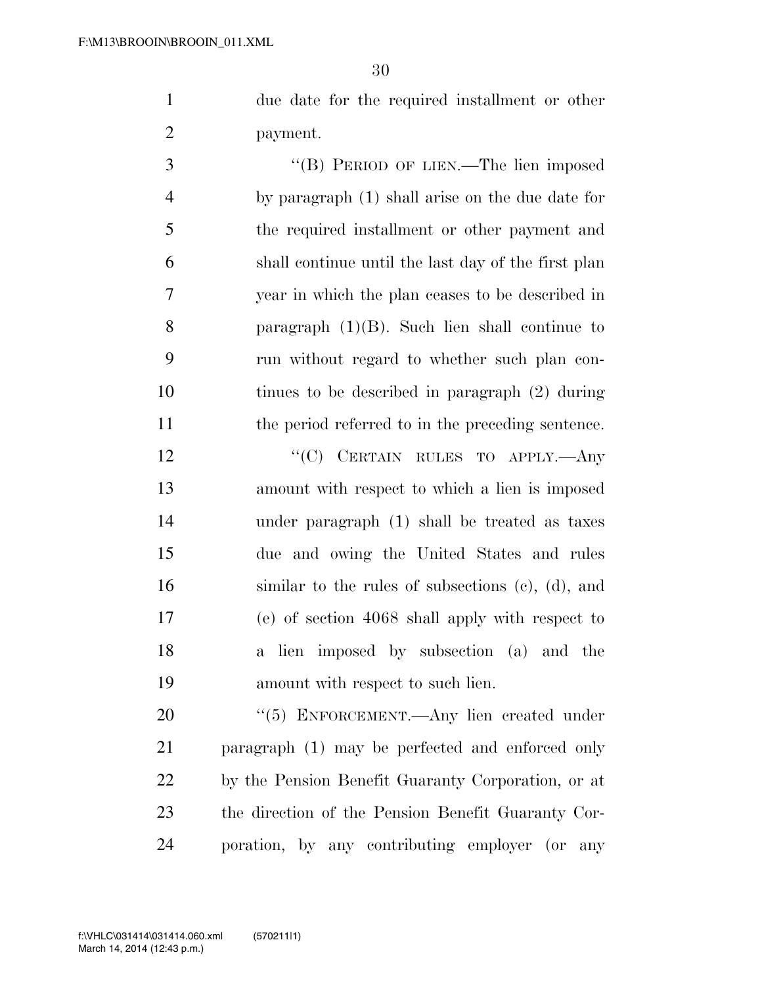due date for the required installment or other payment.

 ''(B) PERIOD OF LIEN.—The lien imposed by paragraph (1) shall arise on the due date for the required installment or other payment and shall continue until the last day of the first plan year in which the plan ceases to be described in paragraph (1)(B). Such lien shall continue to run without regard to whether such plan con- tinues to be described in paragraph (2) during the period referred to in the preceding sentence.

12 "'(C) CERTAIN RULES TO APPLY.—Any amount with respect to which a lien is imposed under paragraph (1) shall be treated as taxes due and owing the United States and rules similar to the rules of subsections (c), (d), and (e) of section 4068 shall apply with respect to a lien imposed by subsection (a) and the amount with respect to such lien.

20 "(5) ENFORCEMENT.—Any lien created under paragraph (1) may be perfected and enforced only by the Pension Benefit Guaranty Corporation, or at the direction of the Pension Benefit Guaranty Cor-poration, by any contributing employer (or any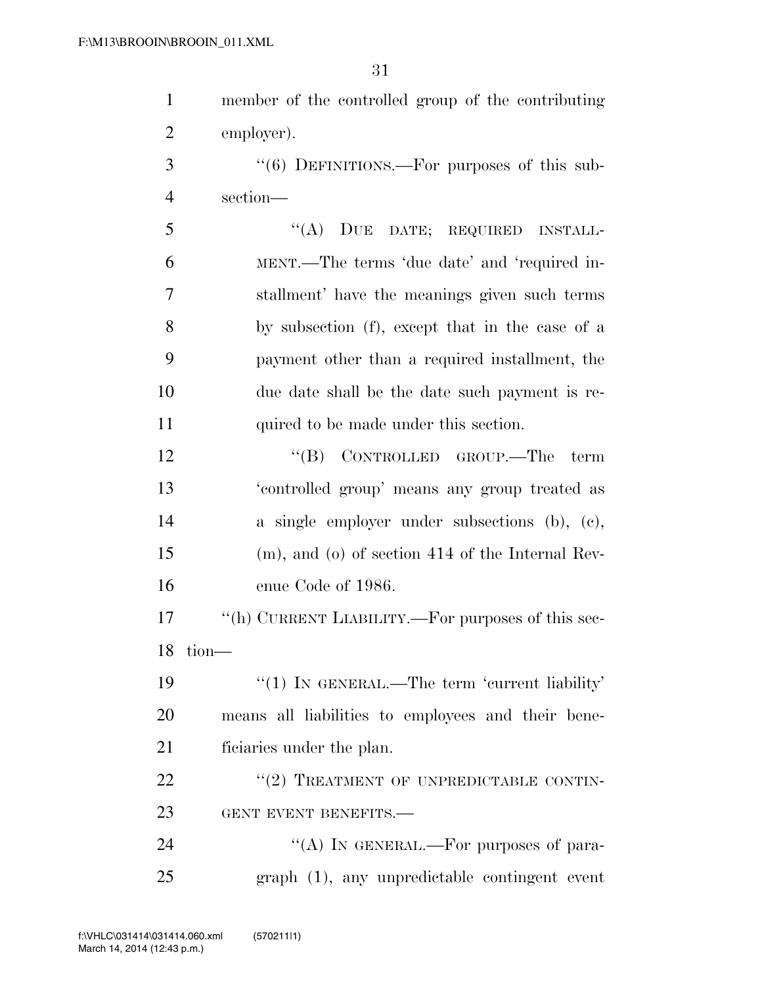| 1              | member of the controlled group of the contributing    |
|----------------|-------------------------------------------------------|
| $\overline{2}$ | employer).                                            |
| 3              | "(6) DEFINITIONS.—For purposes of this sub-           |
| $\overline{4}$ | section-                                              |
| 5              | DUE DATE; REQUIRED INSTALL-<br>$\lq\lq (A)$           |
| 6              | MENT.—The terms 'due date' and 'required in-          |
| $\overline{7}$ | stallment' have the meanings given such terms         |
| 8              | by subsection (f), except that in the case of a       |
| 9              | payment other than a required installment, the        |
| 10             | due date shall be the date such payment is re-        |
| 11             | quired to be made under this section.                 |
| 12             | "(B) CONTROLLED GROUP.—The term                       |
| 13             | 'controlled group' means any group treated as         |
| 14             | a single employer under subsections (b), (c),         |
| 15             | $(m)$ , and $(o)$ of section 414 of the Internal Rev- |
| 16             | enue Code of 1986.                                    |
| 17             | "(h) CURRENT LIABILITY.—For purposes of this sec-     |
| 18             | tion-                                                 |
| 19             | "(1) IN GENERAL.—The term 'current liability'         |
| 20             | means all liabilities to employees and their bene-    |
| 21             | ficiaries under the plan.                             |
| 22             | "(2) TREATMENT OF UNPREDICTABLE CONTIN-               |
| 23             | GENT EVENT BENEFITS.-                                 |

24  $((A)$  IN GENERAL.—For purposes of para-graph (1), any unpredictable contingent event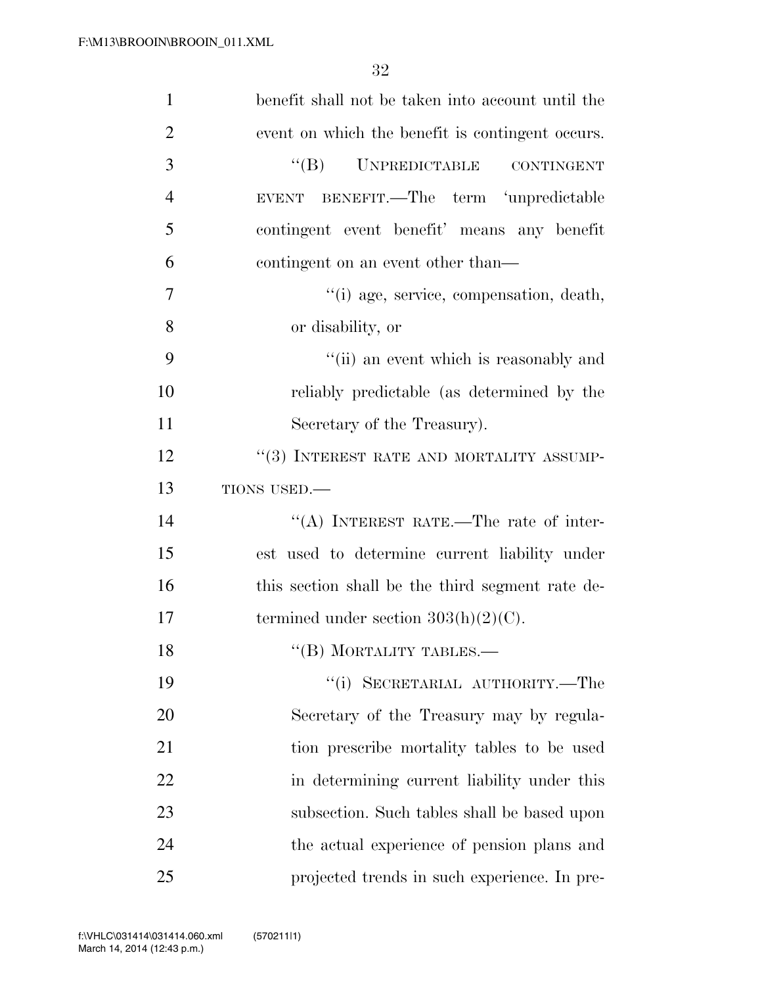| $\mathbf{1}$   | benefit shall not be taken into account until the |
|----------------|---------------------------------------------------|
| $\overline{2}$ | event on which the benefit is contingent occurs.  |
| 3              | "(B) UNPREDICTABLE CONTINGENT                     |
| $\overline{4}$ | BENEFIT.—The term 'unpredictable<br><b>EVENT</b>  |
| 5              | contingent event benefit' means any benefit       |
| 6              | contingent on an event other than—                |
| 7              | "(i) age, service, compensation, death,           |
| 8              | or disability, or                                 |
| 9              | "(ii) an event which is reasonably and            |
| 10             | reliably predictable (as determined by the        |
| 11             | Secretary of the Treasury).                       |
| 12             | "(3) INTEREST RATE AND MORTALITY ASSUMP-          |
| 13             | TIONS USED.-                                      |
| 14             | "(A) INTEREST RATE.—The rate of inter-            |
| 15             | est used to determine current liability under     |
| 16             | this section shall be the third segment rate de-  |
| 17             | termined under section $303(h)(2)(C)$ .           |
| 18             | "(B) MORTALITY TABLES.-                           |
| 19             | "(i) SECRETARIAL AUTHORITY.—The                   |
| 20             | Secretary of the Treasury may by regula-          |
| 21             | tion prescribe mortality tables to be used        |
| 22             | in determining current liability under this       |
| 23             | subsection. Such tables shall be based upon       |
| 24             | the actual experience of pension plans and        |
| 25             | projected trends in such experience. In pre-      |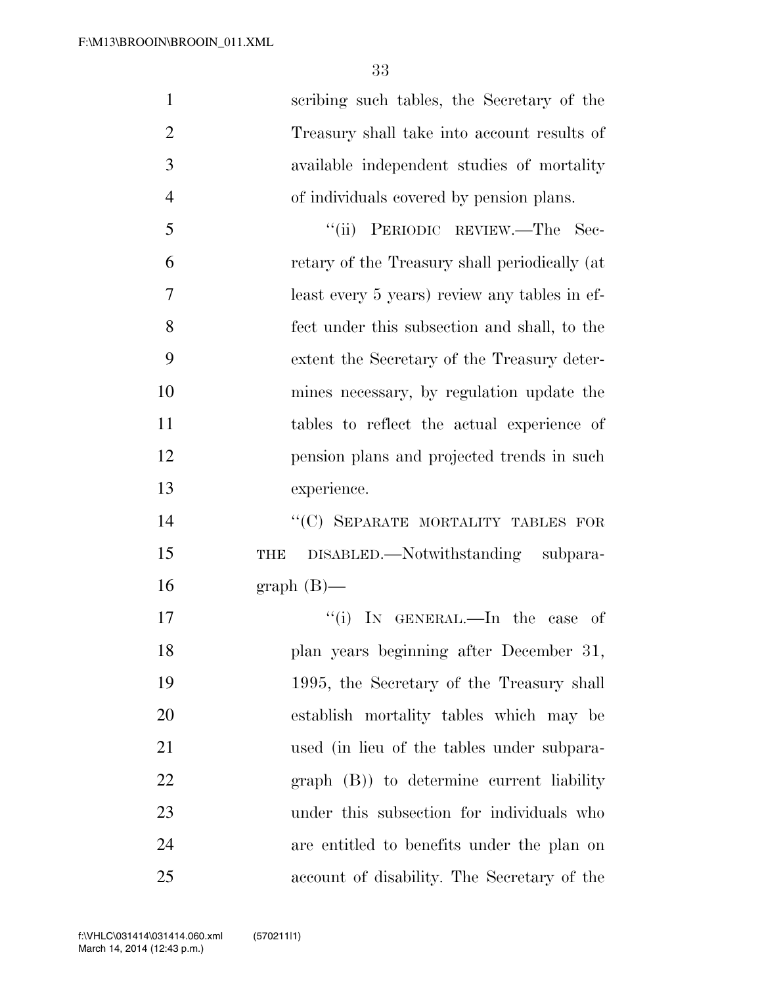| $\mathbf{1}$   | scribing such tables, the Secretary of the      |
|----------------|-------------------------------------------------|
| $\overline{2}$ | Treasury shall take into account results of     |
| 3              | available independent studies of mortality      |
| $\overline{4}$ | of individuals covered by pension plans.        |
| 5              | $\lq(\mathbf{ii})$<br>PERIODIC REVIEW.—The Sec- |
| 6              | retary of the Treasury shall periodically (at   |
| $\overline{7}$ | least every 5 years) review any tables in ef-   |
| 8              | fect under this subsection and shall, to the    |
| 9              | extent the Secretary of the Treasury deter-     |
| 10             | mines necessary, by regulation update the       |
| 11             | tables to reflect the actual experience of      |
| 12             | pension plans and projected trends in such      |
| 13             | experience.                                     |
| 14             | "(C) SEPARATE MORTALITY TABLES FOR              |
| 15             | DISABLED.—Notwithstanding subpara-<br>THE       |
| 16             | $graph(B)$ —                                    |
| 17             | "(i) IN GENERAL.—In the case of                 |
| 18             | plan years beginning after December 31,         |
| 19             | 1995, the Secretary of the Treasury shall       |
| 20             | establish mortality tables which may be         |
| 21             | used (in lieu of the tables under subpara-      |
| <u>22</u>      | graph (B)) to determine current liability       |
| 23             | under this subsection for individuals who       |
| 24             | are entitled to benefits under the plan on      |
| 25             | account of disability. The Secretary of the     |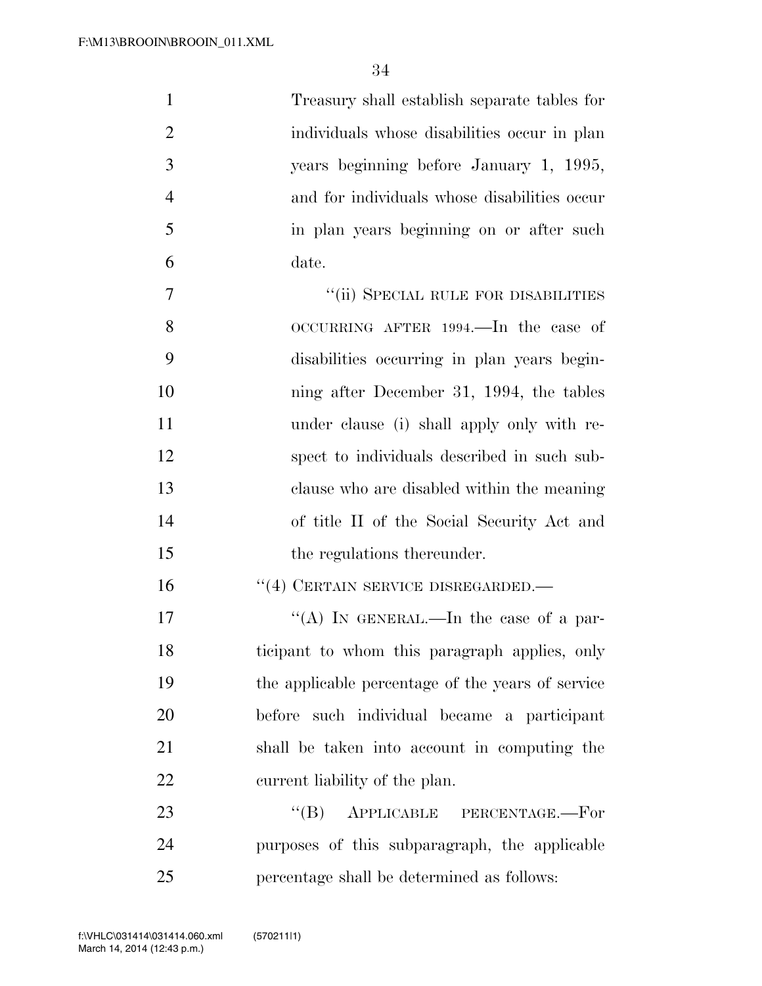| $\mathbf{1}$   | Treasury shall establish separate tables for      |
|----------------|---------------------------------------------------|
| $\overline{2}$ | individuals whose disabilities occur in plan      |
| 3              | years beginning before January 1, 1995,           |
| $\overline{4}$ | and for individuals whose disabilities occur      |
| 5              | in plan years beginning on or after such          |
| 6              | date.                                             |
| 7              | "(ii) SPECIAL RULE FOR DISABILITIES               |
| 8              | OCCURRING AFTER 1994.—In the case of              |
| 9              | disabilities occurring in plan years begin-       |
| 10             | ning after December 31, 1994, the tables          |
| 11             | under clause (i) shall apply only with re-        |
| 12             | spect to individuals described in such sub-       |
| 13             | clause who are disabled within the meaning        |
| 14             | of title II of the Social Security Act and        |
| 15             | the regulations thereunder.                       |
| 16             | $``(4)$ CERTAIN SERVICE DISREGARDED.—             |
| 17             | "(A) IN GENERAL.—In the case of a par-            |
| 18             | ticipant to whom this paragraph applies, only     |
| 19             | the applicable percentage of the years of service |
| 20             | before such individual became a participant       |
| 21             | shall be taken into account in computing the      |
| 22             | current liability of the plan.                    |
| 23             | $\lq\lq (B)$<br>APPLICABLE PERCENTAGE.-For        |
| 24             | purposes of this subparagraph, the applicable     |
| 25             | percentage shall be determined as follows:        |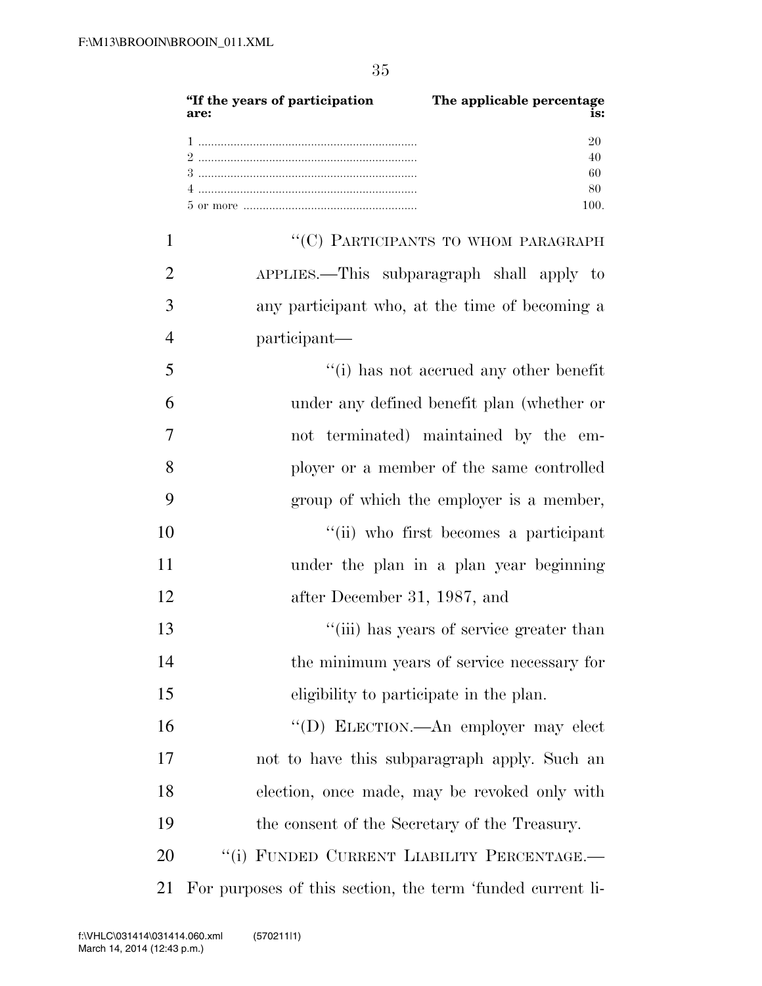|                | "If the years of participation<br>The applicable percentage<br>is:<br>are: |
|----------------|----------------------------------------------------------------------------|
|                | 20<br>40<br>60<br>80<br>100.                                               |
| 1              | "(C) PARTICIPANTS TO WHOM PARAGRAPH                                        |
| $\overline{2}$ | APPLIES.—This subparagraph shall apply to                                  |
| 3              | any participant who, at the time of becoming a                             |
| $\overline{4}$ | participant—                                                               |
| 5              | "(i) has not accrued any other benefit                                     |
| 6              | under any defined benefit plan (whether or                                 |
| 7              | not terminated) maintained by the em-                                      |
| 8              | ployer or a member of the same controlled                                  |
| 9              | group of which the employer is a member,                                   |
| 10             | "(ii) who first becomes a participant                                      |
| 11             | under the plan in a plan year beginning                                    |
| 12             | after December 31, 1987, and                                               |
| 13             | "(iii) has years of service greater than                                   |
| 14             | the minimum years of service necessary for                                 |
| 15             | eligibility to participate in the plan.                                    |
| 16             | "(D) ELECTION.—An employer may elect                                       |

not to have this subparagraph apply. Such an

election, once made, may be revoked only with

20 "(i) FUNDED CURRENT LIABILITY PERCENTAGE.—

For purposes of this section, the term 'funded current li-

the consent of the Secretary of the Treasury.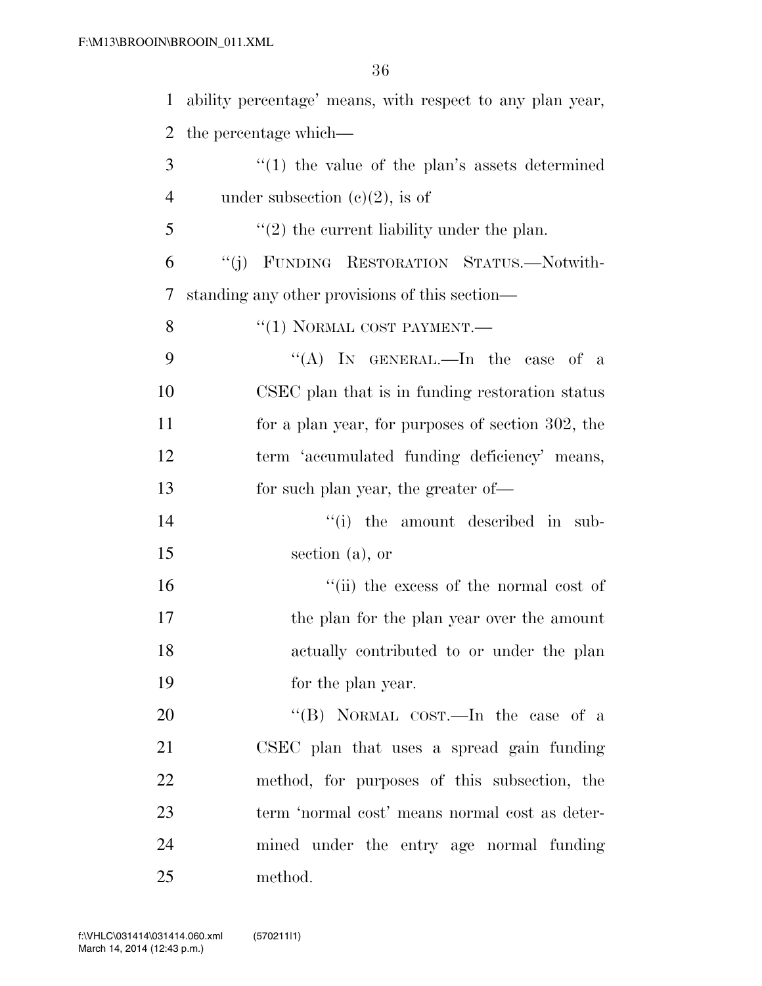| 1  | ability percentage' means, with respect to any plan year, |
|----|-----------------------------------------------------------|
| 2  | the percentage which—                                     |
| 3  | $\lq(1)$ the value of the plan's assets determined        |
| 4  | under subsection $(c)(2)$ , is of                         |
| 5  | $\lq(2)$ the current liability under the plan.            |
| 6  | "(j) FUNDING RESTORATION STATUS.—Notwith-                 |
| 7  | standing any other provisions of this section—            |
| 8  | $``(1)$ NORMAL COST PAYMENT.—                             |
| 9  | "(A) IN GENERAL.—In the case of a                         |
| 10 | CSEC plan that is in funding restoration status           |
| 11 | for a plan year, for purposes of section 302, the         |
| 12 | term 'accumulated funding deficiency' means,              |
| 13 | for such plan year, the greater of—                       |
| 14 | "(i) the amount described in sub-                         |
| 15 | section $(a)$ , or                                        |
| 16 | "(ii) the excess of the normal cost of                    |
| 17 | the plan for the plan year over the amount                |
| 18 | actually contributed to or under the plan                 |
| 19 | for the plan year.                                        |
| 20 | "(B) NORMAL COST.—In the case of a                        |
| 21 | CSEC plan that uses a spread gain funding                 |
| 22 | method, for purposes of this subsection, the              |
| 23 | term 'normal cost' means normal cost as deter-            |
| 24 | mined under the entry age normal funding                  |
| 25 | method.                                                   |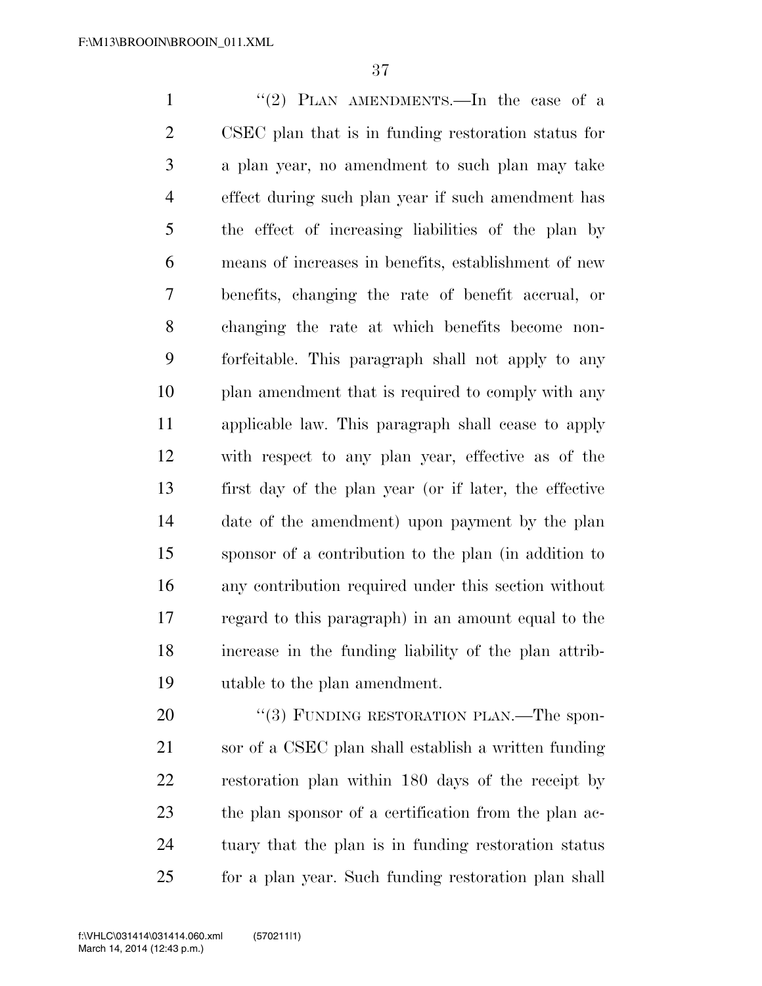1 ''(2) PLAN AMENDMENTS.—In the case of a CSEC plan that is in funding restoration status for a plan year, no amendment to such plan may take effect during such plan year if such amendment has the effect of increasing liabilities of the plan by means of increases in benefits, establishment of new benefits, changing the rate of benefit accrual, or changing the rate at which benefits become non- forfeitable. This paragraph shall not apply to any plan amendment that is required to comply with any applicable law. This paragraph shall cease to apply with respect to any plan year, effective as of the first day of the plan year (or if later, the effective date of the amendment) upon payment by the plan sponsor of a contribution to the plan (in addition to any contribution required under this section without regard to this paragraph) in an amount equal to the increase in the funding liability of the plan attrib-utable to the plan amendment.

20 "(3) FUNDING RESTORATION PLAN.—The spon- sor of a CSEC plan shall establish a written funding restoration plan within 180 days of the receipt by the plan sponsor of a certification from the plan ac- tuary that the plan is in funding restoration status for a plan year. Such funding restoration plan shall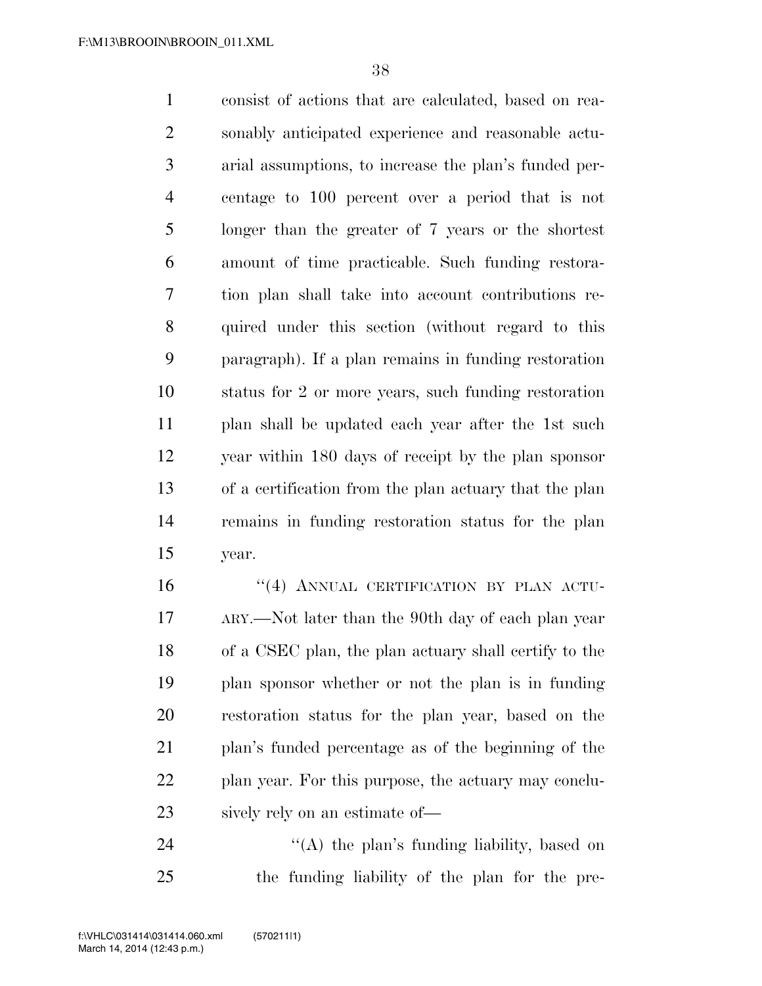consist of actions that are calculated, based on rea- sonably anticipated experience and reasonable actu- arial assumptions, to increase the plan's funded per- centage to 100 percent over a period that is not longer than the greater of 7 years or the shortest amount of time practicable. Such funding restora- tion plan shall take into account contributions re- quired under this section (without regard to this paragraph). If a plan remains in funding restoration status for 2 or more years, such funding restoration plan shall be updated each year after the 1st such year within 180 days of receipt by the plan sponsor of a certification from the plan actuary that the plan remains in funding restoration status for the plan year.

16 "(4) ANNUAL CERTIFICATION BY PLAN ACTU- ARY.—Not later than the 90th day of each plan year of a CSEC plan, the plan actuary shall certify to the plan sponsor whether or not the plan is in funding restoration status for the plan year, based on the plan's funded percentage as of the beginning of the plan year. For this purpose, the actuary may conclu-sively rely on an estimate of—

24 "(A) the plan's funding liability, based on the funding liability of the plan for the pre-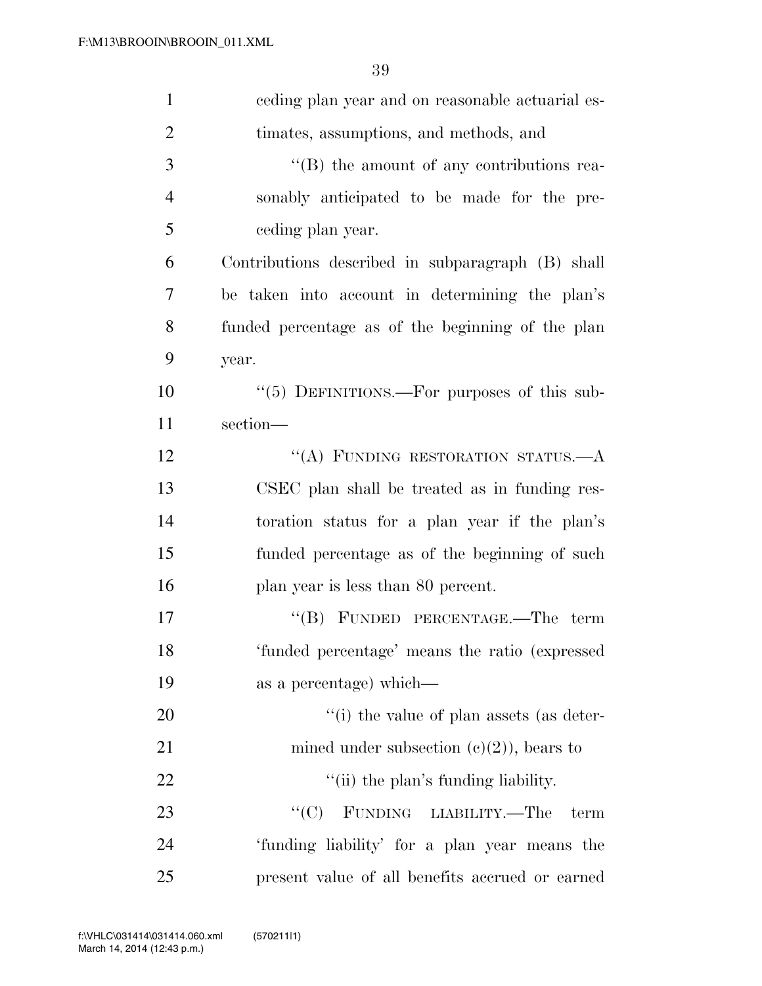| $\mathbf{1}$   | eeding plan year and on reasonable actuarial es-  |
|----------------|---------------------------------------------------|
| $\overline{2}$ | timates, assumptions, and methods, and            |
| 3              | $\lq\lq (B)$ the amount of any contributions rea- |
| 4              | sonably anticipated to be made for the pre-       |
| 5              | ceding plan year.                                 |
| 6              | Contributions described in subparagraph (B) shall |
| 7              | be taken into account in determining the plan's   |
| 8              | funded percentage as of the beginning of the plan |
| 9              | year.                                             |
| 10             | "(5) DEFINITIONS.—For purposes of this sub-       |
| 11             | section-                                          |
| 12             | "(A) FUNDING RESTORATION STATUS. $-A$             |
| 13             | CSEC plan shall be treated as in funding res-     |
| 14             | toration status for a plan year if the plan's     |
| 15             | funded percentage as of the beginning of such     |
| 16             | plan year is less than 80 percent.                |
| 17             | "(B) FUNDED PERCENTAGE.—The term                  |
| 18             | 'funded percentage' means the ratio (expressed    |
| 19             | as a percentage) which—                           |
| 20             | "(i) the value of plan assets (as deter-          |
| 21             | mined under subsection $(c)(2)$ , bears to        |
| 22             | "(ii) the plan's funding liability.               |
| 23             | FUNDING LIABILITY.—The<br>``(C)<br>term           |
| 24             | 'funding liability' for a plan year means the     |
| 25             | present value of all benefits accrued or earned   |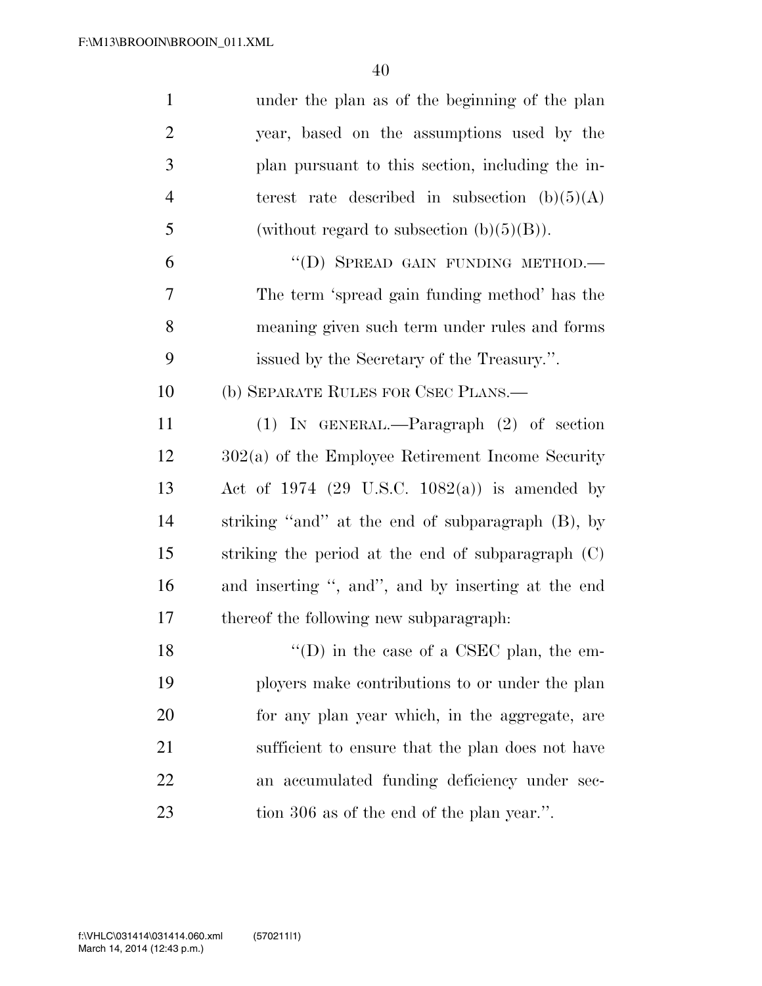| $\mathbf{1}$   | under the plan as of the beginning of the plan      |
|----------------|-----------------------------------------------------|
| $\overline{2}$ | year, based on the assumptions used by the          |
| 3              | plan pursuant to this section, including the in-    |
| $\overline{4}$ | terest rate described in subsection $(b)(5)(A)$     |
| 5              | (without regard to subsection $(b)(5)(B)$ ).        |
| 6              | "(D) SPREAD GAIN FUNDING METHOD.-                   |
| 7              | The term 'spread gain funding method' has the       |
| 8              | meaning given such term under rules and forms       |
| 9              | issued by the Secretary of the Treasury.".          |
| 10             | (b) SEPARATE RULES FOR CSEC PLANS.—                 |
| 11             | (1) IN GENERAL.—Paragraph $(2)$ of section          |
| 12             | $302(a)$ of the Employee Retirement Income Security |
| 13             | Act of 1974 (29 U.S.C. 1082(a)) is amended by       |
| 14             | striking "and" at the end of subparagraph (B), by   |
| 15             | striking the period at the end of subparagraph (C)  |
| 16             | and inserting ", and", and by inserting at the end  |
| 17             | thereof the following new subparagraph:             |
| 18             | $\lq\lq$ (D) in the case of a CSEC plan, the em-    |
| 19             | ployers make contributions to or under the plan     |
| 20             | for any plan year which, in the aggregate, are      |
| 21             | sufficient to ensure that the plan does not have    |
| 22             | an accumulated funding deficiency under sec-        |
| 23             | tion 306 as of the end of the plan year.".          |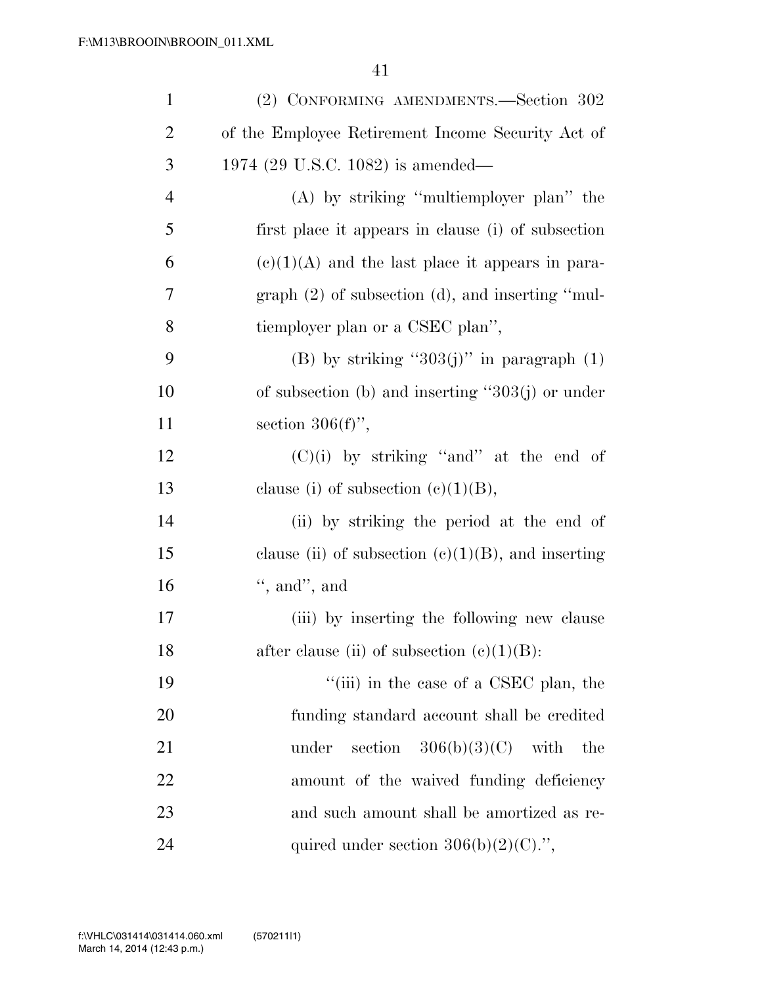| $\mathbf{1}$   | (2) CONFORMING AMENDMENTS.—Section 302                |
|----------------|-------------------------------------------------------|
| $\overline{2}$ | of the Employee Retirement Income Security Act of     |
| 3              | 1974 (29 U.S.C. 1082) is amended—                     |
| $\overline{4}$ | $(A)$ by striking "multiemployer plan" the            |
| 5              | first place it appears in clause (i) of subsection    |
| 6              | $(e)(1)(A)$ and the last place it appears in para-    |
| 7              | graph $(2)$ of subsection $(d)$ , and inserting "mul- |
| 8              | tiemployer plan or a CSEC plan",                      |
| 9              | (B) by striking " $303(j)$ " in paragraph (1)         |
| 10             | of subsection (b) and inserting " $303(j)$ or under   |
| 11             | section $306(f)$ ,                                    |
| 12             | $(C)(i)$ by striking "and" at the end of              |
| 13             | clause (i) of subsection $(c)(1)(B)$ ,                |
| 14             | (ii) by striking the period at the end of             |
| 15             | clause (ii) of subsection $(c)(1)(B)$ , and inserting |
| 16             | $\lq$ , and", and                                     |
| 17             | (iii) by inserting the following new clause           |
| 18             | after clause (ii) of subsection $(e)(1)(B)$ :         |
| 19             | "(iii) in the case of a CSEC plan, the                |
| 20             | funding standard account shall be credited            |
| 21             | section $306(b)(3)(C)$ with<br>under<br>the           |
| 22             | amount of the waived funding deficiency               |
| 23             | and such amount shall be amortized as re-             |
| 24             | quired under section $306(b)(2)(C)$ .",               |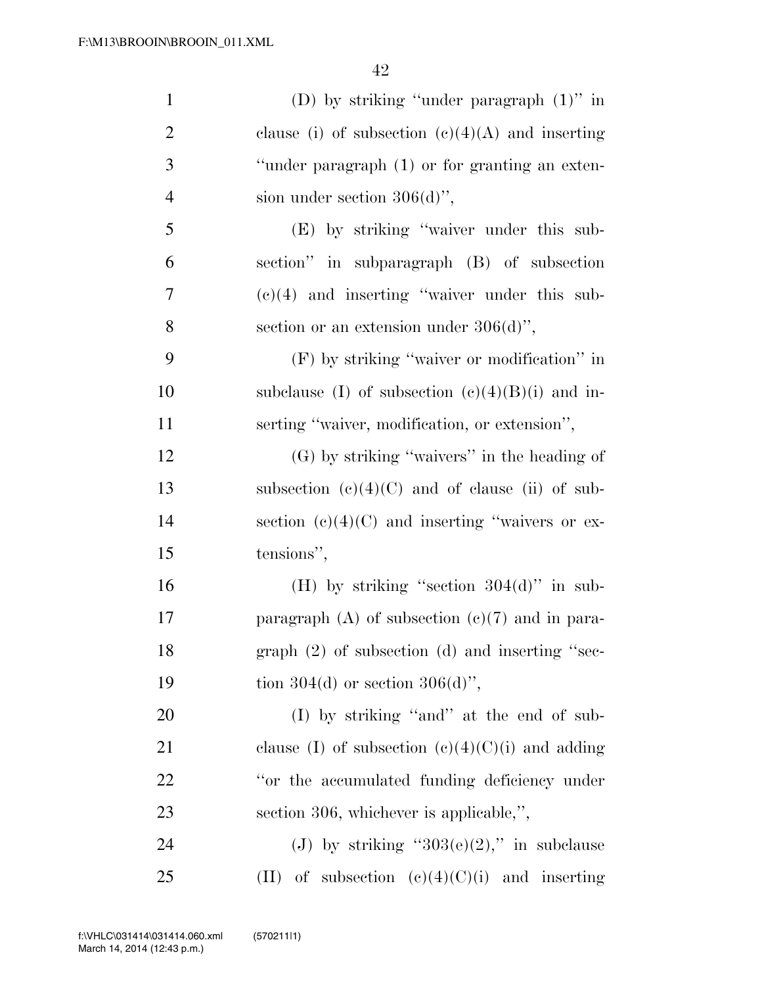| $\mathbf{1}$   | (D) by striking "under paragraph $(1)$ " in         |
|----------------|-----------------------------------------------------|
| $\overline{2}$ | clause (i) of subsection $(c)(4)(A)$ and inserting  |
| 3              | "under paragraph (1) or for granting an exten-      |
| $\overline{4}$ | sion under section $306(d)$ ",                      |
| 5              | (E) by striking "waiver under this sub-             |
| 6              | section" in subparagraph (B) of subsection          |
| 7              | $(e)(4)$ and inserting "waiver under this sub-      |
| 8              | section or an extension under $306(d)$ ",           |
| 9              | (F) by striking "waiver or modification" in         |
| 10             | subclause (I) of subsection $(e)(4)(B)(i)$ and in-  |
| 11             | serting "waiver, modification, or extension",       |
| 12             | $(G)$ by striking "waivers" in the heading of       |
| 13             | subsection $(c)(4)(C)$ and of clause (ii) of sub-   |
| 14             | section $(c)(4)(C)$ and inserting "waivers or ex-   |
| 15             | tensions",                                          |
| 16             | (H) by striking "section $304(d)$ " in sub-         |
| 17             | paragraph $(A)$ of subsection $(e)(7)$ and in para- |
| 18             | graph $(2)$ of subsection $(d)$ and inserting "sec- |
| 19             | tion 304(d) or section 306(d)",                     |
| <b>20</b>      | (I) by striking "and" at the end of sub-            |
| 21             | clause (I) of subsection $(e)(4)(C)(i)$ and adding  |
| 22             | "or the accumulated funding deficiency under        |
| 23             | section 306, whichever is applicable,",             |
| 24             | (J) by striking " $303(e)(2)$ ," in subclause       |
| 25             | (II) of subsection $(e)(4)(C)(i)$ and inserting     |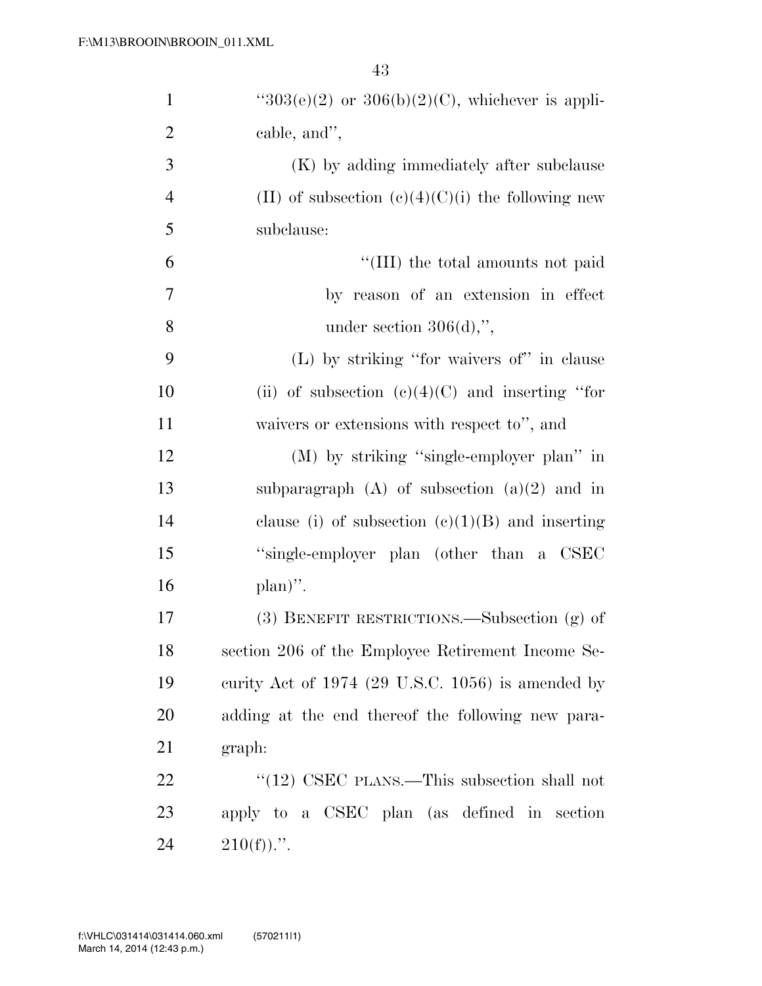| $\mathbf{1}$   | " $303(e)(2)$ or $306(b)(2)(C)$ , whichever is appli- |
|----------------|-------------------------------------------------------|
| $\overline{2}$ | cable, and",                                          |
| 3              | (K) by adding immediately after subclause             |
| $\overline{4}$ | (II) of subsection $(c)(4)(C)(i)$ the following new   |
| 5              | subclause:                                            |
| 6              | "(III) the total amounts not paid                     |
| $\tau$         | by reason of an extension in effect                   |
| 8              | under section $306(d)$ ,",                            |
| 9              | (L) by striking "for waivers of" in clause            |
| 10             | (ii) of subsection $(e)(4)(C)$ and inserting "for     |
| 11             | waivers or extensions with respect to", and           |
| 12             | (M) by striking "single-employer plan" in             |
| 13             | subparagraph $(A)$ of subsection $(a)(2)$ and in      |
| 14             | clause (i) of subsection $(e)(1)(B)$ and inserting    |
| 15             | "single-employer plan (other than a CSEC              |
| 16             | $plan)$ ".                                            |
| 17             | (3) BENEFIT RESTRICTIONS.—Subsection (g) of           |
| 18             | section 206 of the Employee Retirement Income Se-     |
| 19             | curity Act of $1974$ (29 U.S.C. 1056) is amended by   |
| 20             | adding at the end thereof the following new para-     |
| 21             | graph:                                                |
| 22             | " $(12)$ CSEC PLANS.—This subsection shall not        |
| 23             | apply to a CSEC plan (as defined in section           |
| 24             | $210(f)$ .".                                          |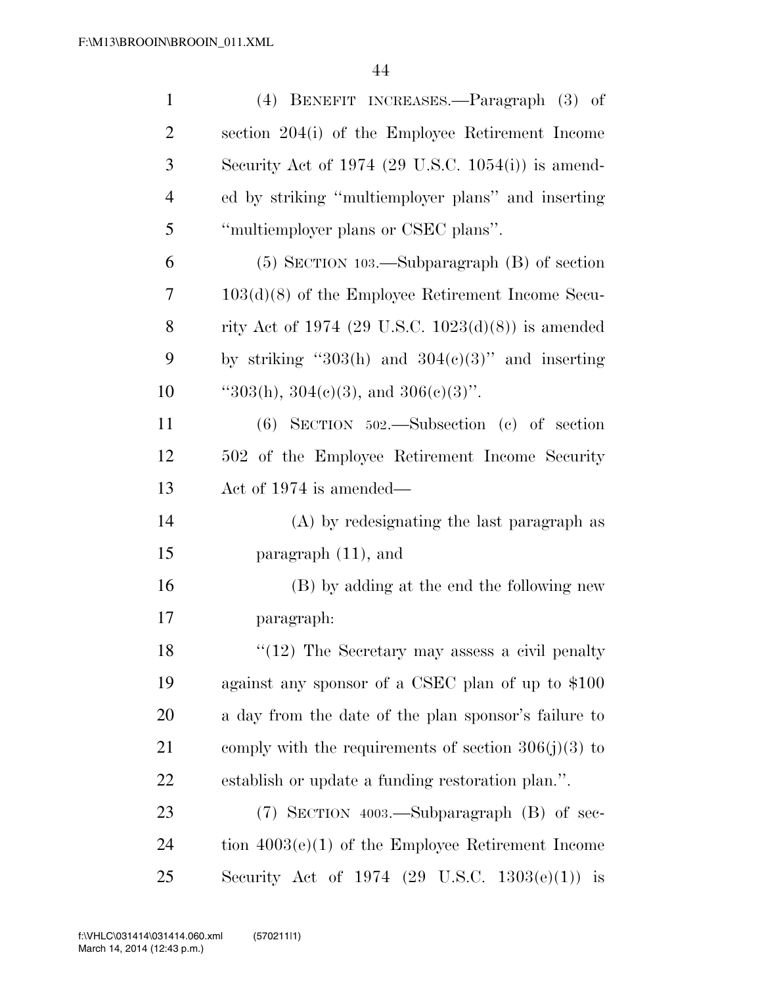| $\mathbf{1}$   | (4) BENEFIT INCREASES.—Paragraph (3) of                       |
|----------------|---------------------------------------------------------------|
| $\overline{2}$ | section 204(i) of the Employee Retirement Income              |
| 3              | Security Act of 1974 $(29 \text{ U.S.C. } 1054(i))$ is amend- |
| $\overline{4}$ | ed by striking "multiemployer plans" and inserting            |
| 5              | "multiemployer plans or CSEC plans".                          |
| 6              | $(5)$ SECTION 103.—Subparagraph $(B)$ of section              |
| 7              | $103(d)(8)$ of the Employee Retirement Income Secu-           |
| 8              | rity Act of 1974 (29 U.S.C. 1023(d)(8)) is amended            |
| 9              | by striking "303(h) and $304(c)(3)$ " and inserting           |
| 10             | "303(h), 304(e)(3), and 306(e)(3)".                           |
| 11             | $(6)$ SECTION 502.—Subsection $(c)$ of section                |
| 12             | 502 of the Employee Retirement Income Security                |
| 13             | Act of $1974$ is amended—                                     |
| 14             | (A) by redesignating the last paragraph as                    |
| 15             | paragraph $(11)$ , and                                        |
| 16             | (B) by adding at the end the following new                    |
| 17             | paragraph:                                                    |
| 18             | $"(12)$ The Secretary may assess a civil penalty              |
| 19             | against any sponsor of a CSEC plan of up to \$100             |
| 20             | a day from the date of the plan sponsor's failure to          |
| 21             | comply with the requirements of section $306(j)(3)$ to        |
| 22             | establish or update a funding restoration plan.".             |
| 23             | $(7)$ SECTION 4003.—Subparagraph $(B)$ of sec-                |
| 24             | tion $4003(e)(1)$ of the Employee Retirement Income           |
| 25             | Security Act of 1974 (29 U.S.C. 1303(e)(1))<br>$\frac{1}{1}$  |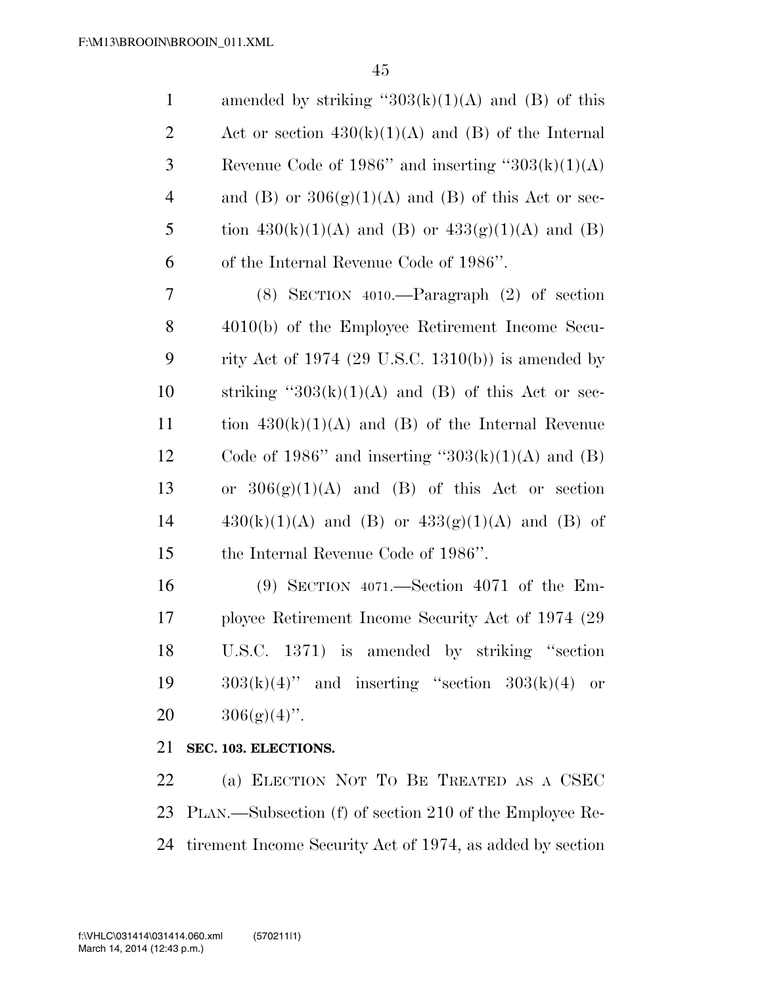| $\mathbf{1}$   | amended by striking " $303(k)(1)(A)$ and (B) of this  |
|----------------|-------------------------------------------------------|
| $\overline{2}$ | Act or section $430(k)(1)(A)$ and (B) of the Internal |
| 3              | Revenue Code of 1986" and inserting " $303(k)(1)(A)$  |
| $\overline{4}$ | and (B) or $306(g)(1)(A)$ and (B) of this Act or sec- |
| 5              | tion $430(k)(1)(A)$ and (B) or $433(g)(1)(A)$ and (B) |
| 6              | of the Internal Revenue Code of 1986".                |
| 7              | $(8)$ SECTION 4010.—Paragraph $(2)$ of section        |
| 8              | 4010(b) of the Employee Retirement Income Secu-       |
| 9              | rity Act of 1974 (29 U.S.C. 1310(b)) is amended by    |
| 10             | striking " $303(k)(1)(A)$ and (B) of this Act or sec- |
| 11             | tion $430(k)(1)(A)$ and (B) of the Internal Revenue   |
| 12             | Code of 1986" and inserting " $303(k)(1)(A)$ and (B)  |
| 13             | or $306(g)(1)(A)$ and (B) of this Act or section      |
| 14             | $430(k)(1)(A)$ and (B) or $433(g)(1)(A)$ and (B) of   |
| 15             | the Internal Revenue Code of 1986".                   |
| 16             | $(9)$ SECTION 4071.—Section 4071 of the Em-           |
| 17             | ployee Retirement Income Security Act of 1974 (29)    |
| 18             | U.S.C. 1371) is amended by striking "section          |
| 19             | $303(k)(4)$ " and inserting "section $303(k)(4)$ or   |
| 20             | $306(g)(4)$ ".                                        |

## **SEC. 103. ELECTIONS.**

 (a) ELECTION NOT TO BE TREATED AS A CSEC PLAN.—Subsection (f) of section 210 of the Employee Re-tirement Income Security Act of 1974, as added by section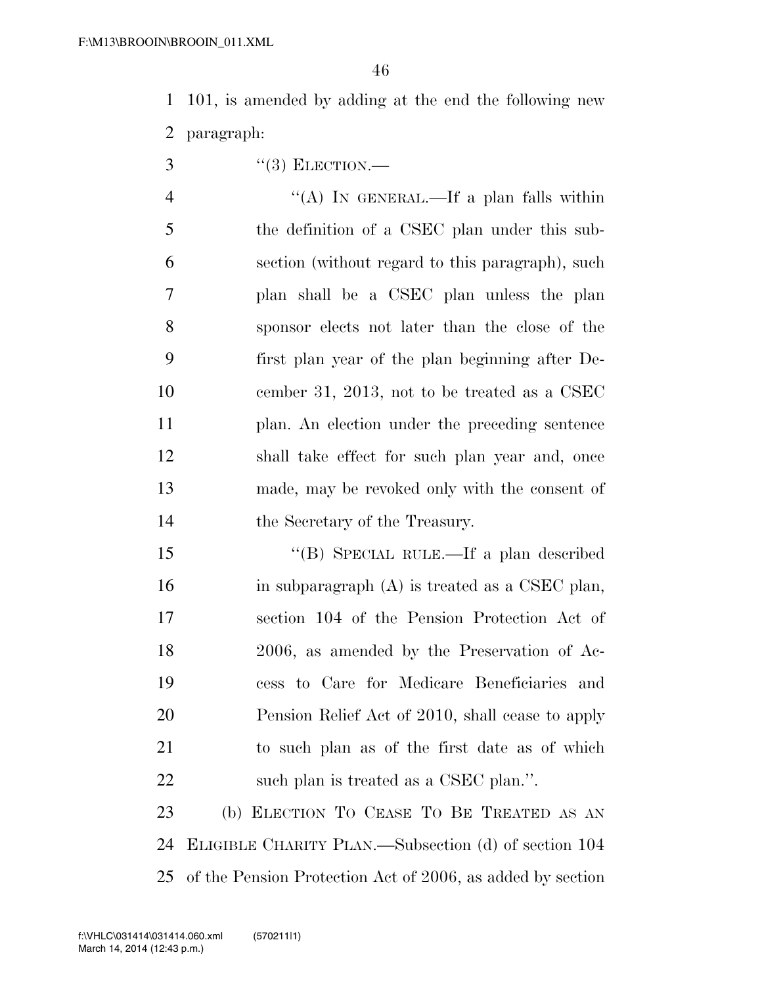101, is amended by adding at the end the following new paragraph:

 $3 \qquad \qquad$  "(3) ELECTION.—

 ''(A) IN GENERAL.—If a plan falls within the definition of a CSEC plan under this sub- section (without regard to this paragraph), such plan shall be a CSEC plan unless the plan sponsor elects not later than the close of the first plan year of the plan beginning after De- cember 31, 2013, not to be treated as a CSEC plan. An election under the preceding sentence shall take effect for such plan year and, once made, may be revoked only with the consent of the Secretary of the Treasury.

 ''(B) SPECIAL RULE.—If a plan described 16 in subparagraph (A) is treated as a CSEC plan, section 104 of the Pension Protection Act of 2006, as amended by the Preservation of Ac- cess to Care for Medicare Beneficiaries and Pension Relief Act of 2010, shall cease to apply to such plan as of the first date as of which 22 such plan is treated as a CSEC plan.".

 (b) ELECTION TO CEASE TO BE TREATED AS AN ELIGIBLE CHARITY PLAN.—Subsection (d) of section 104 of the Pension Protection Act of 2006, as added by section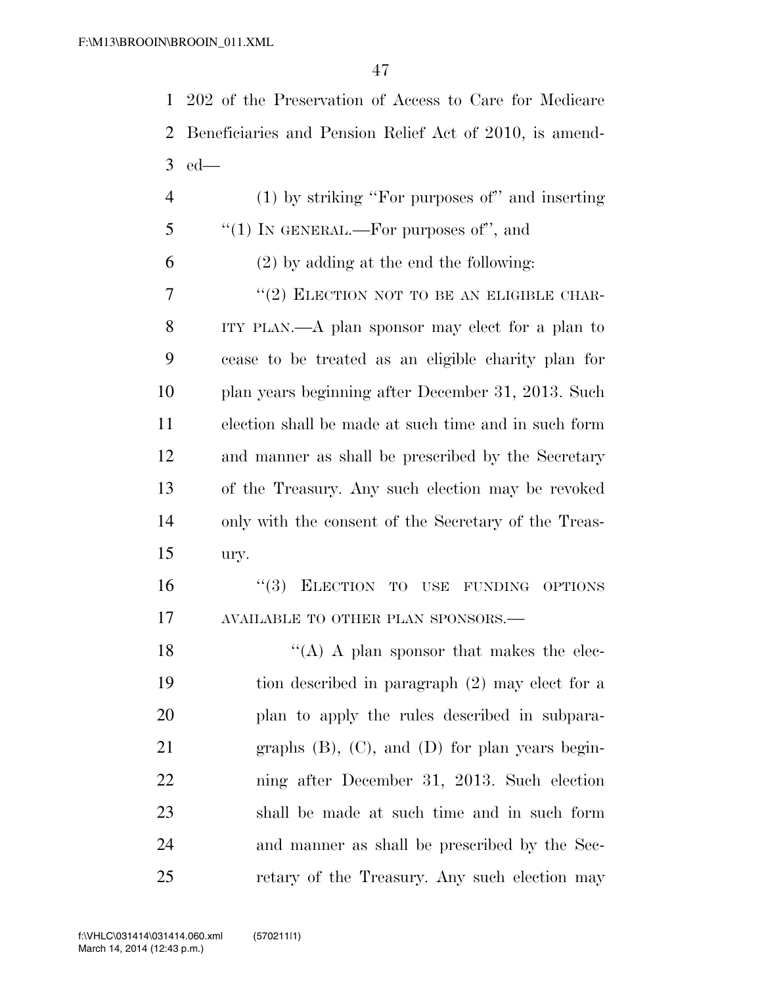202 of the Preservation of Access to Care for Medicare Beneficiaries and Pension Relief Act of 2010, is amend-ed—

 (1) by striking ''For purposes of'' and inserting ''(1) In GENERAL.—For purposes of", and (2) by adding at the end the following: "(2) ELECTION NOT TO BE AN ELIGIBLE CHAR- ITY PLAN.—A plan sponsor may elect for a plan to cease to be treated as an eligible charity plan for plan years beginning after December 31, 2013. Such election shall be made at such time and in such form and manner as shall be prescribed by the Secretary of the Treasury. Any such election may be revoked only with the consent of the Secretary of the Treas-ury.

 ''(3) ELECTION TO USE FUNDING OPTIONS 17 AVAILABLE TO OTHER PLAN SPONSORS.—

 $((A)$  A plan sponsor that makes the elec- tion described in paragraph (2) may elect for a plan to apply the rules described in subpara- graphs (B), (C), and (D) for plan years begin- ning after December 31, 2013. Such election shall be made at such time and in such form and manner as shall be prescribed by the Sec-retary of the Treasury. Any such election may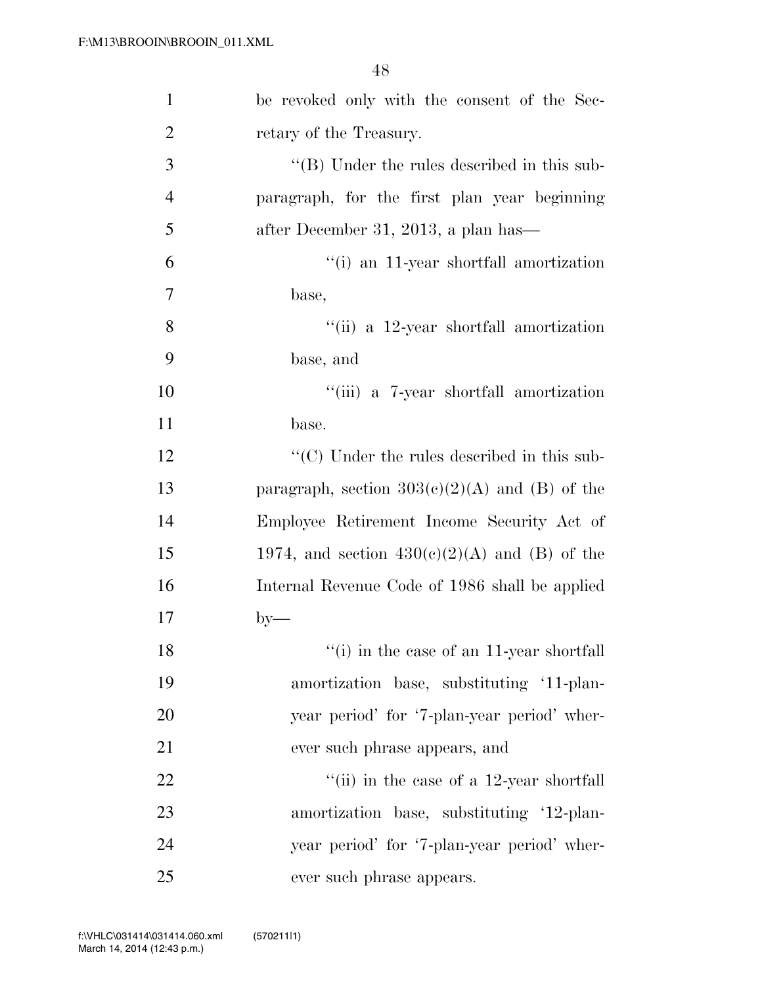| $\mathbf{1}$   | be revoked only with the consent of the Sec-        |
|----------------|-----------------------------------------------------|
| $\overline{2}$ | retary of the Treasury.                             |
| 3              | $\lq\lq$ (B) Under the rules described in this sub- |
| $\overline{4}$ | paragraph, for the first plan year beginning        |
| 5              | after December 31, 2013, a plan has—                |
| 6              | "(i) an 11-year shortfall amortization              |
| $\overline{7}$ | base,                                               |
| 8              | $\lq$ (ii) a 12-year shortfall amortization         |
| 9              | base, and                                           |
| 10             | "(iii) a 7-year shortfall amortization              |
| 11             | base.                                               |
| 12             | "(C) Under the rules described in this sub-         |
| 13             | paragraph, section $303(e)(2)(A)$ and (B) of the    |
| 14             | Employee Retirement Income Security Act of          |
| 15             | 1974, and section $430(c)(2)(A)$ and (B) of the     |
| 16             | Internal Revenue Code of 1986 shall be applied      |
| 17             | $by-$                                               |
| 18             | "(i) in the case of an 11-year shortfall            |
| 19             | amortization base, substituting '11-plan-           |
| 20             | year period' for '7-plan-year period' wher-         |
| 21             | ever such phrase appears, and                       |
| 22             | "(ii) in the case of a $12$ -year shortfall         |
| 23             | amortization base, substituting '12-plan-           |
| 24             | year period' for '7-plan-year period' wher-         |
| 25             | ever such phrase appears.                           |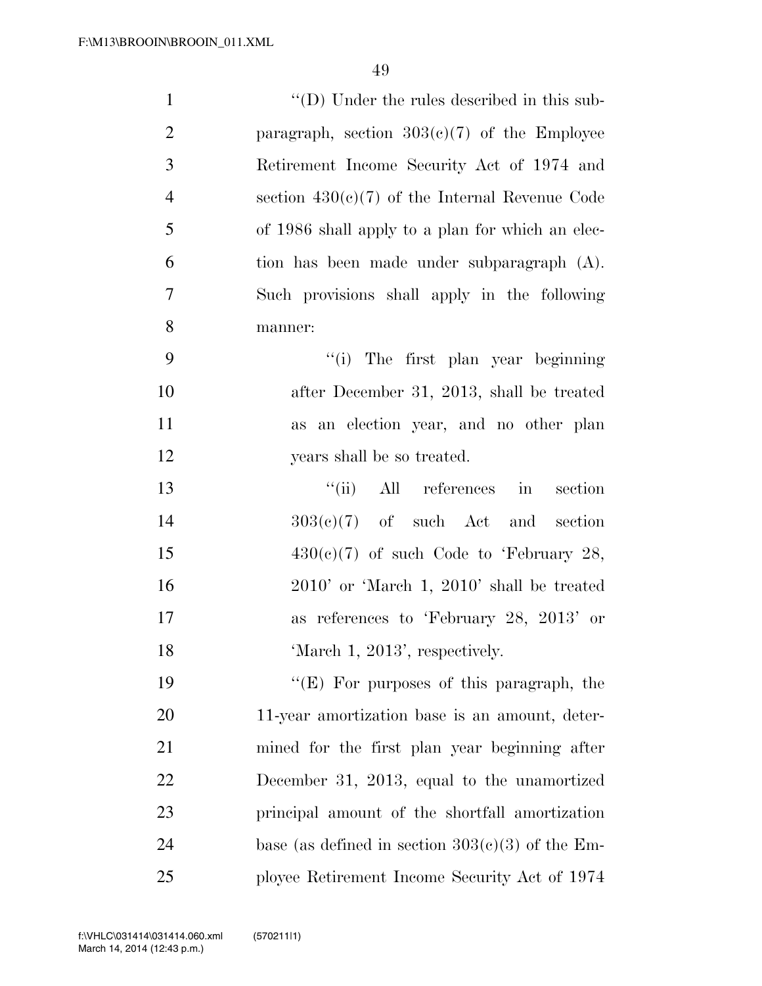| $\mathbf{1}$   | "(D) Under the rules described in this sub-        |
|----------------|----------------------------------------------------|
| $\overline{2}$ | paragraph, section $303(c)(7)$ of the Employee     |
| 3              | Retirement Income Security Act of 1974 and         |
| $\overline{4}$ | section $430(c)(7)$ of the Internal Revenue Code   |
| 5              | of 1986 shall apply to a plan for which an elec-   |
| 6              | tion has been made under subparagraph (A).         |
| 7              | Such provisions shall apply in the following       |
| $8\,$          | manner:                                            |
| 9              | "(i) The first plan year beginning                 |
| 10             | after December 31, 2013, shall be treated          |
| 11             | as an election year, and no other plan             |
| 12             | years shall be so treated.                         |
| 13             | All references in<br>``(ii)<br>section             |
| 14             | $303(e)(7)$ of such Act and section                |
| 15             | $430(c)(7)$ of such Code to 'February 28,          |
| 16             | $2010'$ or 'March 1, $2010'$ shall be treated      |
| 17             | as references to 'February 28, 2013' or            |
| 18             | 'March 1, 2013', respectively.                     |
| 19             | " $(E)$ For purposes of this paragraph, the        |
| 20             | 11-year amortization base is an amount, deter-     |
| 21             | mined for the first plan year beginning after      |
| 22             | December 31, 2013, equal to the unamortized        |
| 23             | principal amount of the shortfall amortization     |
| 24             | base (as defined in section $303(c)(3)$ of the Em- |
| 25             | ployee Retirement Income Security Act of 1974      |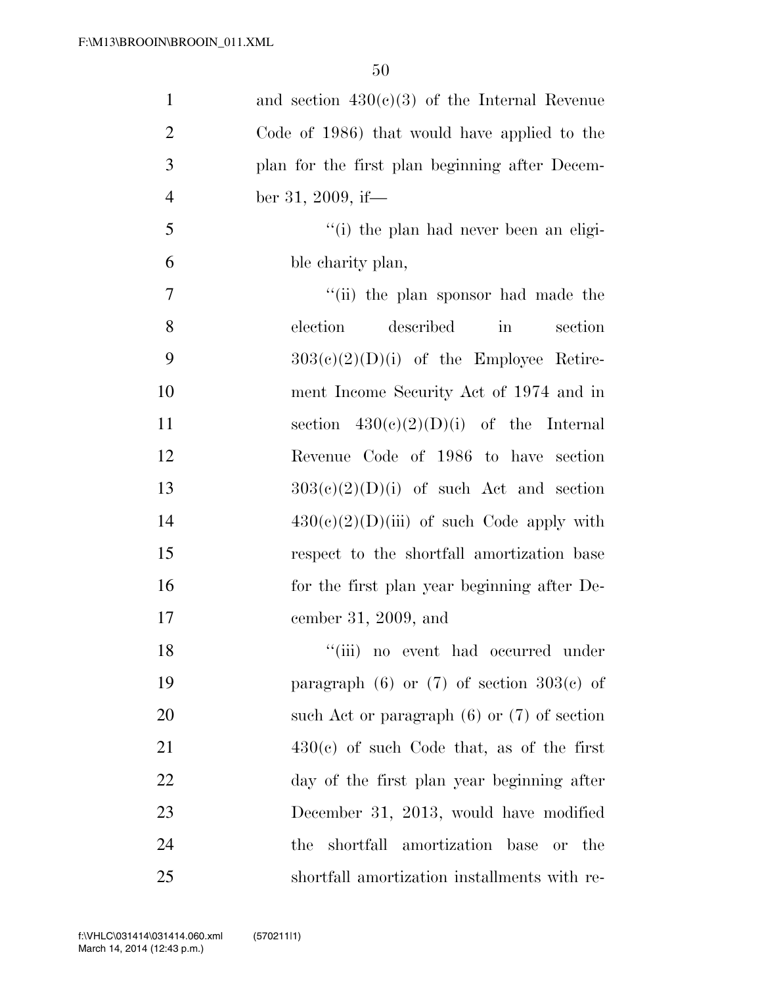| $\mathbf{1}$   | and section $430(c)(3)$ of the Internal Revenue         |
|----------------|---------------------------------------------------------|
| $\overline{2}$ | Code of 1986) that would have applied to the            |
| 3              | plan for the first plan beginning after Decem-          |
| $\overline{4}$ | ber 31, 2009, if—                                       |
| 5              | "(i) the plan had never been an eligi-                  |
| 6              | ble charity plan,                                       |
| $\tau$         | "(ii) the plan sponsor had made the                     |
| 8              | described<br>election<br>$\operatorname{in}$<br>section |
| 9              | $303(c)(2)(D)(i)$ of the Employee Retire-               |
| 10             | ment Income Security Act of 1974 and in                 |
| 11             | section $430(c)(2)(D)(i)$ of the Internal               |
| 12             | Revenue Code of 1986 to have section                    |
| 13             | $303(c)(2)(D)(i)$ of such Act and section               |
| 14             | $430(c)(2)(D)(iii)$ of such Code apply with             |
| 15             | respect to the shortfall amortization base              |
| 16             | for the first plan year beginning after De-             |
| 17             | cember 31, 2009, and                                    |
| 18             | "(iii) no event had occurred under                      |
| 19             | paragraph $(6)$ or $(7)$ of section $303(e)$ of         |
| 20             | such Act or paragraph $(6)$ or $(7)$ of section         |
| 21             | $430(c)$ of such Code that, as of the first             |
| 22             | day of the first plan year beginning after              |
| 23             | December 31, 2013, would have modified                  |
| 24             | the shortfall amortization base or the                  |
| 25             | shortfall amortization installments with re-            |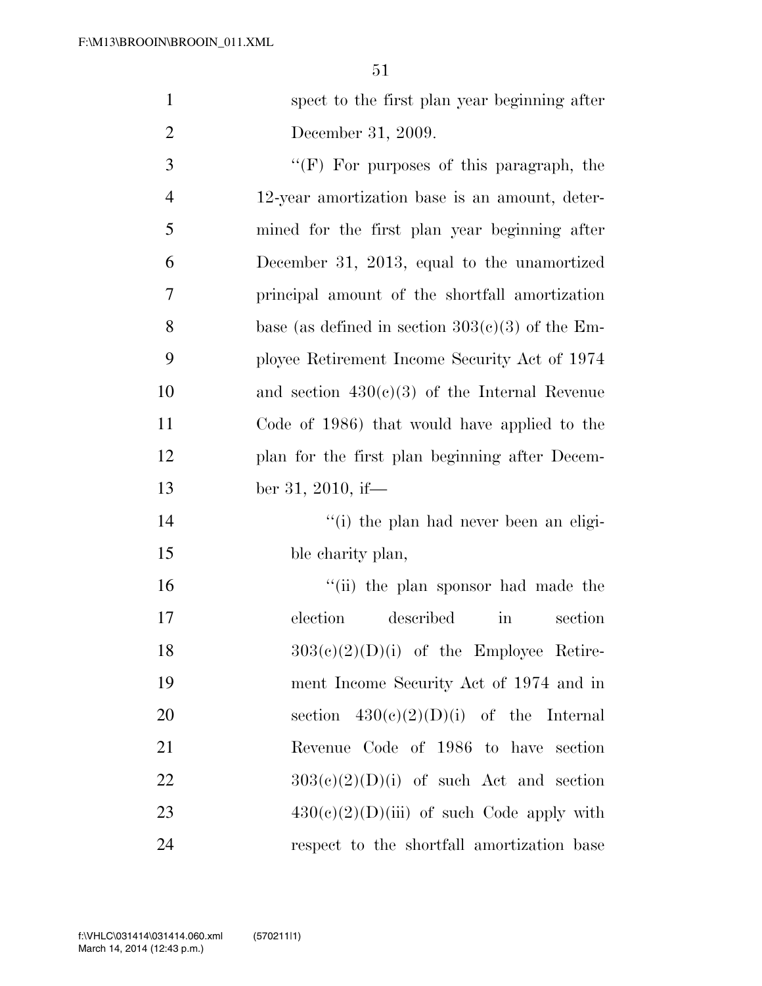| $\mathbf{1}$   | spect to the first plan year beginning after       |
|----------------|----------------------------------------------------|
| $\overline{2}$ | December 31, 2009.                                 |
| 3              | $\lq\lq(F)$ For purposes of this paragraph, the    |
| $\overline{4}$ | 12-year amortization base is an amount, deter-     |
| 5              | mined for the first plan year beginning after      |
| 6              | December 31, 2013, equal to the unamortized        |
| $\overline{7}$ | principal amount of the shortfall amortization     |
| 8              | base (as defined in section $303(c)(3)$ of the Em- |
| 9              | ployee Retirement Income Security Act of 1974      |
| 10             | and section $430(c)(3)$ of the Internal Revenue    |
| 11             | Code of 1986) that would have applied to the       |
| 12             | plan for the first plan beginning after Decem-     |
| 13             | ber 31, 2010, if—                                  |
| 14             | "(i) the plan had never been an eligi-             |
| 15             | ble charity plan,                                  |
| 16             | "(ii) the plan sponsor had made the                |
| 17             | described<br>election<br>in<br>section             |
| 18             | $303(c)(2)(D)(i)$ of the Employee Retire-          |
| 19             | ment Income Security Act of 1974 and in            |
| 20             | section $430(e)(2)(D)(i)$ of the Internal          |
| 21             | Revenue Code of 1986 to have section               |
| 22             | $303(c)(2)(D)(i)$ of such Act and section          |
| 23             | $430(e)(2)(D)(iii)$ of such Code apply with        |
| 24             | respect to the shortfall amortization base         |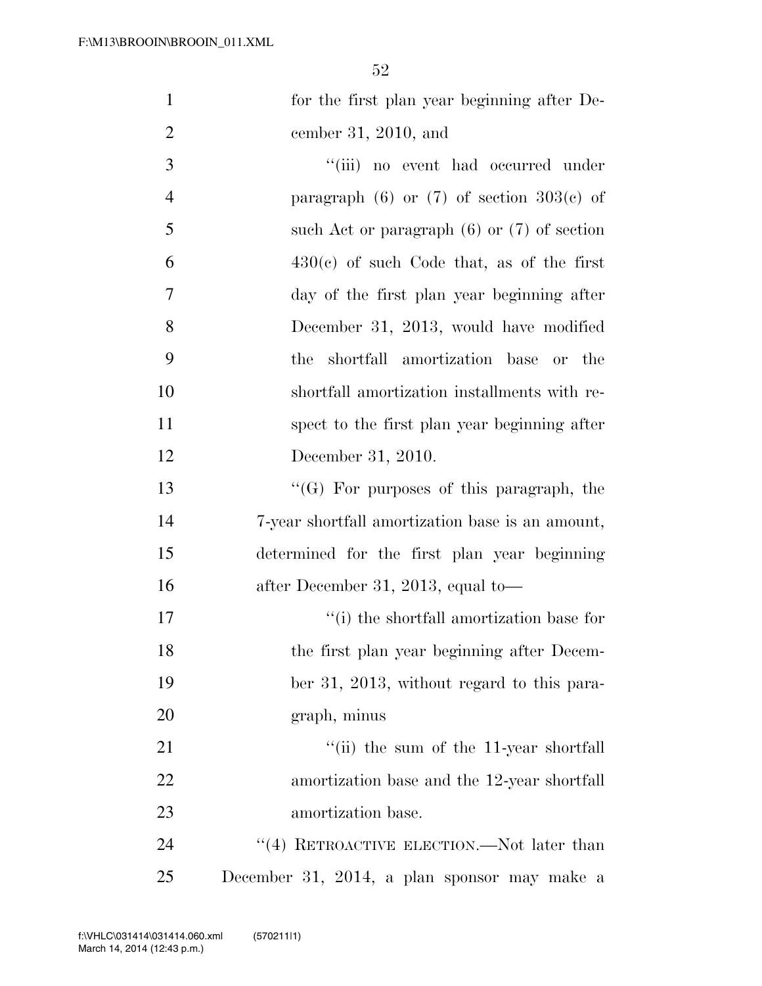| $\mathbf{1}$   | for the first plan year beginning after De-              |
|----------------|----------------------------------------------------------|
| $\overline{2}$ | cember 31, 2010, and                                     |
| 3              | "(iii) no event had occurred under                       |
| $\overline{4}$ | paragraph $(6)$ or $(7)$ of section $303(e)$ of          |
| 5              | such Act or paragraph $(6)$ or $(7)$ of section          |
| 6              | $430(c)$ of such Code that, as of the first              |
| 7              | day of the first plan year beginning after               |
| 8              | December 31, 2013, would have modified                   |
| 9              | the shortfall amortization base or the                   |
| 10             | shortfall amortization installments with re-             |
| <sup>11</sup>  | spect to the first plan year beginning after             |
| 12             | December 31, 2010.                                       |
| 13             | $\lq\lq (G)$ For purposes of this paragraph, the         |
| 14             | 7-year shortfall amortization base is an amount,         |
| 15             | determined for the first plan year beginning             |
| 16             | after December 31, 2013, equal to—                       |
| 17             | "(i) the shortfall amortization base for                 |
| 18             | the first plan year beginning after Decem-               |
| 19             | ber 31, 2013, without regard to this para-               |
| 20             | graph, minus                                             |
| 21             | $\lq$ <sup>"</sup> (ii) the sum of the 11-year shortfall |
| 22             | amortization base and the 12-year shortfall              |
| 23             | amortization base.                                       |
| 24             | $(4)$ RETROACTIVE ELECTION.—Not later than               |
| 25             | December 31, 2014, a plan sponsor may make a             |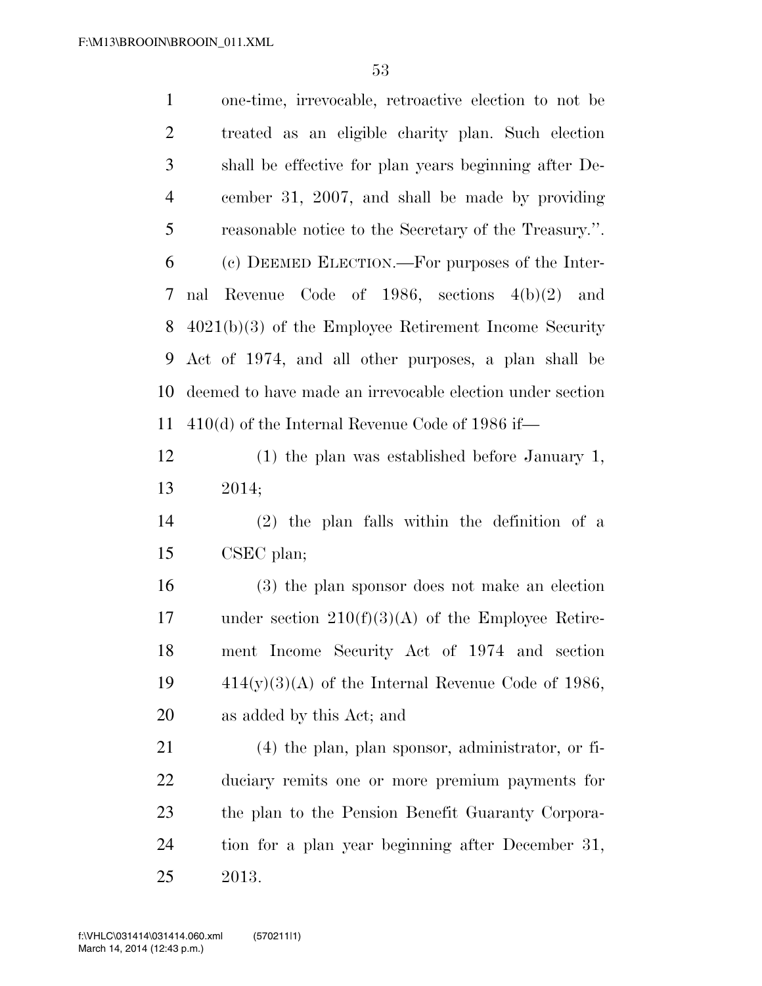one-time, irrevocable, retroactive election to not be treated as an eligible charity plan. Such election shall be effective for plan years beginning after De- cember 31, 2007, and shall be made by providing reasonable notice to the Secretary of the Treasury.''. (c) DEEMED ELECTION.—For purposes of the Inter- nal Revenue Code of 1986, sections 4(b)(2) and 4021(b)(3) of the Employee Retirement Income Security Act of 1974, and all other purposes, a plan shall be deemed to have made an irrevocable election under section 410(d) of the Internal Revenue Code of 1986 if— (1) the plan was established before January 1, 2014; (2) the plan falls within the definition of a CSEC plan;

 (3) the plan sponsor does not make an election 17 under section  $210(f)(3)(A)$  of the Employee Retire- ment Income Security Act of 1974 and section  $414(y)(3)(A)$  of the Internal Revenue Code of 1986, as added by this Act; and

 (4) the plan, plan sponsor, administrator, or fi- duciary remits one or more premium payments for the plan to the Pension Benefit Guaranty Corpora- tion for a plan year beginning after December 31, 2013.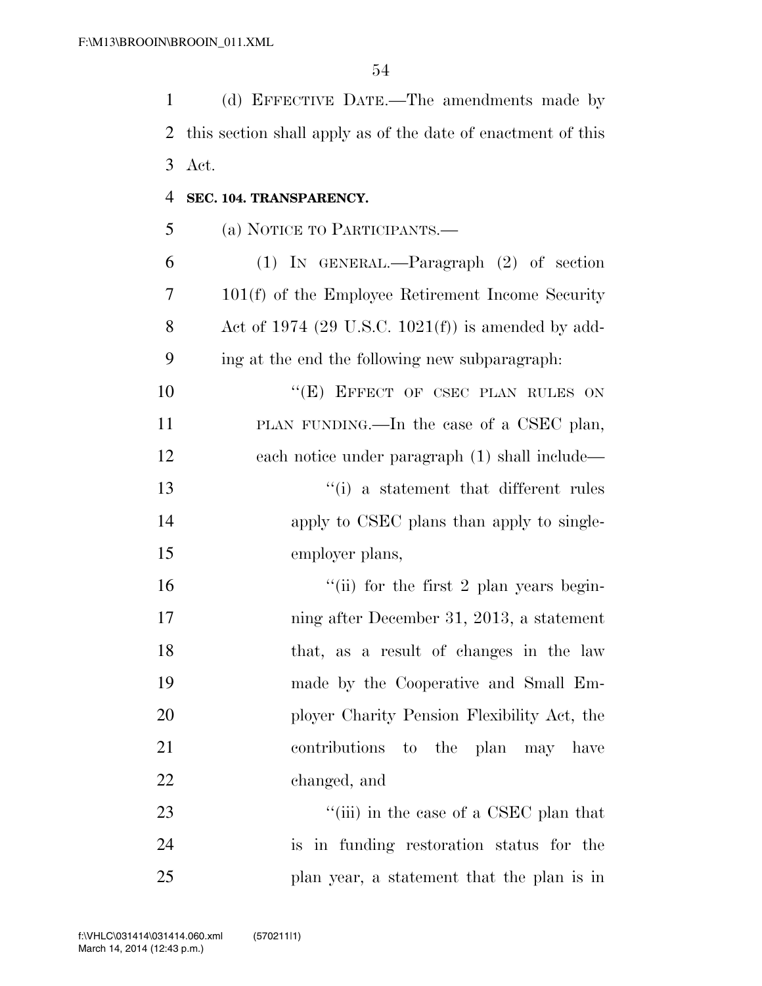(d) EFFECTIVE DATE.—The amendments made by

| 2  | this section shall apply as of the date of enactment of this |
|----|--------------------------------------------------------------|
| 3  | Act.                                                         |
| 4  | SEC. 104. TRANSPARENCY.                                      |
| 5  | (a) NOTICE TO PARTICIPANTS.—                                 |
| 6  | $(1)$ IN GENERAL.—Paragraph $(2)$ of section                 |
| 7  | $101(f)$ of the Employee Retirement Income Security          |
| 8  | Act of 1974 (29 U.S.C. 1021(f)) is amended by add-           |
| 9  | ing at the end the following new subparagraph.               |
| 10 | "(E) EFFECT OF CSEC PLAN RULES ON                            |
| 11 | PLAN FUNDING.—In the case of a CSEC plan,                    |
| 12 | each notice under paragraph (1) shall include—               |
| 13 | "(i) a statement that different rules                        |
| 14 | apply to CSEC plans than apply to single-                    |
| 15 | employer plans,                                              |
| 16 | "(ii) for the first 2 plan years begin-                      |
| 17 | ning after December 31, 2013, a statement                    |
| 18 | that, as a result of changes in the law                      |
| 19 | made by the Cooperative and Small Em-                        |
| 20 | ployer Charity Pension Flexibility Act, the                  |
| 21 | contributions to the plan may have                           |
| 22 | changed, and                                                 |
| 23 | "(iii) in the case of a CSEC plan that                       |
| 24 | is in funding restoration status for the                     |
| 25 | plan year, a statement that the plan is in                   |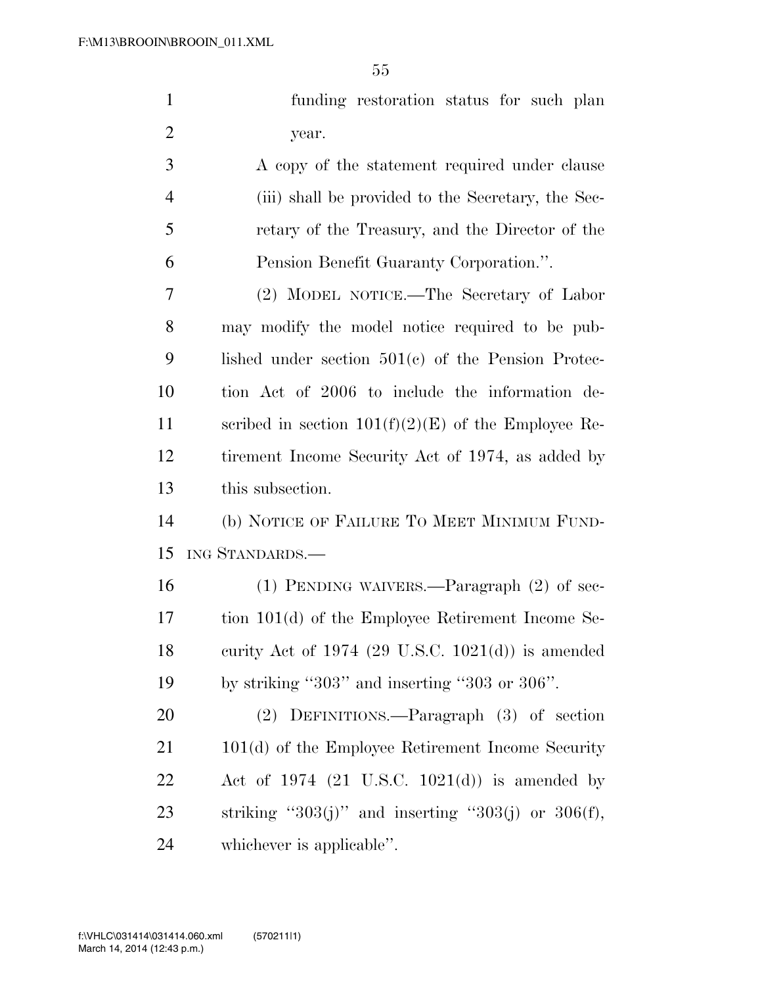|    | funding restoration status for such plan           |
|----|----------------------------------------------------|
| -2 | year.                                              |
| 3  | A copy of the statement required under clause      |
|    | (iii) shall be provided to the Secretary, the Sec- |
| 5  | retary of the Treasury, and the Director of the    |
|    | Pension Benefit Guaranty Corporation.".            |

 (2) MODEL NOTICE.—The Secretary of Labor may modify the model notice required to be pub- lished under section 501(c) of the Pension Protec- tion Act of 2006 to include the information de-11 scribed in section  $101(f)(2)(E)$  of the Employee Re- tirement Income Security Act of 1974, as added by this subsection.

 (b) NOTICE OF FAILURE TO MEET MINIMUM FUND-ING STANDARDS.—

 (1) PENDING WAIVERS.—Paragraph (2) of sec- tion 101(d) of the Employee Retirement Income Se- curity Act of 1974 (29 U.S.C. 1021(d)) is amended by striking ''303'' and inserting ''303 or 306''.

 (2) DEFINITIONS.—Paragraph (3) of section 21 101(d) of the Employee Retirement Income Security Act of 1974 (21 U.S.C. 1021(d)) is amended by 23 striking " $303(j)$ " and inserting " $303(j)$  or  $306(f)$ , whichever is applicable''.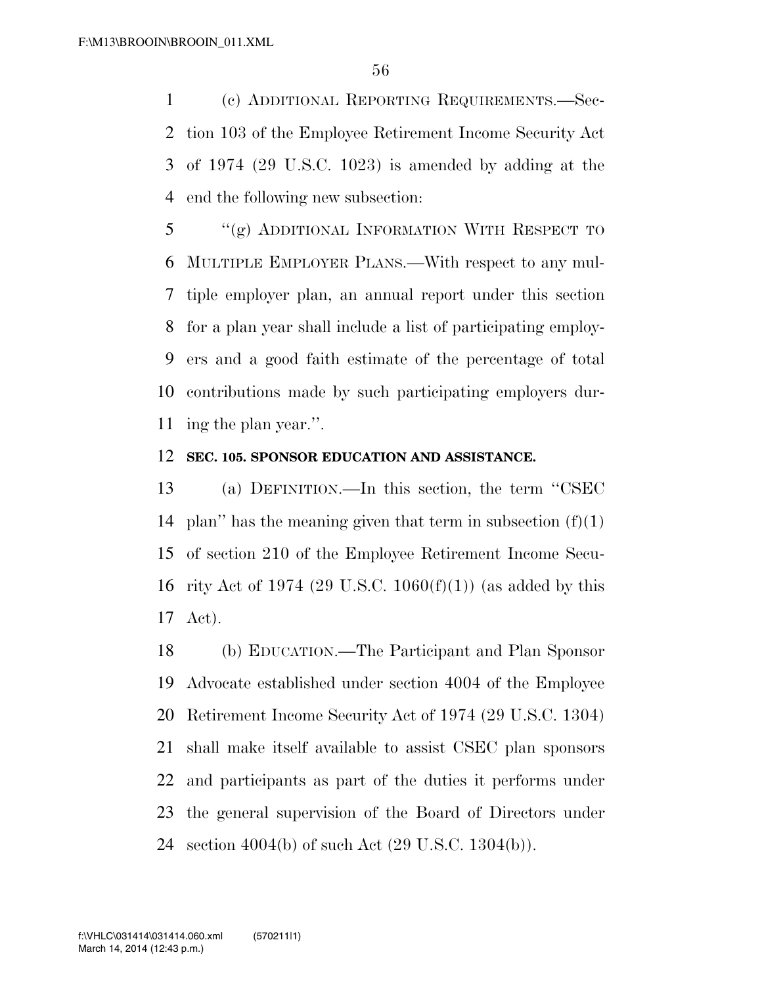(c) ADDITIONAL REPORTING REQUIREMENTS.—Sec- tion 103 of the Employee Retirement Income Security Act of 1974 (29 U.S.C. 1023) is amended by adding at the end the following new subsection:

 ''(g) ADDITIONAL INFORMATION WITH RESPECT TO MULTIPLE EMPLOYER PLANS.—With respect to any mul- tiple employer plan, an annual report under this section for a plan year shall include a list of participating employ- ers and a good faith estimate of the percentage of total contributions made by such participating employers dur-ing the plan year.''.

## **SEC. 105. SPONSOR EDUCATION AND ASSISTANCE.**

 (a) DEFINITION.—In this section, the term ''CSEC 14 plan" has the meaning given that term in subsection  $(f)(1)$  of section 210 of the Employee Retirement Income Secu- rity Act of 1974 (29 U.S.C. 1060(f)(1)) (as added by this Act).

 (b) EDUCATION.—The Participant and Plan Sponsor Advocate established under section 4004 of the Employee Retirement Income Security Act of 1974 (29 U.S.C. 1304) shall make itself available to assist CSEC plan sponsors and participants as part of the duties it performs under the general supervision of the Board of Directors under section 4004(b) of such Act (29 U.S.C. 1304(b)).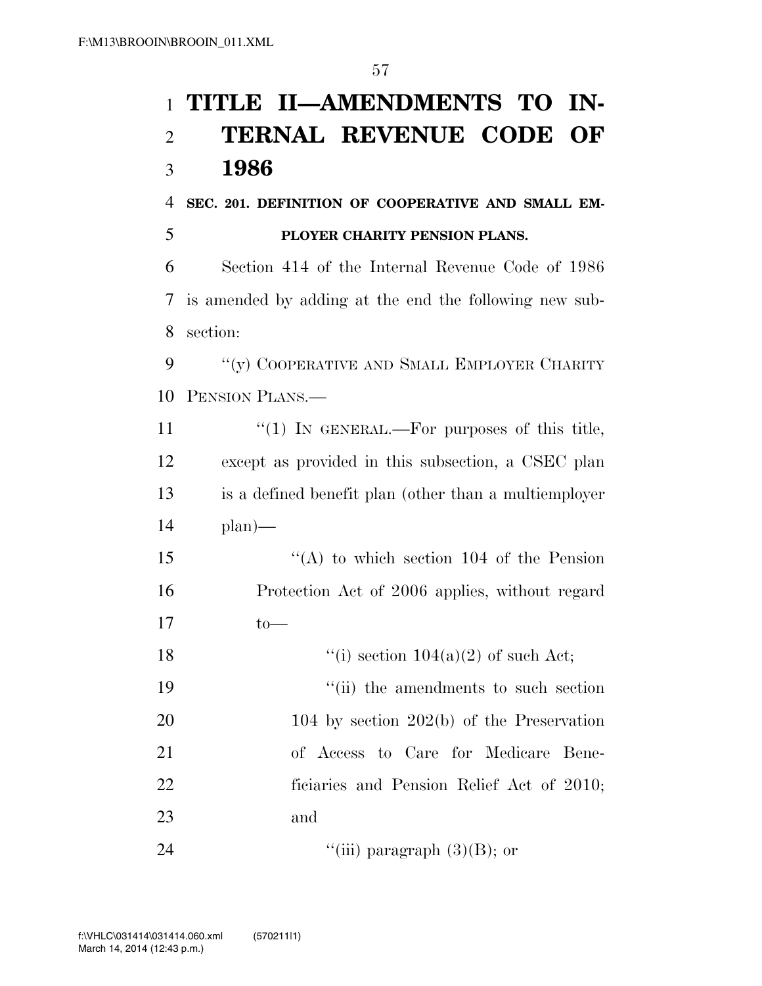## **TITLE II—AMENDMENTS TO IN- TERNAL REVENUE CODE OF 1986**

**SEC. 201. DEFINITION OF COOPERATIVE AND SMALL EM-**

**PLOYER CHARITY PENSION PLANS.** 

 Section 414 of the Internal Revenue Code of 1986 is amended by adding at the end the following new sub-section:

9 "(v) COOPERATIVE AND SMALL EMPLOYER CHARITY PENSION PLANS.—

 $\frac{1}{1}$  IN GENERAL.—For purposes of this title, except as provided in this subsection, a CSEC plan is a defined benefit plan (other than a multiemployer plan)—

 ''(A) to which section 104 of the Pension Protection Act of 2006 applies, without regard to—

18  $\frac{1}{2}$  (i) section 104(a)(2) of such Act;

19 ''(ii) the amendments to such section 20 104 by section 202(b) of the Preservation of Access to Care for Medicare Bene- ficiaries and Pension Relief Act of 2010; and

24  $\qquad \qquad \text{``(iii) paragraph (3)(B): or}$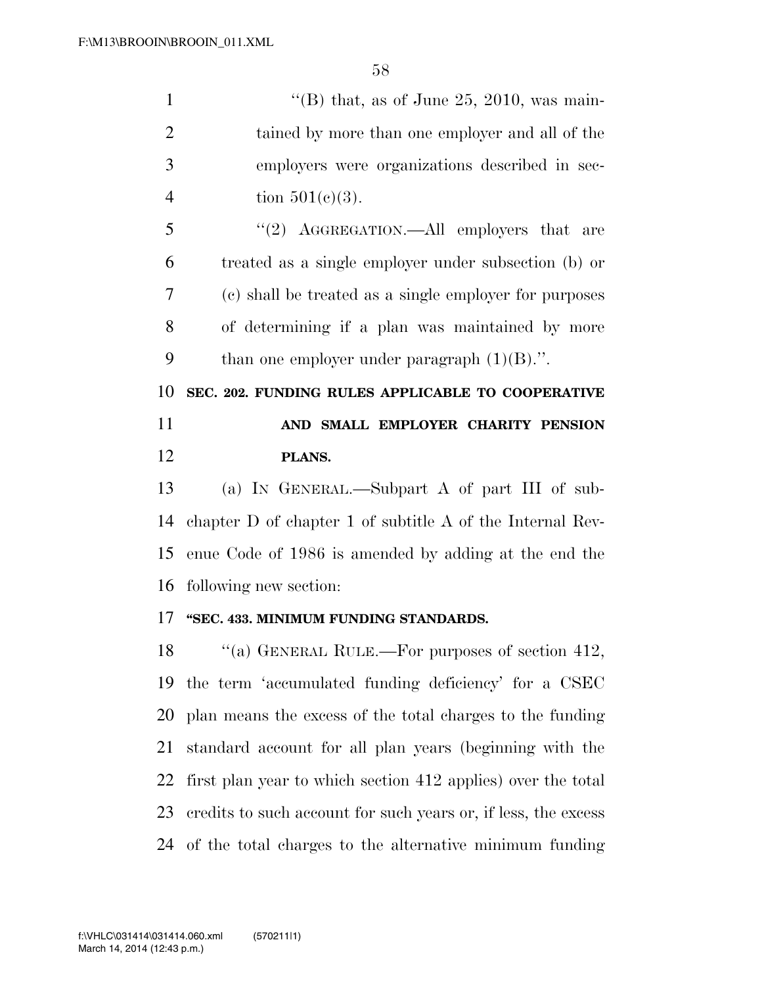| 1              | "(B) that, as of June 25, 2010, was main-              |
|----------------|--------------------------------------------------------|
| $\overline{2}$ | tained by more than one employer and all of the        |
| 3              | employers were organizations described in sec-         |
| $\overline{4}$ | tion $501(c)(3)$ .                                     |
| 5              | "(2) AGGREGATION.—All employers that are               |
| 6              | treated as a single employer under subsection (b) or   |
| 7              | (c) shall be treated as a single employer for purposes |
| 8              | of determining if a plan was maintained by more        |
| 9              | than one employer under paragraph $(1)(B)$ .".         |
| 10             | SEC. 202. FUNDING RULES APPLICABLE TO COOPERATIVE      |
| 11             | AND SMALL EMPLOYER CHARITY PENSION                     |
| 12             | PLANS.                                                 |
| 13             | (a) IN GENERAL.—Subpart A of part III of sub-          |

 chapter D of chapter 1 of subtitle A of the Internal Rev- enue Code of 1986 is amended by adding at the end the following new section:

## **''SEC. 433. MINIMUM FUNDING STANDARDS.**

18 "(a) GENERAL RULE.—For purposes of section 412, the term 'accumulated funding deficiency' for a CSEC plan means the excess of the total charges to the funding standard account for all plan years (beginning with the first plan year to which section 412 applies) over the total credits to such account for such years or, if less, the excess of the total charges to the alternative minimum funding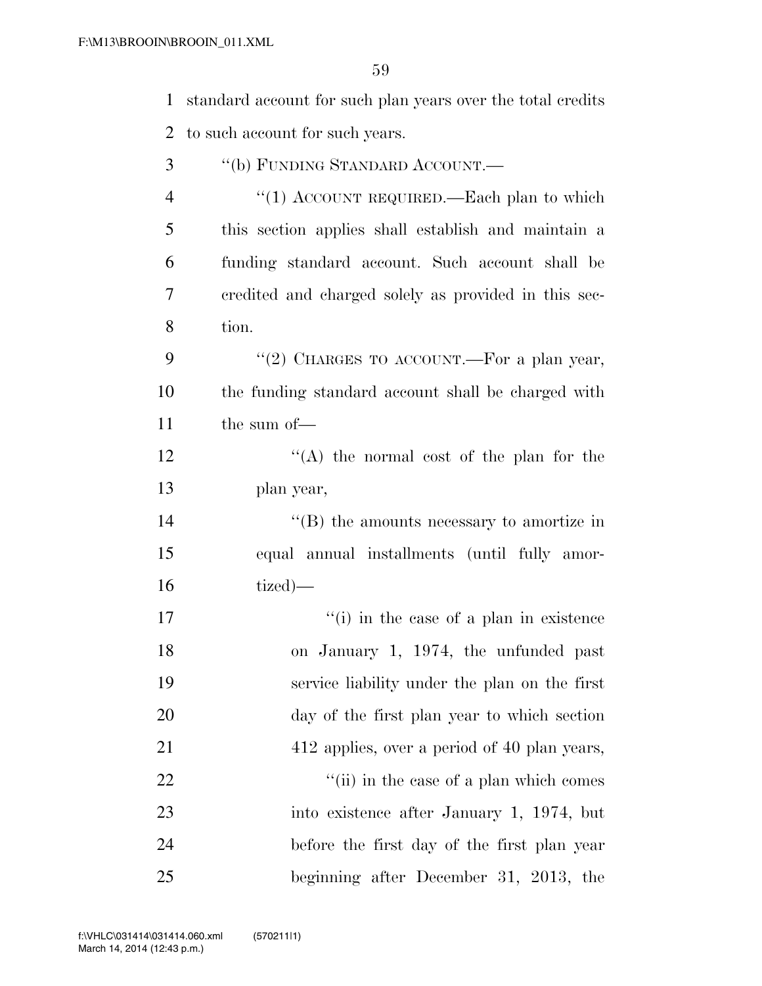standard account for such plan years over the total credits

| $\overline{2}$ | to such account for such years.                      |
|----------------|------------------------------------------------------|
| 3              | "(b) FUNDING STANDARD ACCOUNT.-                      |
| 4              | "(1) ACCOUNT REQUIRED.—Each plan to which            |
| 5              | this section applies shall establish and maintain a  |
| 6              | funding standard account. Such account shall be      |
| 7              | credited and charged solely as provided in this sec- |
| 8              | tion.                                                |
| 9              | "(2) CHARGES TO ACCOUNT.—For a plan year,            |
| 10             | the funding standard account shall be charged with   |
| 11             | the sum of-                                          |
| 12             | "(A) the normal cost of the plan for the             |
| 13             | plan year,                                           |
| 14             | "(B) the amounts necessary to amortize in            |
| 15             | equal annual installments (until fully amor-         |
| 16             | tized)—                                              |
| 17             | "(i) in the case of a plan in existence              |
| 18             | on January 1, 1974, the unfunded past                |
| 19             | service liability under the plan on the first        |
| 20             | day of the first plan year to which section          |
| 21             | 412 applies, over a period of 40 plan years,         |
| 22             | "(ii) in the case of a plan which comes              |
| 23             | into existence after January 1, 1974, but            |
| 24             | before the first day of the first plan year          |

beginning after December 31, 2013, the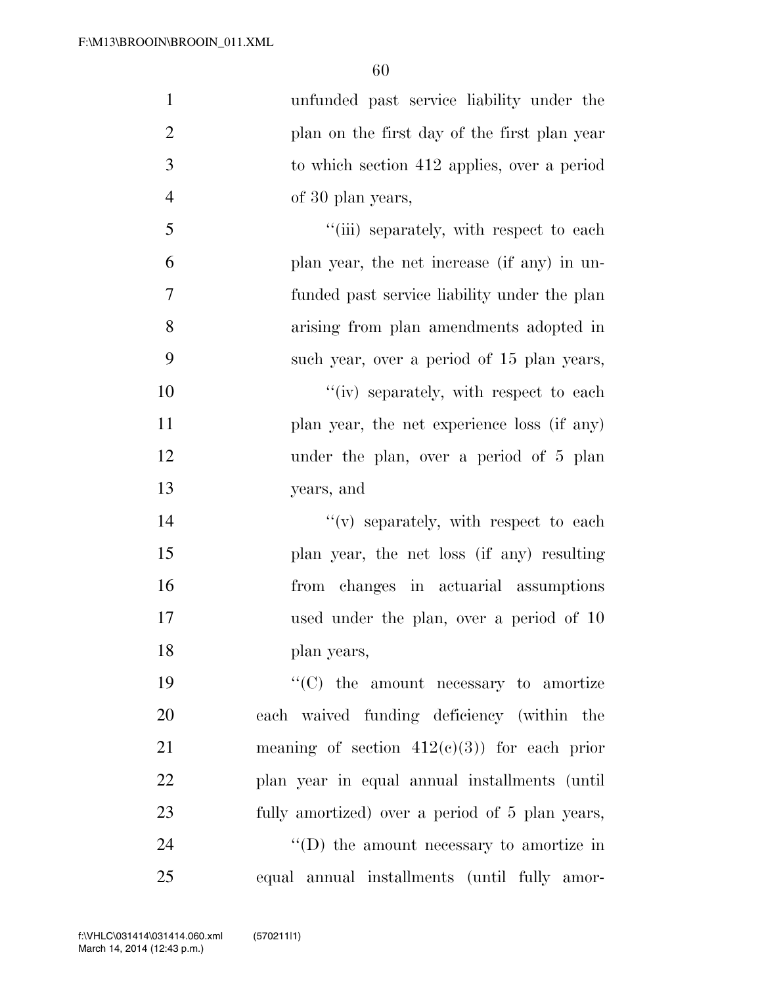| $\mathbf{1}$   | unfunded past service liability under the        |
|----------------|--------------------------------------------------|
| $\overline{2}$ | plan on the first day of the first plan year     |
| 3              | to which section 412 applies, over a period      |
| $\overline{4}$ | of 30 plan years,                                |
| 5              | "(iii) separately, with respect to each          |
| 6              | plan year, the net increase (if any) in un-      |
| 7              | funded past service liability under the plan     |
| 8              | arising from plan amendments adopted in          |
| 9              | such year, over a period of 15 plan years,       |
| 10             | "(iv) separately, with respect to each           |
| 11             | plan year, the net experience loss (if any)      |
| 12             | under the plan, over a period of 5 plan          |
| 13             | years, and                                       |
| 14             | "(v) separately, with respect to each            |
| 15             | plan year, the net loss (if any) resulting       |
| 16             | from changes in actuarial assumptions            |
| 17             | used under the plan, over a period of 10         |
| 18             | plan years,                                      |
| 19             | $\lq\lq$ (C) the amount necessary to amortize    |
| 20             | each waived funding deficiency (within the       |
| 21             | meaning of section $412(c)(3)$ for each prior    |
| 22             | plan year in equal annual installments (until    |
| 23             | fully amortized) over a period of 5 plan years,  |
| 24             | $\lq\lq$ (D) the amount necessary to amortize in |
| 25             | equal annual installments (until fully amor-     |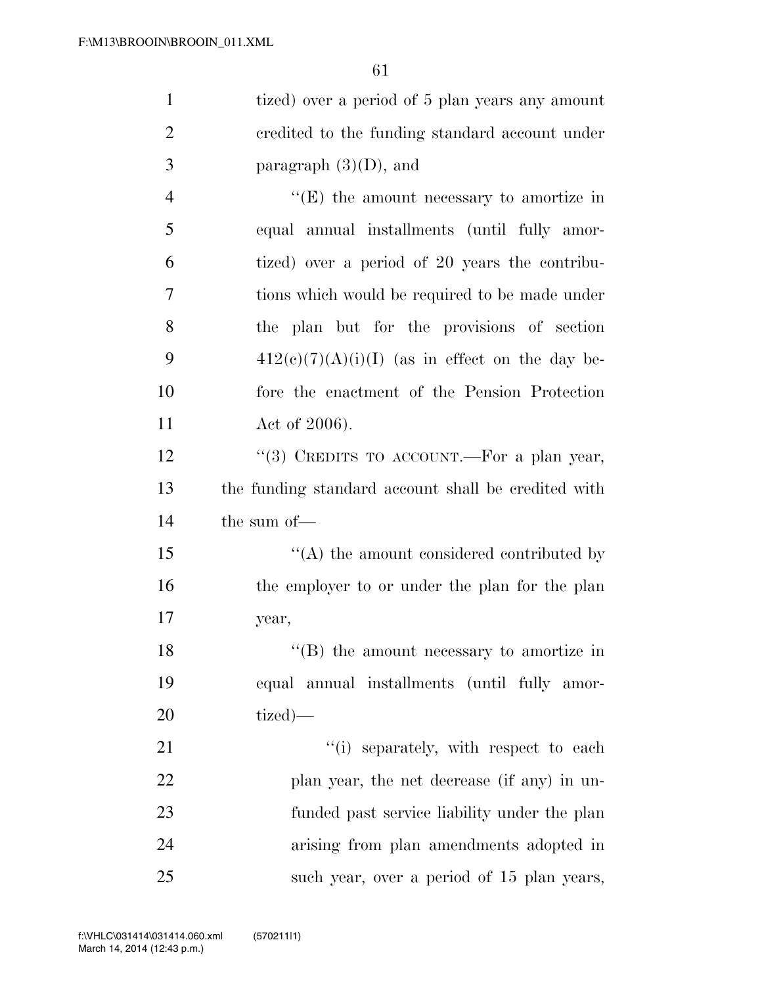| $\mathbf{1}$   | tized) over a period of 5 plan years any amount     |
|----------------|-----------------------------------------------------|
| $\overline{2}$ | credited to the funding standard account under      |
| 3              | paragraph $(3)(D)$ , and                            |
| $\overline{4}$ | $\lq\lq(E)$ the amount necessary to amortize in     |
| 5              | equal annual installments (until fully amor-        |
| 6              | tized) over a period of 20 years the contribu-      |
| 7              | tions which would be required to be made under      |
| 8              | the plan but for the provisions of section          |
| 9              | $412(c)(7)(A)(i)(I)$ (as in effect on the day be-   |
| 10             | fore the enactment of the Pension Protection        |
| 11             | Act of $2006$ ).                                    |
| 12             | "(3) CREDITS TO ACCOUNT.—For a plan year,           |
| 13             | the funding standard account shall be credited with |
| 14             | the sum of-                                         |
| 15             | $\lq\lq$ the amount considered contributed by       |
| 16             | the employer to or under the plan for the plan      |
| 17             | year,                                               |
| 18             | $\lq\lq (B)$ the amount necessary to amortize in    |
| 19             | equal annual installments (until fully amor-        |
| 20             | tized)—                                             |
| 21             | "(i) separately, with respect to each               |
| 22             | plan year, the net decrease (if any) in un-         |
| 23             | funded past service liability under the plan        |
| 24             | arising from plan amendments adopted in             |
| 25             | such year, over a period of 15 plan years,          |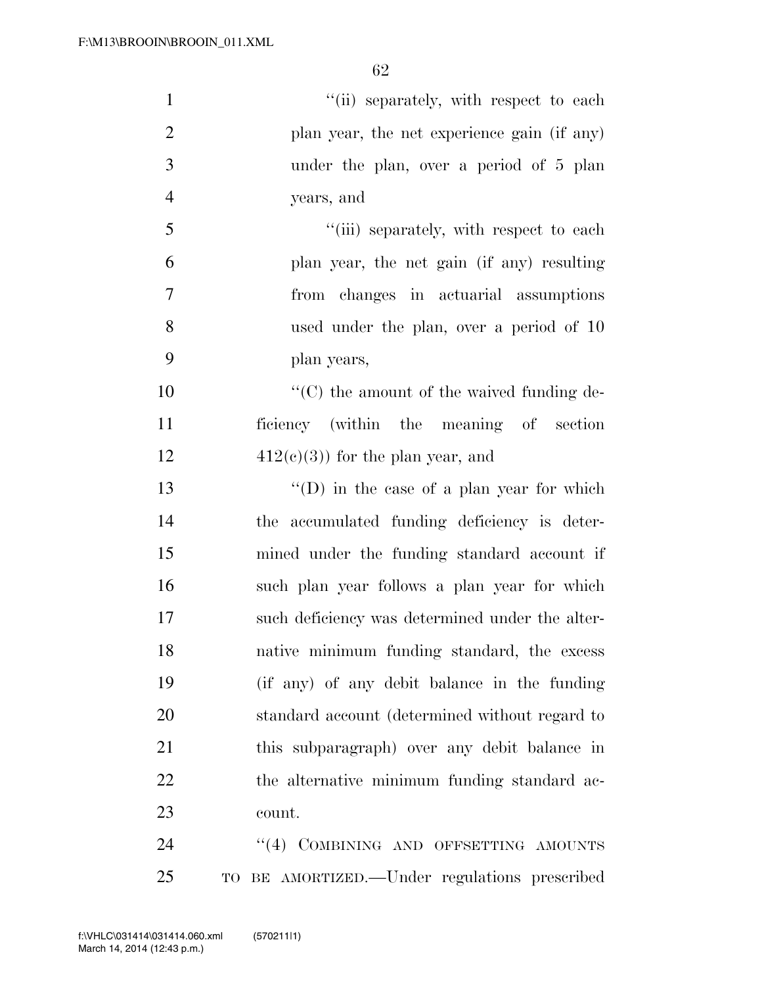| $\mathbf{1}$   | "(ii) separately, with respect to each            |
|----------------|---------------------------------------------------|
| $\overline{2}$ | plan year, the net experience gain (if any)       |
| $\mathfrak{Z}$ | under the plan, over a period of 5 plan           |
| $\overline{4}$ | years, and                                        |
| 5              | "(iii) separately, with respect to each           |
| 6              | plan year, the net gain (if any) resulting        |
| 7              | from changes in actuarial assumptions             |
| 8              | used under the plan, over a period of 10          |
| 9              | plan years,                                       |
| 10             | $\lq\lq$ (C) the amount of the waived funding de- |
| 11             | ficiency (within the meaning of section           |
| 12             | $412(c)(3)$ for the plan year, and                |
| 13             | $\lq\lq$ (D) in the case of a plan year for which |
| 14             | the accumulated funding deficiency is deter-      |
| 15             | mined under the funding standard account if       |
| 16             | such plan year follows a plan year for which      |
| 17             | such deficiency was determined under the alter-   |
| 18             | native minimum funding standard, the excess       |
| 19             | (if any) of any debit balance in the funding      |
| 20             | standard account (determined without regard to    |
| 21             | this subparagraph) over any debit balance in      |
| 22             | the alternative minimum funding standard ac-      |
| 23             | count.                                            |
| 24             | "(4) COMBINING AND OFFSETTING AMOUNTS             |
| 25             | TO BE AMORTIZED.—Under regulations prescribed     |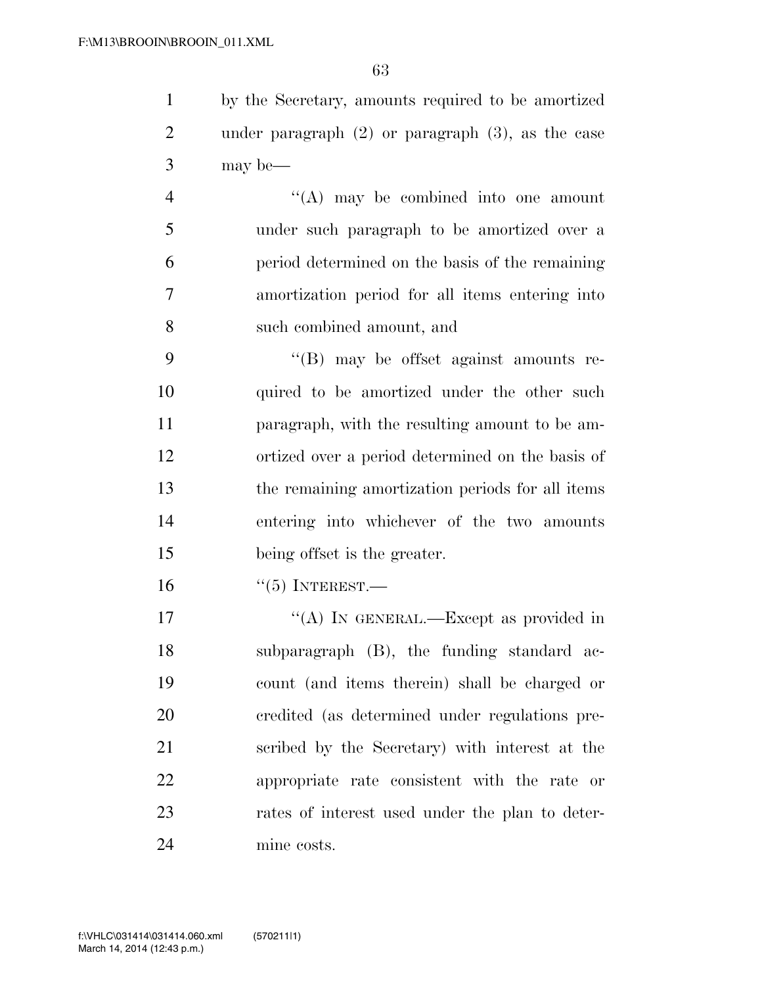by the Secretary, amounts required to be amortized under paragraph (2) or paragraph (3), as the case may be—

 ''(A) may be combined into one amount under such paragraph to be amortized over a period determined on the basis of the remaining amortization period for all items entering into such combined amount, and

 ''(B) may be offset against amounts re- quired to be amortized under the other such paragraph, with the resulting amount to be am- ortized over a period determined on the basis of the remaining amortization periods for all items entering into whichever of the two amounts being offset is the greater.

''(5) INTEREST.—

17 ""(A) IN GENERAL.—Except as provided in subparagraph (B), the funding standard ac- count (and items therein) shall be charged or credited (as determined under regulations pre- scribed by the Secretary) with interest at the appropriate rate consistent with the rate or rates of interest used under the plan to deter-mine costs.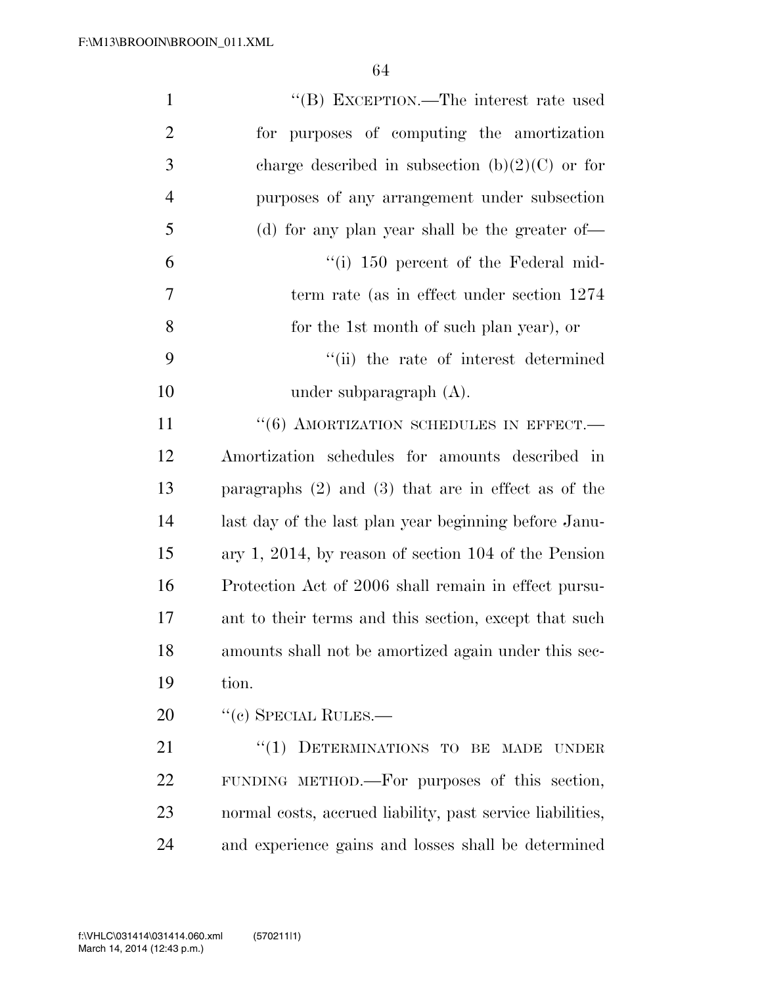| $\mathbf{1}$   | "(B) EXCEPTION.—The interest rate used                     |
|----------------|------------------------------------------------------------|
| $\overline{2}$ | for purposes of computing the amortization                 |
| $\mathfrak{Z}$ | charge described in subsection (b) $(2)(C)$ or for         |
| $\overline{4}$ | purposes of any arrangement under subsection               |
| 5              | (d) for any plan year shall be the greater of—             |
| 6              | $\lq($ i) 150 percent of the Federal mid-                  |
| 7              | term rate (as in effect under section 1274)                |
| 8              | for the 1st month of such plan year), or                   |
| 9              | "(ii) the rate of interest determined                      |
| 10             | under subparagraph $(A)$ .                                 |
| 11             | $``(6)$ AMORTIZATION SCHEDULES IN EFFECT.                  |
| 12             | Amortization schedules for amounts described in            |
| 13             | paragraphs $(2)$ and $(3)$ that are in effect as of the    |
| 14             | last day of the last plan year beginning before Janu-      |
| 15             | ary 1, 2014, by reason of section $104$ of the Pension     |
| 16             | Protection Act of 2006 shall remain in effect pursu-       |
| 17             | ant to their terms and this section, except that such      |
| 18             | amounts shall not be amortized again under this sec-       |
| 19             | tion.                                                      |
| 20             | $``$ (c) SPECIAL RULES.—                                   |
| 21             | $``(1)$ DETERMINATIONS TO BE MADE<br><b>UNDER</b>          |
| 22             | FUNDING METHOD.—For purposes of this section,              |
| 23             | normal costs, accrued liability, past service liabilities, |
| 24             | and experience gains and losses shall be determined        |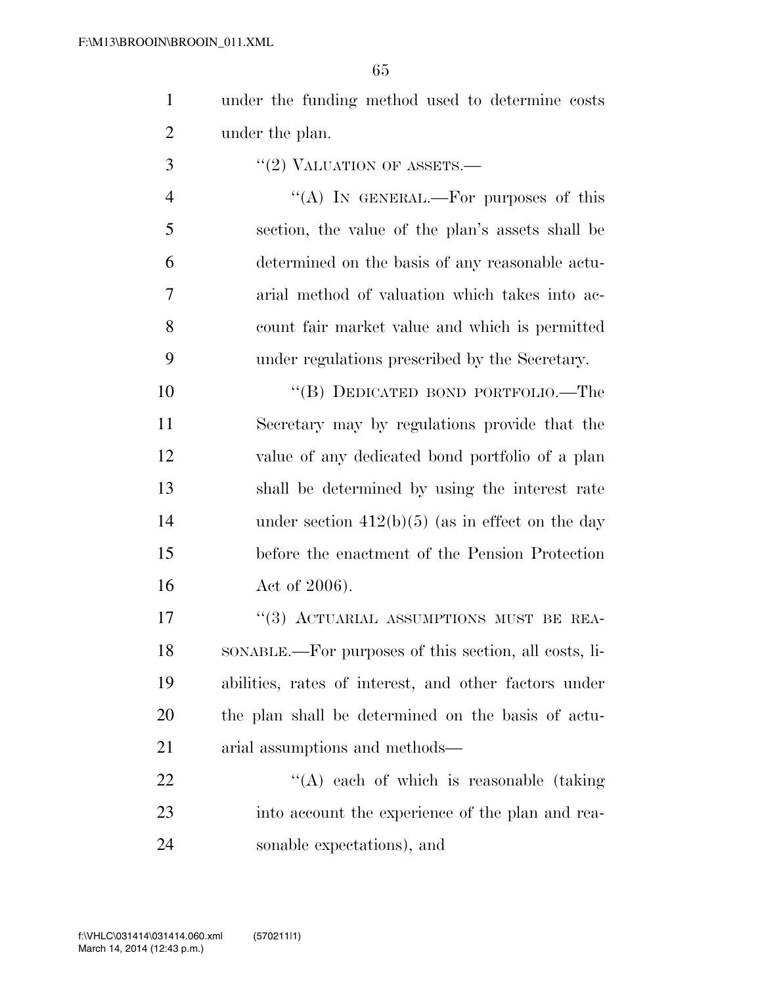under the funding method used to determine costs under the plan.

''(2) VALUATION OF ASSETS.—

4 "(A) IN GENERAL.—For purposes of this section, the value of the plan's assets shall be determined on the basis of any reasonable actu- arial method of valuation which takes into ac- count fair market value and which is permitted under regulations prescribed by the Secretary.

 ''(B) DEDICATED BOND PORTFOLIO.—The Secretary may by regulations provide that the value of any dedicated bond portfolio of a plan shall be determined by using the interest rate 14 under section 412(b)(5) (as in effect on the day before the enactment of the Pension Protection 16 Act of 2006).

17 "(3) ACTUARIAL ASSUMPTIONS MUST BE REA- SONABLE.—For purposes of this section, all costs, li- abilities, rates of interest, and other factors under the plan shall be determined on the basis of actu-arial assumptions and methods—

22 "'(A) each of which is reasonable (taking into account the experience of the plan and rea-sonable expectations), and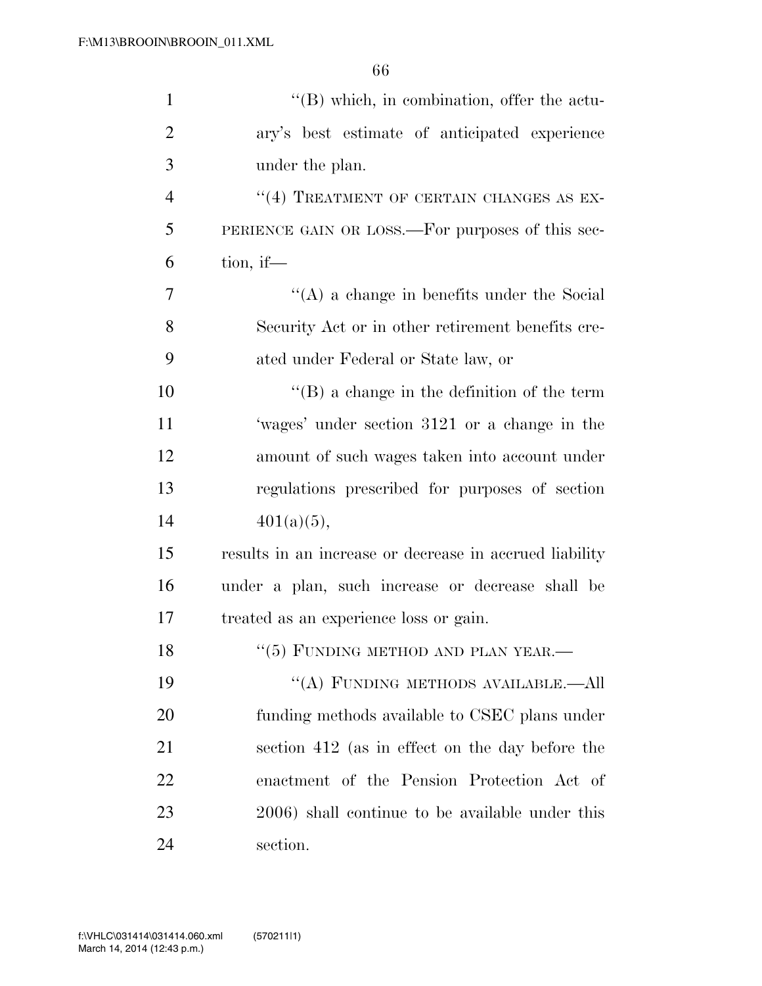| $\mathbf{1}$   | $\lq\lq$ which, in combination, offer the actu-         |
|----------------|---------------------------------------------------------|
| $\overline{2}$ | ary's best estimate of anticipated experience           |
| 3              | under the plan.                                         |
| $\overline{4}$ | "(4) TREATMENT OF CERTAIN CHANGES AS EX-                |
| 5              | PERIENCE GAIN OR LOSS.—For purposes of this sec-        |
| 6              | tion, if—                                               |
| $\overline{7}$ | $\lq\lq$ a change in benefits under the Social          |
| 8              | Security Act or in other retirement benefits cre-       |
| 9              | ated under Federal or State law, or                     |
| 10             | $\lq\lq (B)$ a change in the definition of the term     |
| 11             | 'wages' under section 3121 or a change in the           |
| 12             | amount of such wages taken into account under           |
| 13             | regulations prescribed for purposes of section          |
| 14             | $401(a)(5)$ ,                                           |
| 15             | results in an increase or decrease in accrued liability |
| 16             | under a plan, such increase or decrease shall be        |
| 17             | treated as an experience loss or gain.                  |
| 18             | $``(5)$ FUNDING METHOD AND PLAN YEAR.—                  |
| 19             | "(A) FUNDING METHODS AVAILABLE.—All                     |
| 20             | funding methods available to CSEC plans under           |
| 21             | section 412 (as in effect on the day before the         |
| 22             | enactment of the Pension Protection Act of              |
| 23             | 2006) shall continue to be available under this         |
| 24             | section.                                                |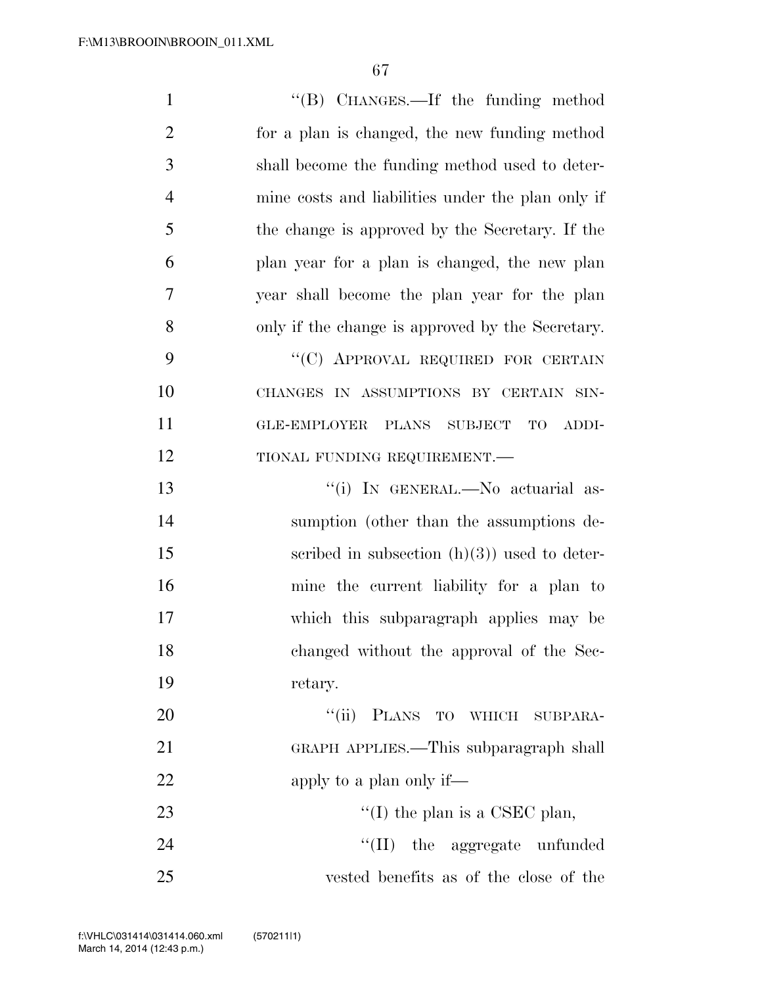| $\mathbf{1}$   | "(B) CHANGES.—If the funding method                 |
|----------------|-----------------------------------------------------|
| $\overline{2}$ | for a plan is changed, the new funding method       |
| 3              | shall become the funding method used to deter-      |
| $\overline{4}$ | mine costs and liabilities under the plan only if   |
| 5              | the change is approved by the Secretary. If the     |
| 6              | plan year for a plan is changed, the new plan       |
| 7              | year shall become the plan year for the plan        |
| 8              | only if the change is approved by the Secretary.    |
| 9              | "(C) APPROVAL REQUIRED FOR CERTAIN                  |
| 10             | CHANGES IN ASSUMPTIONS BY CERTAIN SIN-              |
| 11             | <b>GLE-EMPLOYER</b><br>PLANS SUBJECT<br>TO<br>ADDI- |
| 12             | TIONAL FUNDING REQUIREMENT.-                        |
| 13             | "(i) IN GENERAL.—No actuarial as-                   |
| 14             | sumption (other than the assumptions de-            |
| 15             | scribed in subsection $(h)(3)$ used to deter-       |
| 16             | mine the current liability for a plan to            |
| 17             | which this subparagraph applies may be              |
| 18             | changed without the approval of the Sec-            |
| 19             | retary.                                             |
| 20             | "(ii) PLANS TO WHICH SUBPARA-                       |
| 21             | GRAPH APPLIES.—This subparagraph shall              |
| 22             | apply to a plan only if—                            |
| 23             | "(I) the plan is a CSEC plan,                       |
| 24             | "(II) the aggregate unfunded                        |
| 25             | vested benefits as of the close of the              |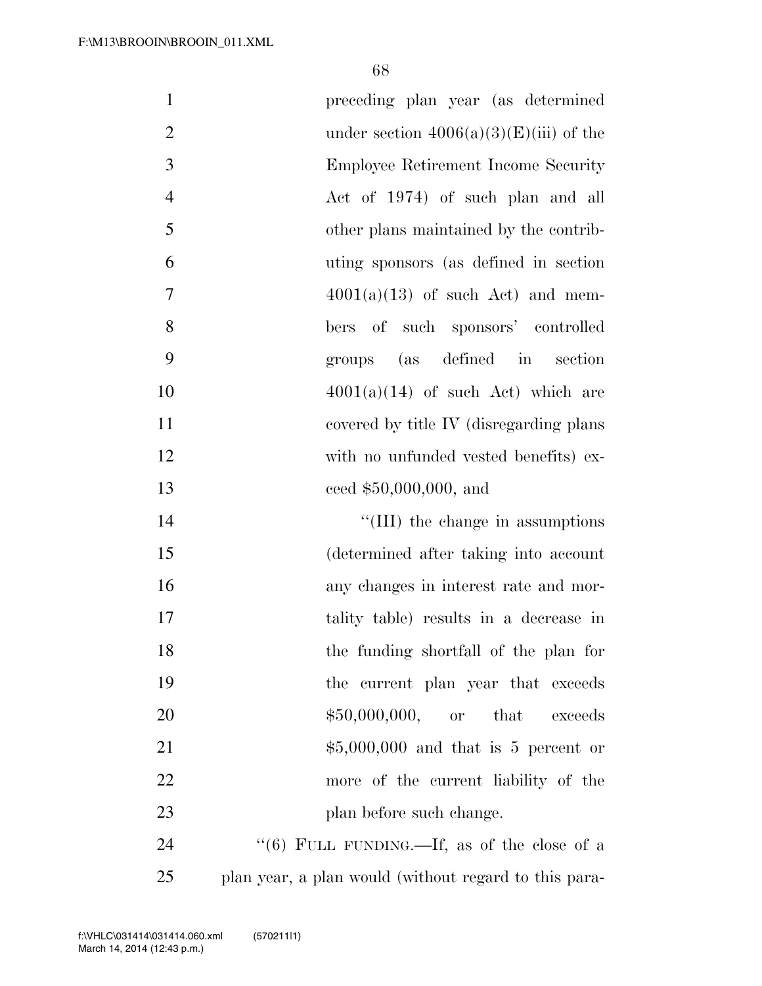| $\mathbf{1}$   | preceding plan year (as determined          |
|----------------|---------------------------------------------|
| $\mathbf{2}$   | under section $4006(a)(3)(E(iii))$ of the   |
| $\mathfrak{Z}$ | Employee Retirement Income Security         |
| $\overline{4}$ | Act of 1974) of such plan and all           |
| 5              | other plans maintained by the contrib-      |
| 6              | uting sponsors (as defined in section       |
| 7              | $4001(a)(13)$ of such Act) and mem-         |
| 8              | bers of such sponsors' controlled           |
| 9              | (as defined in<br>section<br>groups         |
| 10             | $4001(a)(14)$ of such Act) which are        |
| 11             | covered by title IV (disregarding plans     |
| 12             | with no unfunded vested benefits) ex-       |
| 13             | ceed $$50,000,000,$ and                     |
| 14             | "(III) the change in assumptions            |
| 15             | (determined after taking into account       |
| 16             | any changes in interest rate and mor-       |
| 17             | tality table) results in a decrease in      |
| 18             | the funding shortfall of the plan for       |
| 19             | the current plan year that exceeds          |
| 20             | $$50,000,000,$ or that<br>exceeds           |
| 21             | $$5,000,000$ and that is 5 percent or       |
| 22             | more of the current liability of the        |
| 23             | plan before such change.                    |
| 24             | "(6) FULL FUNDING.—If, as of the close of a |

plan year, a plan would (without regard to this para-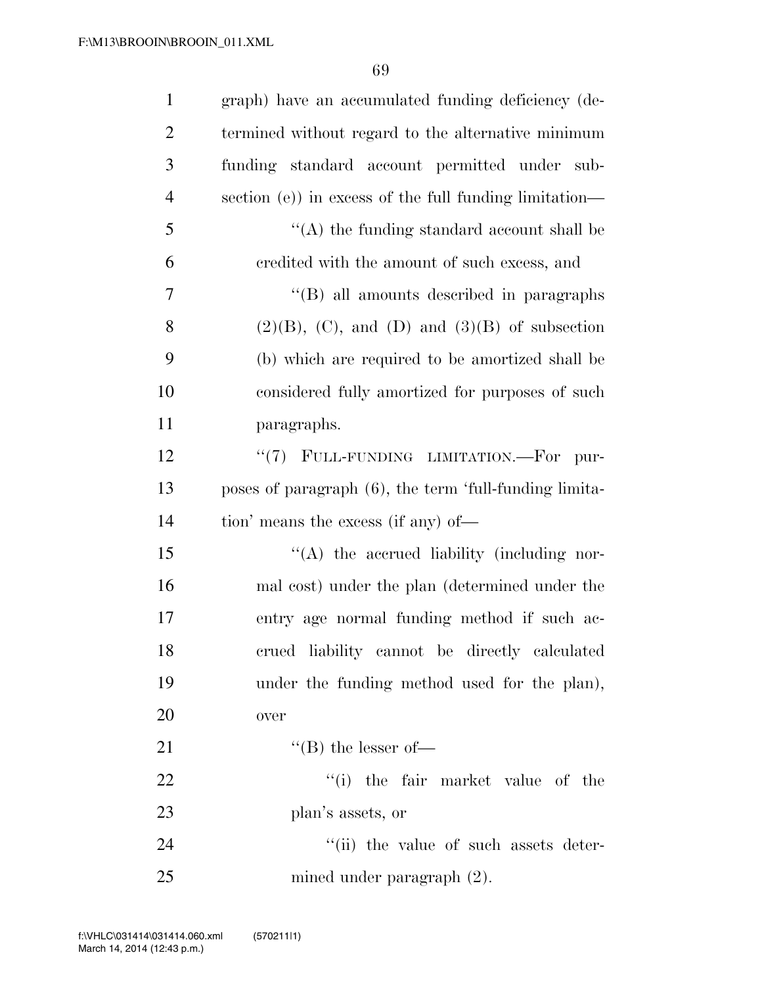| $\mathbf{1}$   | graph) have an accumulated funding deficiency (de-      |
|----------------|---------------------------------------------------------|
| $\overline{2}$ | termined without regard to the alternative minimum      |
| 3              | funding standard account permitted under sub-           |
| 4              | section (e)) in excess of the full funding limitation—  |
| 5              | $\lq\lq$ the funding standard account shall be          |
| 6              | credited with the amount of such excess, and            |
| 7              | "(B) all amounts described in paragraphs                |
| 8              | $(2)(B)$ , $(C)$ , and $(D)$ and $(3)(B)$ of subsection |
| 9              | (b) which are required to be amortized shall be         |
| 10             | considered fully amortized for purposes of such         |
| 11             | paragraphs.                                             |
| 12             | "(7) FULL-FUNDING LIMITATION.—For<br>pur-               |
| 13             | poses of paragraph (6), the term 'full-funding limita-  |
| 14             | tion' means the excess (if any) of—                     |
| 15             | "(A) the accrued liability (including nor-              |
| 16             | mal cost) under the plan (determined under the          |
| 17             | entry age normal funding method if such ac-             |
| 18             | crued liability cannot be directly calculated           |
| 19             | under the funding method used for the plan),            |
| 20             | over                                                    |
| 21             | $\lq\lq (B)$ the lesser of-                             |
| 22             | "(i) the fair market value of the                       |
| 23             | plan's assets, or                                       |
| 24             | "(ii) the value of such assets deter-                   |
| 25             | mined under paragraph $(2)$ .                           |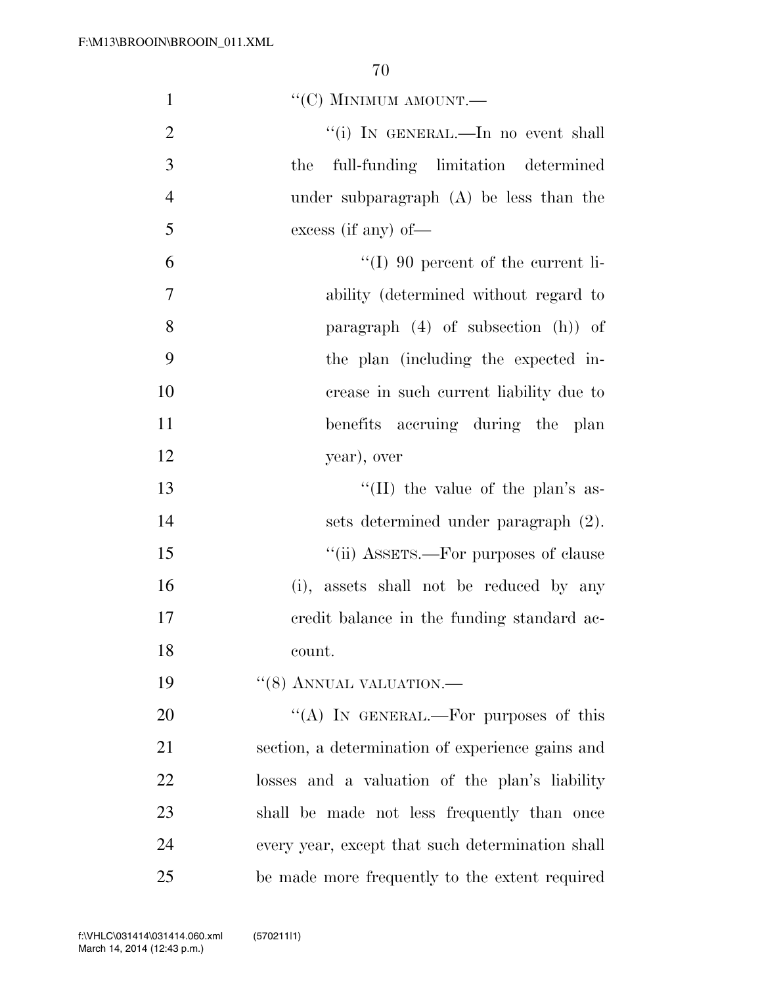| $\mathbf{1}$   | $``(C)$ MINIMUM AMOUNT.—                         |
|----------------|--------------------------------------------------|
| $\overline{2}$ | "(i) IN GENERAL.—In no event shall               |
| 3              | full-funding limitation determined<br>the        |
| $\overline{4}$ | under subparagraph $(A)$ be less than the        |
| 5              | excess (if any) of $-$                           |
| 6              | $\lq\lq$ (I) 90 percent of the current li-       |
| $\overline{7}$ | ability (determined without regard to            |
| 8              | paragraph $(4)$ of subsection $(h)$ of           |
| 9              | the plan (including the expected in-             |
| 10             | crease in such current liability due to          |
| 11             | benefits accruing during the plan                |
| 12             | year), over                                      |
| 13             | "(II) the value of the plan's as-                |
| 14             | sets determined under paragraph (2).             |
| 15             | "(ii) ASSETS.—For purposes of clause             |
| 16             | (i), assets shall not be reduced by any          |
| 17             | eredit balance in the funding standard ac-       |
| 18             | count.                                           |
| 19             | $``(8)$ ANNUAL VALUATION.—                       |
| 20             | "(A) IN GENERAL.—For purposes of this            |
| 21             | section, a determination of experience gains and |
| 22             | losses and a valuation of the plan's liability   |
| 23             | shall be made not less frequently than once      |
| 24             | every year, except that such determination shall |
| 25             | be made more frequently to the extent required   |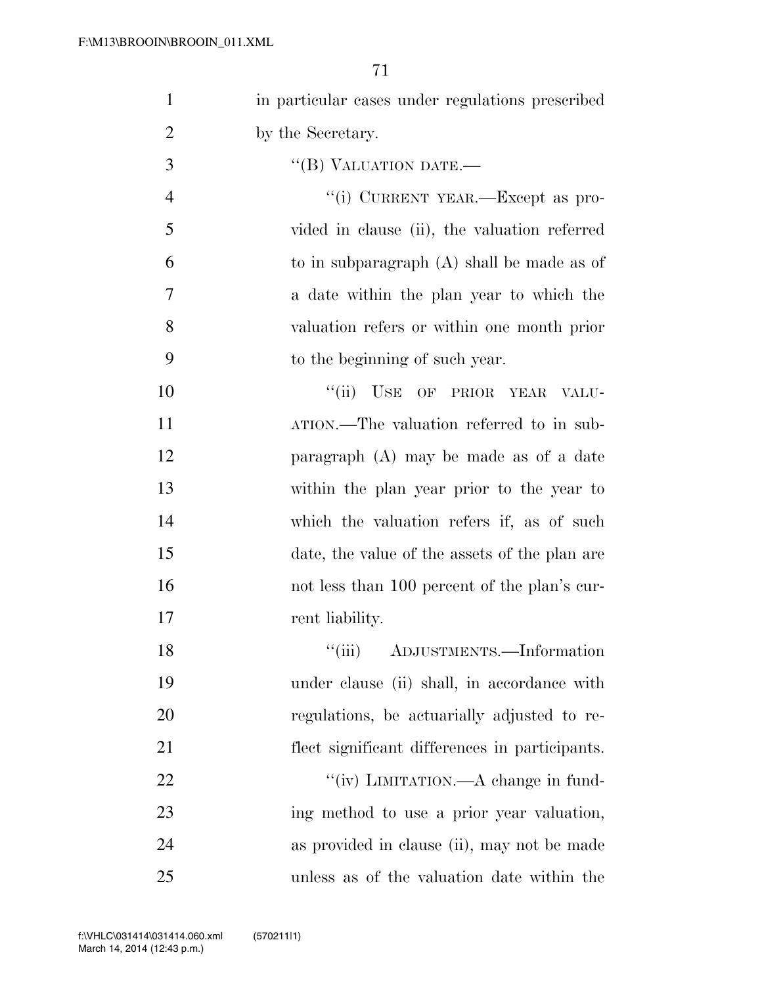| $\mathbf{1}$   | in particular cases under regulations prescribed |
|----------------|--------------------------------------------------|
| $\overline{2}$ | by the Secretary.                                |
| 3              | "(B) VALUATION DATE.-                            |
| $\overline{4}$ | "(i) CURRENT YEAR.—Except as pro-                |
| 5              | vided in clause (ii), the valuation referred     |
| 6              | to in subparagraph $(A)$ shall be made as of     |
| 7              | a date within the plan year to which the         |
| 8              | valuation refers or within one month prior       |
| 9              | to the beginning of such year.                   |
| 10             | "(ii) USE OF PRIOR YEAR<br>VALU-                 |
| 11             | ATION.—The valuation referred to in sub-         |
| 12             | paragraph $(A)$ may be made as of a date         |
| 13             | within the plan year prior to the year to        |
| 14             | which the valuation refers if, as of such        |
| 15             | date, the value of the assets of the plan are    |
| 16             | not less than 100 percent of the plan's cur-     |
| 17             | rent liability.                                  |
| 18             | "(iii) ADJUSTMENTS.—Information                  |
| 19             | under clause (ii) shall, in accordance with      |
| 20             | regulations, be actuarially adjusted to re-      |
| 21             | flect significant differences in participants.   |
| 22             | "(iv) LIMITATION.—A change in fund-              |
| 23             | ing method to use a prior year valuation,        |
| 24             | as provided in clause (ii), may not be made      |
| 25             | unless as of the valuation date within the       |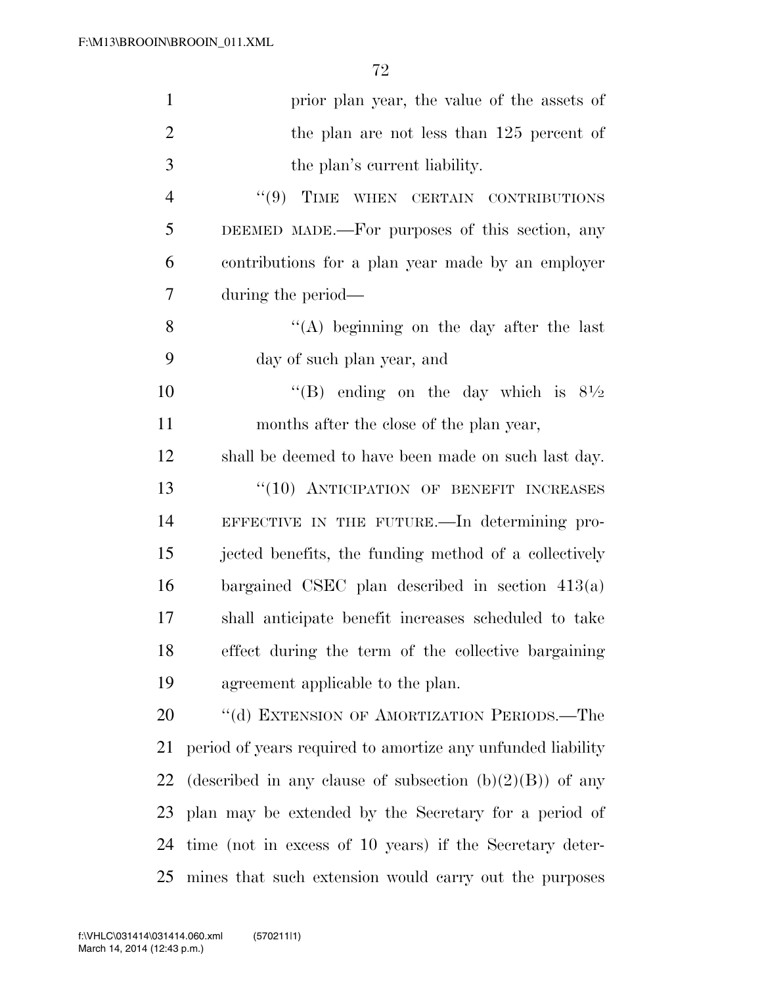| $\mathbf{1}$   | prior plan year, the value of the assets of                 |
|----------------|-------------------------------------------------------------|
| $\overline{2}$ | the plan are not less than 125 percent of                   |
| 3              | the plan's current liability.                               |
| $\overline{4}$ | "(9) TIME WHEN CERTAIN CONTRIBUTIONS                        |
| 5              | DEEMED MADE.—For purposes of this section, any              |
| 6              | contributions for a plan year made by an employer           |
| 7              | during the period—                                          |
| 8              | "(A) beginning on the day after the last                    |
| 9              | day of such plan year, and                                  |
| 10             | "(B) ending on the day which is $8\frac{1}{2}$              |
| 11             | months after the close of the plan year,                    |
| 12             | shall be deemed to have been made on such last day.         |
| 13             | "(10) ANTICIPATION OF BENEFIT INCREASES                     |
| 14             | EFFECTIVE IN THE FUTURE.—In determining pro-                |
| 15             | jected benefits, the funding method of a collectively       |
| 16             | bargained CSEC plan described in section $413(a)$           |
| 17             | shall anticipate benefit increases scheduled to take        |
| 18             | effect during the term of the collective bargaining         |
| 19             | agreement applicable to the plan.                           |
| 20             | "(d) EXTENSION OF AMORTIZATION PERIODS.—The                 |
| 21             | period of years required to amortize any unfunded liability |
| 22             | (described in any clause of subsection $(b)(2)(B)$ ) of any |
| 23             | plan may be extended by the Secretary for a period of       |
| 24             | time (not in excess of 10 years) if the Secretary deter-    |
| 25             | mines that such extension would carry out the purposes      |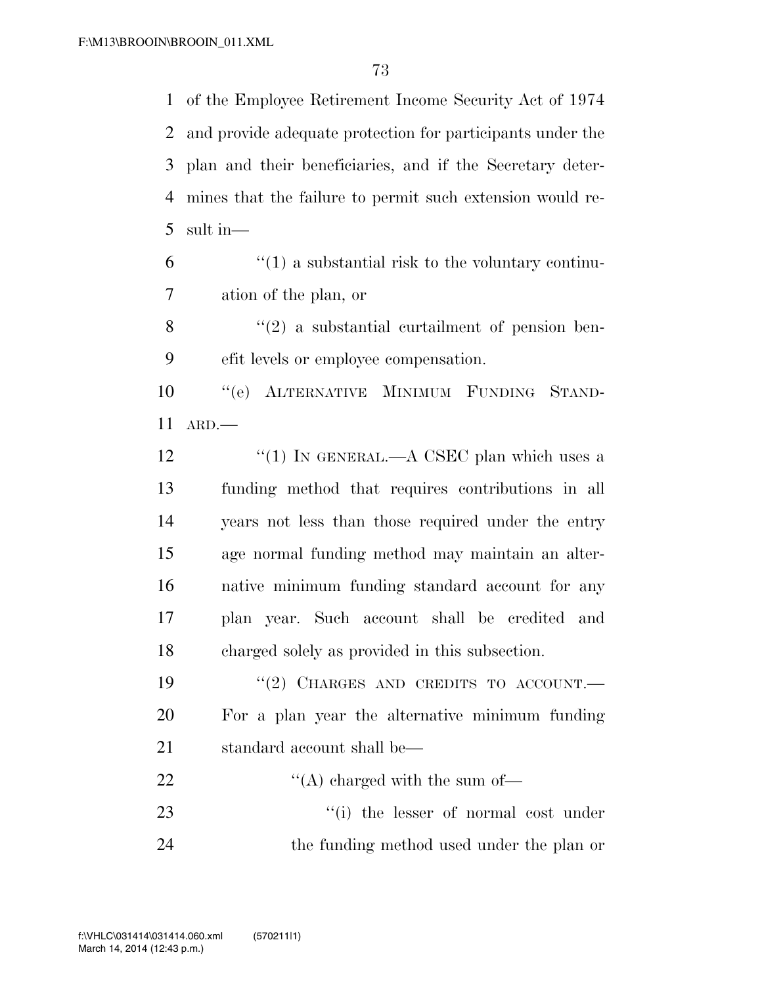of the Employee Retirement Income Security Act of 1974 and provide adequate protection for participants under the plan and their beneficiaries, and if the Secretary deter- mines that the failure to permit such extension would re-sult in—

 $(1)$  a substantial risk to the voluntary continu-ation of the plan, or

 ''(2) a substantial curtailment of pension ben-efit levels or employee compensation.

 ''(e) ALTERNATIVE MINIMUM FUNDING STAND-ARD.—

12 "(1) IN GENERAL.—A CSEC plan which uses a funding method that requires contributions in all years not less than those required under the entry age normal funding method may maintain an alter- native minimum funding standard account for any plan year. Such account shall be credited and charged solely as provided in this subsection.

19 "(2) CHARGES AND CREDITS TO ACCOUNT. For a plan year the alternative minimum funding 21 standard account shall be—

22  $\text{``(A) charged with the sum of}$ 23 ''(i) the lesser of normal cost under 24 the funding method used under the plan or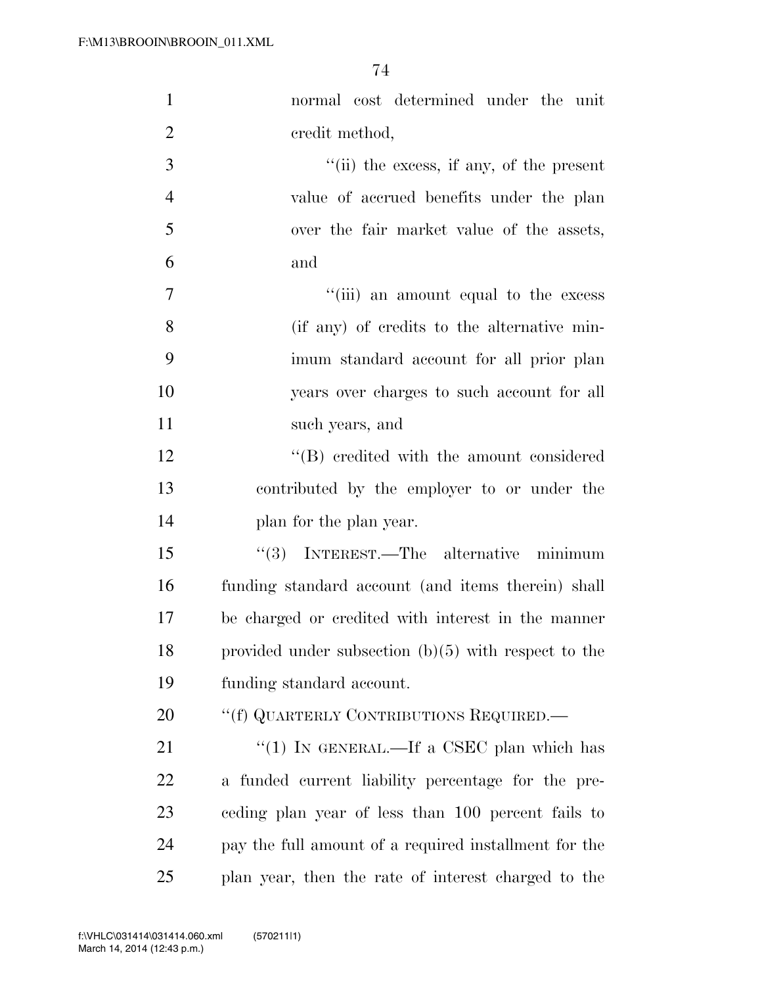| $\mathbf{1}$   | normal cost determined under the unit                  |
|----------------|--------------------------------------------------------|
| $\overline{2}$ | credit method,                                         |
| 3              | "(ii) the excess, if any, of the present               |
| $\overline{4}$ | value of accrued benefits under the plan               |
| 5              | over the fair market value of the assets,              |
| 6              | and                                                    |
| $\overline{7}$ | "(iii) an amount equal to the excess                   |
| 8              | (if any) of credits to the alternative min-            |
| 9              | imum standard account for all prior plan               |
| 10             | years over charges to such account for all             |
| 11             | such years, and                                        |
| 12             | $\lq\lq (B)$ credited with the amount considered       |
| 13             | contributed by the employer to or under the            |
| 14             | plan for the plan year.                                |
| 15             | (3)<br>INTEREST.—The alternative minimum               |
| 16             | funding standard account (and items therein) shall     |
| 17             | be charged or credited with interest in the manner     |
| 18             | provided under subsection $(b)(5)$ with respect to the |
| 19             | funding standard account.                              |
| 20             | "(f) QUARTERLY CONTRIBUTIONS REQUIRED.—                |
| 21             | "(1) IN GENERAL.—If a CSEC plan which has              |
| 22             | a funded current liability percentage for the pre-     |
| 23             | eeding plan year of less than 100 percent fails to     |
| 24             | pay the full amount of a required installment for the  |
| 25             | plan year, then the rate of interest charged to the    |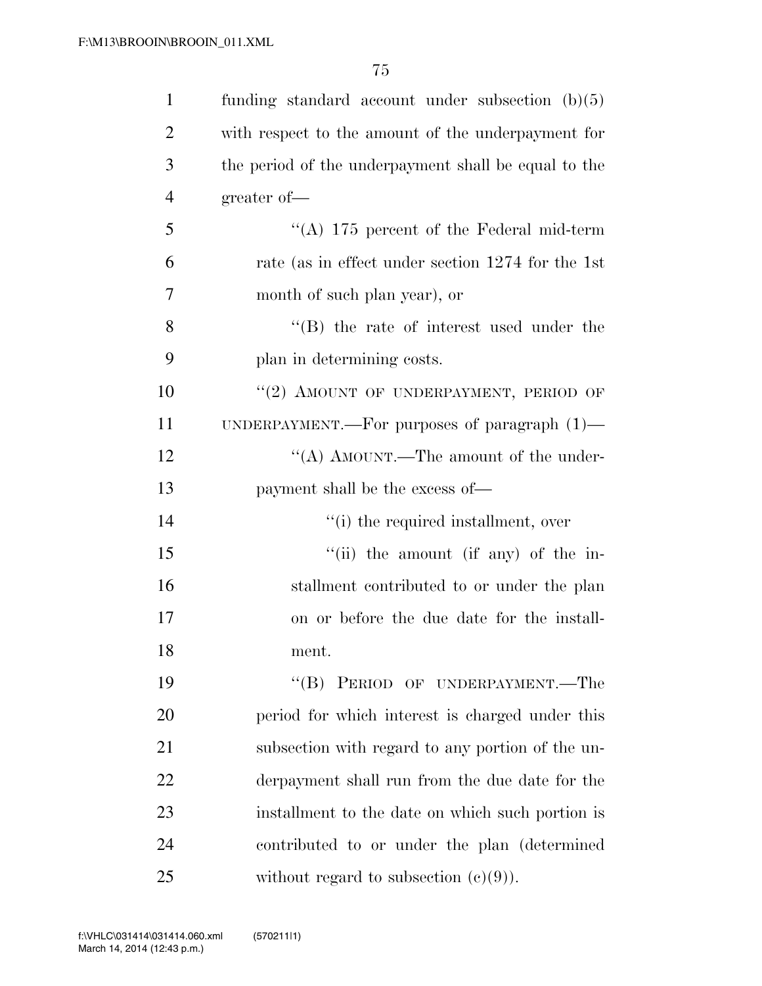| $\mathbf{1}$   | funding standard account under subsection $(b)(5)$   |
|----------------|------------------------------------------------------|
| $\overline{2}$ | with respect to the amount of the underpayment for   |
| 3              | the period of the underpayment shall be equal to the |
| $\overline{4}$ | greater of-                                          |
| 5              | "(A) 175 percent of the Federal mid-term             |
| 6              | rate (as in effect under section 1274 for the 1st    |
| 7              | month of such plan year), or                         |
| 8              | $\lq\lq$ the rate of interest used under the         |
| 9              | plan in determining costs.                           |
| 10             | "(2) AMOUNT OF UNDERPAYMENT, PERIOD OF               |
| 11             | UNDERPAYMENT.—For purposes of paragraph $(1)$ —      |
| 12             | "(A) AMOUNT.—The amount of the under-                |
| 13             | payment shall be the excess of—                      |
| 14             | "(i) the required installment, over                  |
| 15             | "(ii) the amount (if any) of the in-                 |
| 16             | stallment contributed to or under the plan           |
| 17             | on or before the due date for the install-           |
| 18             | ment.                                                |
| 19             | "(B) PERIOD OF UNDERPAYMENT.—The                     |
| 20             | period for which interest is charged under this      |
| 21             | subsection with regard to any portion of the un-     |
| 22             | derpayment shall run from the due date for the       |
| 23             | installment to the date on which such portion is     |
| 24             | contributed to or under the plan (determined         |
| 25             | without regard to subsection $(c)(9)$ ).             |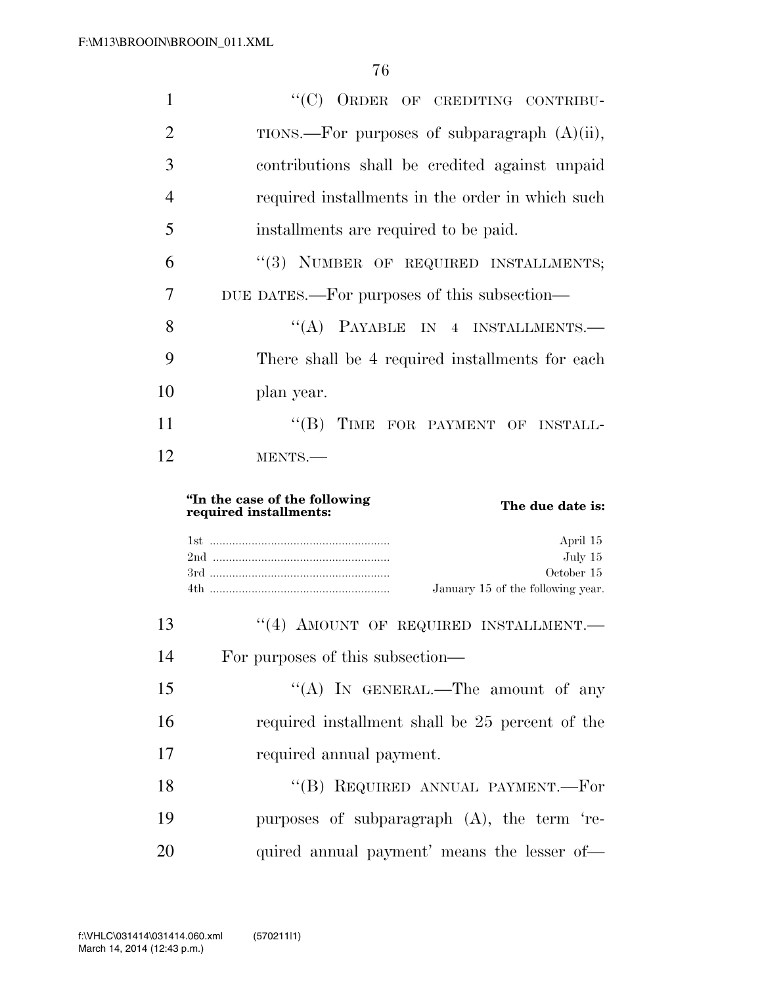| 1              | "(C) ORDER OF CREDITING CONTRIBU-                                           |
|----------------|-----------------------------------------------------------------------------|
| $\overline{2}$ | TIONS.—For purposes of subparagraph $(A)(ii)$ ,                             |
| 3              | contributions shall be credited against unpaid                              |
| 4              | required installments in the order in which such                            |
| 5              | installments are required to be paid.                                       |
| 6              | "(3) NUMBER OF REQUIRED INSTALLMENTS;                                       |
| 7              | DUE DATES.—For purposes of this subsection—                                 |
| 8              | "(A) PAYABLE IN 4 INSTALLMENTS.-                                            |
| 9              | There shall be 4 required installments for each                             |
| 10             | plan year.                                                                  |
| 11             | "(B) TIME FOR PAYMENT OF INSTALL-                                           |
|                |                                                                             |
| 12             | MENTS.-                                                                     |
|                | "In the case of the following<br>The due date is:<br>required installments: |
|                | April 15<br>July 15<br>October 15<br>January 15 of the following year.      |
| 13             | "(4) AMOUNT OF REQUIRED INSTALLMENT.                                        |
| 14             | For purposes of this subsection—                                            |
| 15             | "(A) IN GENERAL.—The amount of any                                          |
| 16             | required installment shall be 25 percent of the                             |
| 17             | required annual payment.                                                    |
| 18             | "(B) REQUIRED ANNUAL PAYMENT.—For                                           |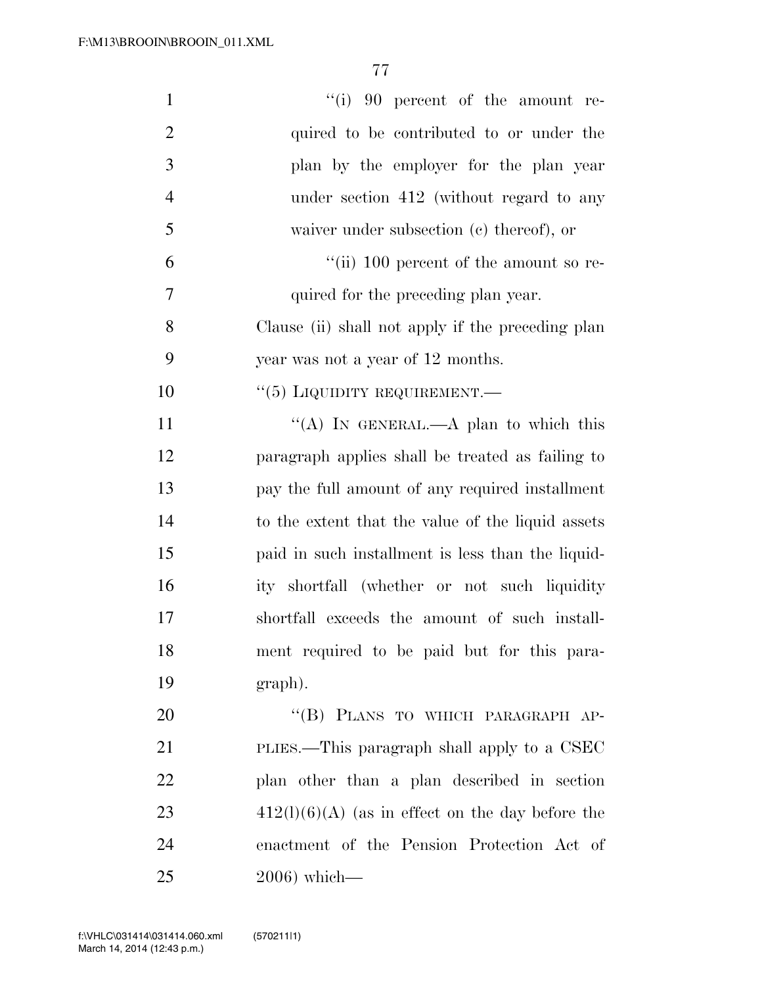| $\mathbf{1}$   | "(i) 90 percent of the amount re-                  |
|----------------|----------------------------------------------------|
| $\overline{2}$ | quired to be contributed to or under the           |
| 3              | plan by the employer for the plan year             |
| $\overline{4}$ | under section 412 (without regard to any           |
| 5              | waiver under subsection $(c)$ thereof), or         |
| 6              | "(ii) $100$ percent of the amount so re-           |
| 7              | quired for the preceding plan year.                |
| 8              | Clause (ii) shall not apply if the preceding plan  |
| 9              | year was not a year of 12 months.                  |
| 10             | $``(5)$ LIQUIDITY REQUIREMENT.—                    |
| 11             | "(A) IN GENERAL.—A plan to which this              |
| 12             | paragraph applies shall be treated as failing to   |
| 13             | pay the full amount of any required installment    |
| 14             | to the extent that the value of the liquid assets  |
| 15             | paid in such installment is less than the liquid-  |
| 16             | ity shortfall (whether or not such liquidity       |
| 17             | shortfall exceeds the amount of such install-      |
| 18             | ment required to be paid but for this para-        |
| 19             | graph).                                            |
| 20             | "(B) PLANS TO WHICH PARAGRAPH AP-                  |
| 21             | PLIES.—This paragraph shall apply to a CSEC        |
| 22             | plan other than a plan described in section        |
| 23             | $412(l)(6)(A)$ (as in effect on the day before the |
| 24             | enactment of the Pension Protection Act of         |
| 25             | $2006$ ) which—                                    |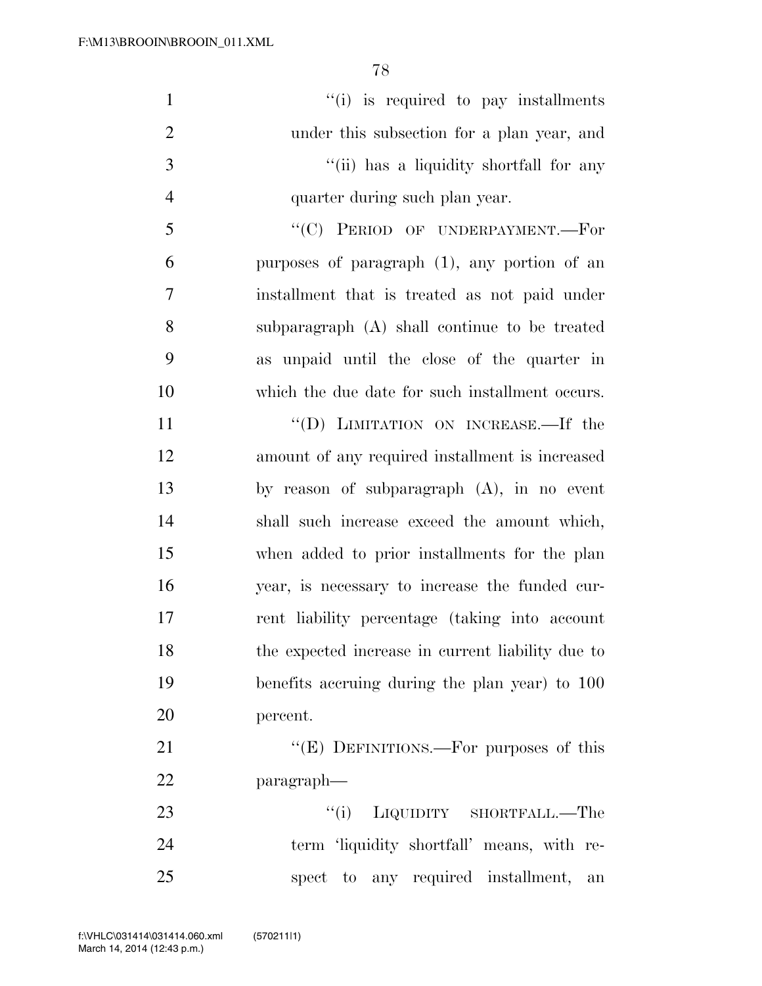| $\mathbf{1}$   | "(i) is required to pay installments              |
|----------------|---------------------------------------------------|
| $\overline{2}$ | under this subsection for a plan year, and        |
| 3              | "(ii) has a liquidity shortfall for any           |
| $\overline{4}$ | quarter during such plan year.                    |
| 5              | "(C) PERIOD OF UNDERPAYMENT.-For                  |
| 6              | purposes of paragraph (1), any portion of an      |
| $\overline{7}$ | installment that is treated as not paid under     |
| 8              | subparagraph (A) shall continue to be treated     |
| 9              | as unpaid until the close of the quarter in       |
| 10             | which the due date for such installment occurs.   |
| 11             | "(D) LIMITATION ON INCREASE.—If the               |
| 12             | amount of any required installment is increased   |
| 13             | by reason of subparagraph $(A)$ , in no event     |
| 14             | shall such increase exceed the amount which,      |
| 15             | when added to prior installments for the plan     |
| 16             | year, is necessary to increase the funded cur-    |
| 17             | rent liability percentage (taking into account    |
| 18             | the expected increase in current liability due to |
| 19             | benefits accruing during the plan year) to 100    |
| 20             | percent.                                          |
| 21             | "(E) DEFINITIONS.—For purposes of this            |
| 22             | paragraph—                                        |
| 23             | "(i) LIQUIDITY SHORTFALL.—The                     |
| 24             | term 'liquidity shortfall' means, with re-        |

spect to any required installment, an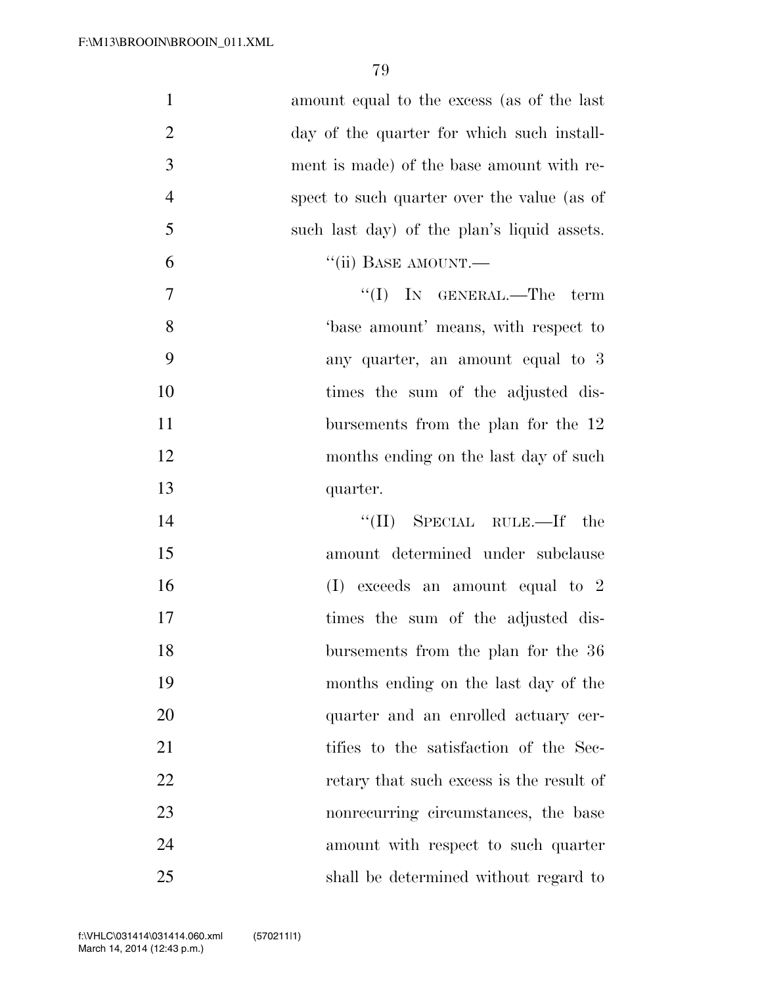| $\mathbf{1}$<br>amount equal to the excess (as of the last    |  |
|---------------------------------------------------------------|--|
|                                                               |  |
| $\overline{2}$<br>day of the quarter for which such install-  |  |
| 3<br>ment is made) of the base amount with re-                |  |
| $\overline{4}$<br>spect to such quarter over the value (as of |  |
| 5<br>such last day) of the plan's liquid assets.              |  |
| 6<br>"(ii) BASE AMOUNT.—                                      |  |
| 7<br>"(I) IN GENERAL.—The term                                |  |
| 8<br>base amount' means, with respect to                      |  |
| 9<br>any quarter, an amount equal to 3                        |  |
| 10<br>times the sum of the adjusted dis-                      |  |
| 11<br>bursements from the plan for the 12                     |  |
| 12<br>months ending on the last day of such                   |  |
| 13<br>quarter.                                                |  |
| "(II) SPECIAL RULE.—If the<br>14                              |  |
| 15<br>amount determined under subclause                       |  |
| 16<br>$(I)$ exceeds an amount equal to 2                      |  |
| 17<br>times the sum of the adjusted dis-                      |  |
| 18<br>bursements from the plan for the 36                     |  |
| 19<br>months ending on the last day of the                    |  |
| 20<br>quarter and an enrolled actuary cer-                    |  |
| 21<br>tifies to the satisfaction of the Sec-                  |  |
| 22<br>retary that such excess is the result of                |  |
| 23<br>nonrecurring circumstances, the base                    |  |
| 24<br>amount with respect to such quarter                     |  |
| 25<br>shall be determined without regard to                   |  |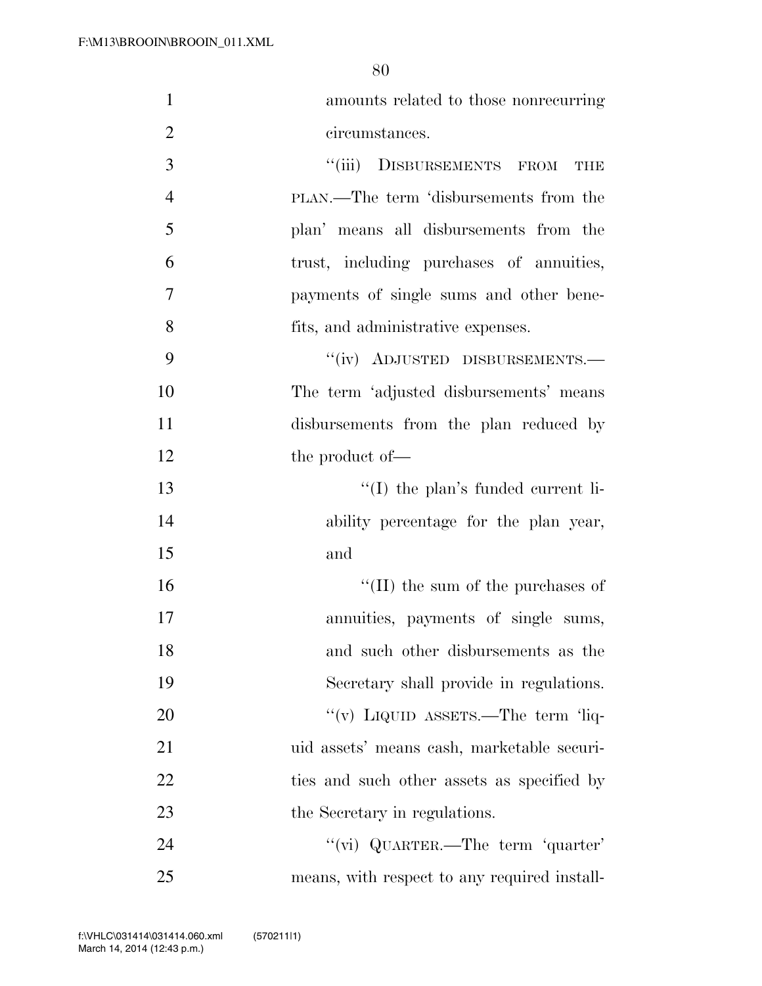| $\mathbf{1}$   | amounts related to those nonrecurring        |
|----------------|----------------------------------------------|
| $\overline{2}$ | circumstances.                               |
| 3              | "(iii) DISBURSEMENTS FROM THE                |
| $\overline{4}$ | PLAN.—The term 'disbursements from the       |
| 5              | plan' means all disbursements from the       |
| 6              | trust, including purchases of annuities,     |
| $\tau$         | payments of single sums and other bene-      |
| 8              | fits, and administrative expenses.           |
| 9              | "(iv) ADJUSTED DISBURSEMENTS.-               |
| 10             | The term 'adjusted disbursements' means      |
| 11             | disbursements from the plan reduced by       |
| 12             | the product of—                              |
| 13             | $\lq\lq$ (I) the plan's funded current li-   |
| 14             | ability percentage for the plan year,        |
| 15             | and                                          |
| 16             | $\lq\lq$ (II) the sum of the purchases of    |
| 17             | annuities, payments of single sums,          |
| 18             | and such other disbursements as the          |
| 19             | Secretary shall provide in regulations.      |
| 20             | "(v) LIQUID ASSETS.—The term 'liq-           |
| 21             | uid assets' means cash, marketable securi-   |
| 22             | ties and such other assets as specified by   |
| 23             | the Secretary in regulations.                |
| 24             | "(vi) QUARTER.—The term 'quarter'            |
| 25             | means, with respect to any required install- |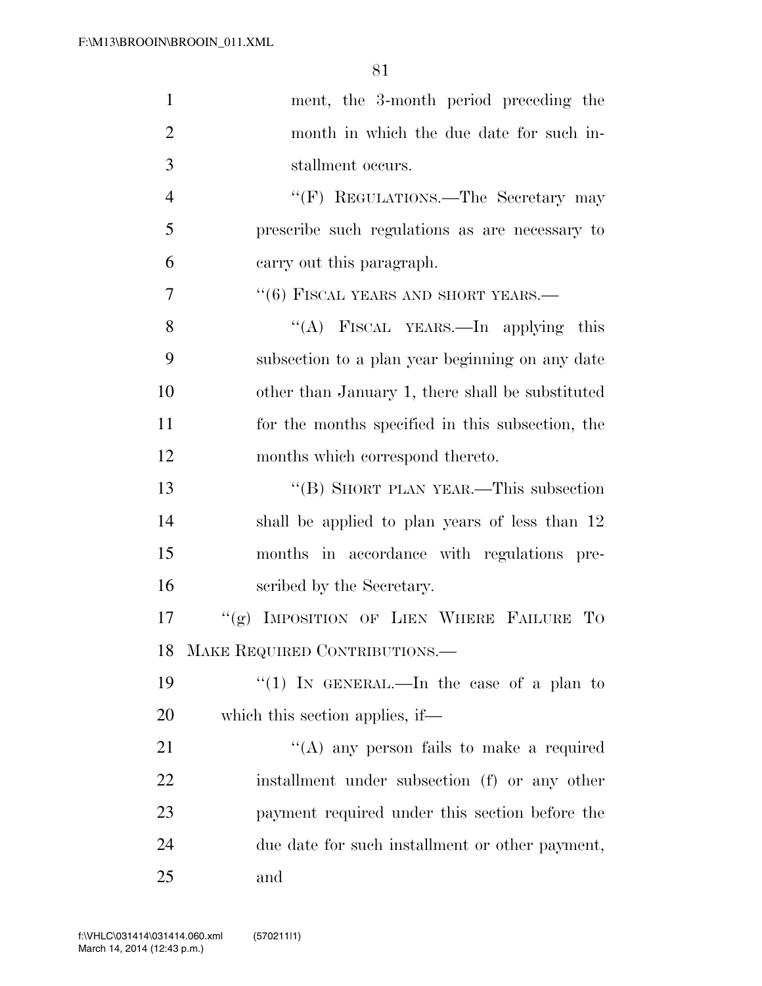| $\mathbf{1}$   | ment, the 3-month period preceding the           |
|----------------|--------------------------------------------------|
| $\overline{2}$ | month in which the due date for such in-         |
| 3              | stallment occurs.                                |
| $\overline{4}$ | "(F) REGULATIONS.—The Secretary may              |
| 5              | prescribe such regulations as are necessary to   |
| 6              | carry out this paragraph.                        |
| $\overline{7}$ | $``(6)$ FISCAL YEARS AND SHORT YEARS.—           |
| 8              | "(A) FISCAL YEARS.—In applying this              |
| 9              | subsection to a plan year beginning on any date  |
| 10             | other than January 1, there shall be substituted |
| 11             | for the months specified in this subsection, the |
| 12             | months which correspond thereto.                 |
| 13             | "(B) SHORT PLAN YEAR.—This subsection            |
| 14             | shall be applied to plan years of less than 12   |
| 15             | months in accordance with regulations pre-       |
| 16             | scribed by the Secretary.                        |
| 17             | "(g) IMPOSITION OF LIEN WHERE FAILURE TO         |
| 18             | MAKE REQUIRED CONTRIBUTIONS.                     |
| 19             | "(1) IN GENERAL.—In the case of a plan to        |
| 20             | which this section applies, if—                  |
| 21             | $\lq\lq$ any person fails to make a required     |
| 22             | installment under subsection (f) or any other    |
| 23             | payment required under this section before the   |
| 24             | due date for such installment or other payment,  |
| 25             | and                                              |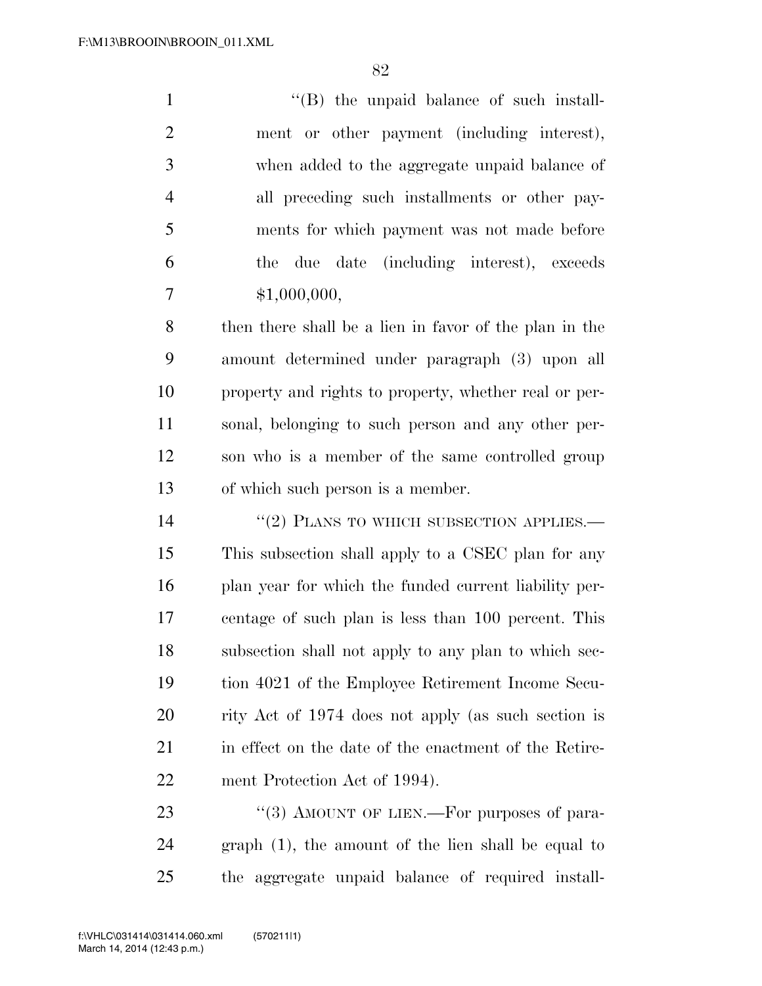$\lq\lq (B)$  the unpaid balance of such install- ment or other payment (including interest), when added to the aggregate unpaid balance of all preceding such installments or other pay- ments for which payment was not made before the due date (including interest), exceeds \$1,000,000,

 then there shall be a lien in favor of the plan in the amount determined under paragraph (3) upon all property and rights to property, whether real or per- sonal, belonging to such person and any other per- son who is a member of the same controlled group of which such person is a member.

14 ''(2) PLANS TO WHICH SUBSECTION APPLIES. This subsection shall apply to a CSEC plan for any plan year for which the funded current liability per- centage of such plan is less than 100 percent. This subsection shall not apply to any plan to which sec- tion 4021 of the Employee Retirement Income Secu- rity Act of 1974 does not apply (as such section is 21 in effect on the date of the enactment of the Retire-ment Protection Act of 1994).

23 "(3) AMOUNT OF LIEN.—For purposes of para- graph (1), the amount of the lien shall be equal to the aggregate unpaid balance of required install-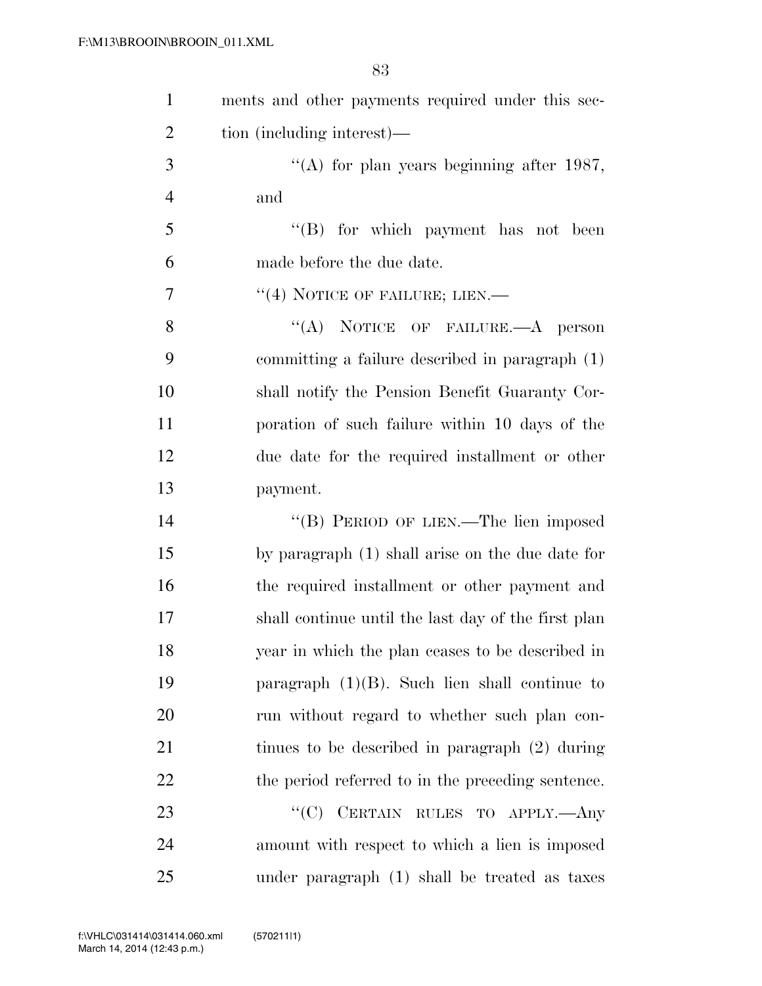| $\mathbf{1}$   | ments and other payments required under this sec-   |
|----------------|-----------------------------------------------------|
| $\overline{2}$ | tion (including interest)—                          |
| 3              | "(A) for plan years beginning after $1987$ ,        |
| $\overline{4}$ | and                                                 |
| 5              | $\lq\lq$ for which payment has not been             |
| 6              | made before the due date.                           |
| 7              | "(4) NOTICE OF FAILURE; LIEN.—                      |
| 8              | "(A) NOTICE OF FAILURE.—A person                    |
| 9              | committing a failure described in paragraph (1)     |
| 10             | shall notify the Pension Benefit Guaranty Cor-      |
| 11             | poration of such failure within 10 days of the      |
| 12             | due date for the required installment or other      |
| 13             | payment.                                            |
| 14             | "(B) PERIOD OF LIEN.—The lien imposed               |
| 15             | by paragraph (1) shall arise on the due date for    |
| 16             | the required installment or other payment and       |
| 17             | shall continue until the last day of the first plan |
| 18             | year in which the plan ceases to be described in    |
| 19             | paragraph $(1)(B)$ . Such lien shall continue to    |
| 20             | run without regard to whether such plan con-        |
| 21             | tinues to be described in paragraph (2) during      |
| 22             | the period referred to in the preceding sentence.   |
| 23             | "(C) CERTAIN RULES TO APPLY.—Any                    |
| 24             | amount with respect to which a lien is imposed      |
| 25             | under paragraph (1) shall be treated as taxes       |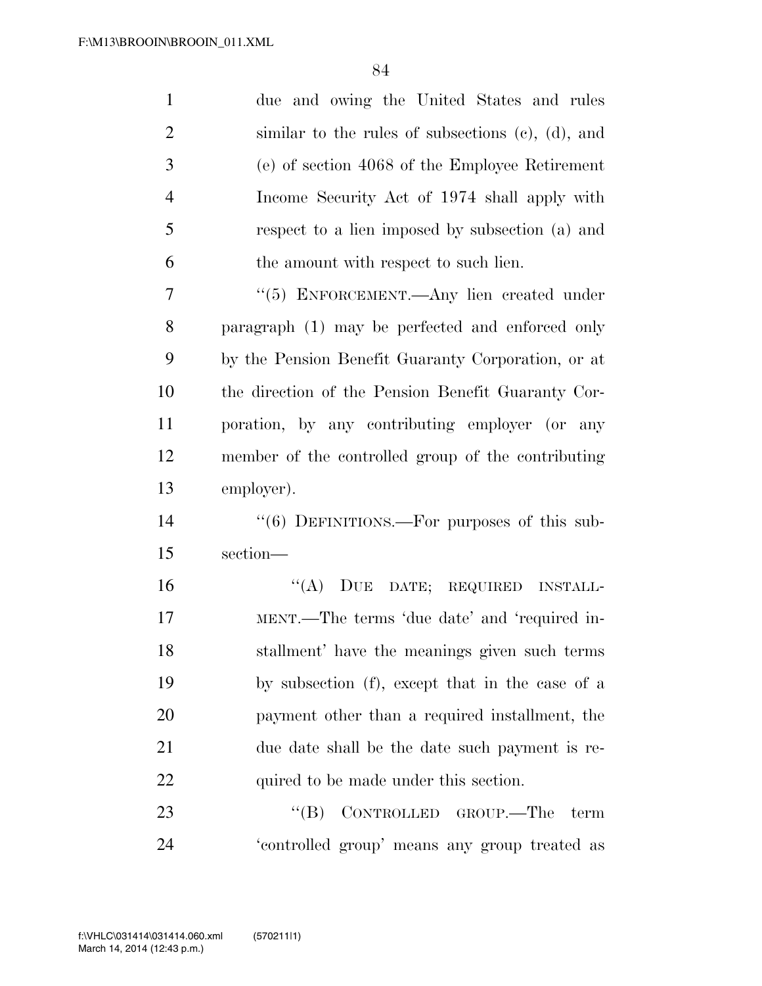| $\mathbf{1}$   | due and owing the United States and rules          |
|----------------|----------------------------------------------------|
| $\overline{2}$ | similar to the rules of subsections (c), (d), and  |
| 3              | (e) of section 4068 of the Employee Retirement     |
| $\overline{4}$ | Income Security Act of 1974 shall apply with       |
| 5              | respect to a lien imposed by subsection (a) and    |
| 6              | the amount with respect to such lien.              |
| 7              | "(5) ENFORCEMENT.—Any lien created under           |
| 8              | paragraph (1) may be perfected and enforced only   |
| 9              | by the Pension Benefit Guaranty Corporation, or at |
| 10             | the direction of the Pension Benefit Guaranty Cor- |
| 11             | poration, by any contributing employer (or any     |
| 12             | member of the controlled group of the contributing |
| 13             | employer).                                         |
| 14             | " $(6)$ DEFINITIONS.—For purposes of this sub-     |
| 15             | section-                                           |
| 16             | ``(A)<br>DUE DATE; REQUIRED INSTALL-               |
| 17             | MENT.—The terms 'due date' and 'required in-       |
| 18             | stallment' have the meanings given such terms      |
| 19             | by subsection (f), except that in the case of a    |
| 20             | payment other than a required installment, the     |
| 21             | due date shall be the date such payment is re-     |
| 22             | quired to be made under this section.              |
| 23             | CONTROLLED GROUP.—The<br>``(B)<br>term             |
| 24             | 'controlled group' means any group treated as      |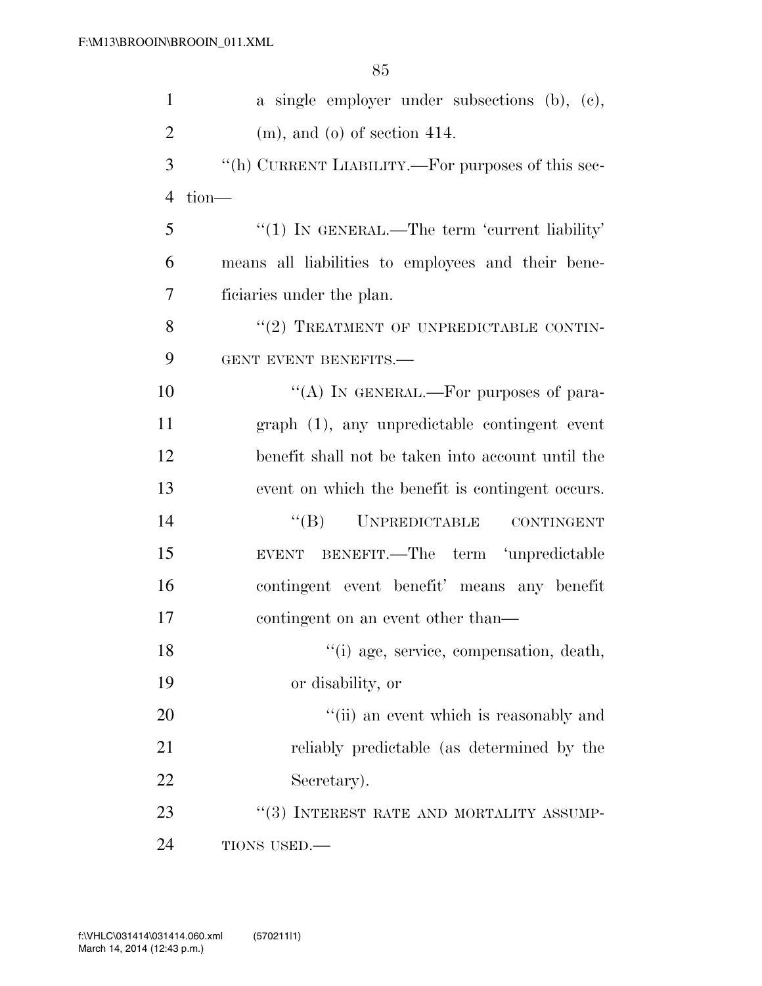| $\mathbf{1}$   | a single employer under subsections (b), (c),      |
|----------------|----------------------------------------------------|
| $\overline{2}$ | $(m)$ , and $(o)$ of section 414.                  |
| 3              | "(h) CURRENT LIABILITY.—For purposes of this sec-  |
| 4              | tion-                                              |
| 5              | $"(1)$ In GENERAL.—The term 'current liability'    |
| 6              | means all liabilities to employees and their bene- |
| 7              | ficiaries under the plan.                          |
| 8              | "(2) TREATMENT OF UNPREDICTABLE CONTIN-            |
| 9              | GENT EVENT BENEFITS.-                              |
| 10             | "(A) IN GENERAL.—For purposes of para-             |
| 11             | graph (1), any unpredictable contingent event      |
| 12             | benefit shall not be taken into account until the  |
| 13             | event on which the benefit is contingent occurs.   |
| 14             | "(B) UNPREDICTABLE CONTINGENT                      |
| 15             | EVENT BENEFIT.—The term 'unpredictable             |
| 16             | contingent event benefit' means any benefit        |
| 17             | contingent on an event other than—                 |
| 18             | "(i) age, service, compensation, death,            |
| 19             | or disability, or                                  |
| 20             | "(ii) an event which is reasonably and             |
| 21             | reliably predictable (as determined by the         |
| 22             | Secretary).                                        |
| 23             | "(3) INTEREST RATE AND MORTALITY ASSUMP-           |
| 24             | TIONS USED.-                                       |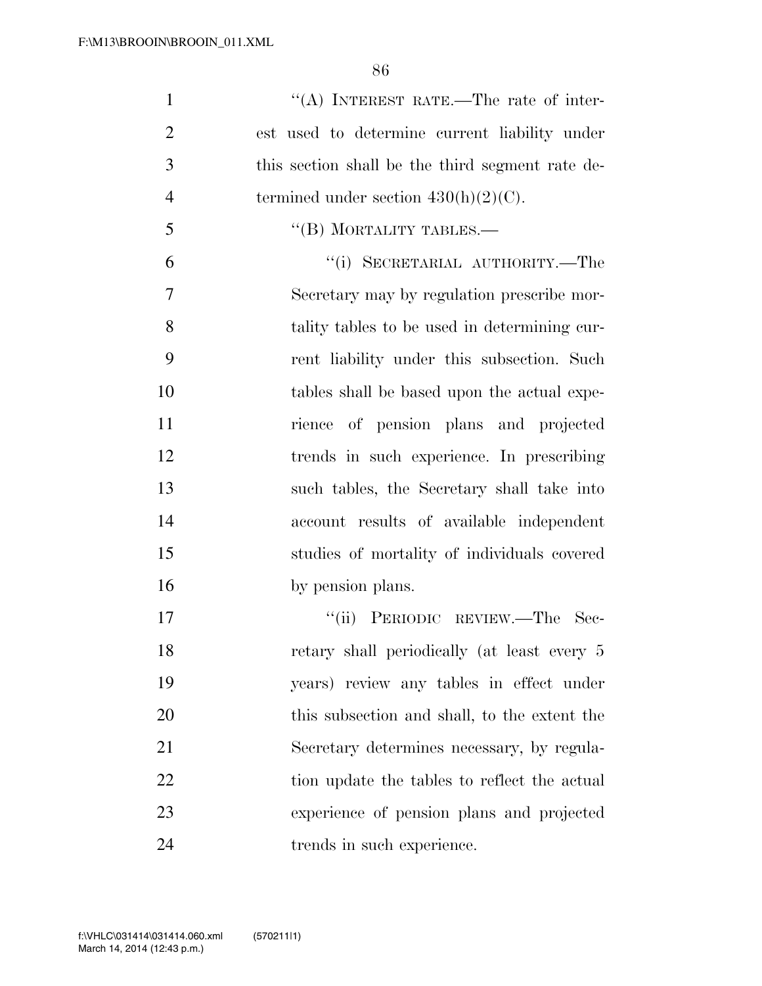| $\mathbf{1}$   | "(A) INTEREST RATE.—The rate of inter-           |
|----------------|--------------------------------------------------|
| $\overline{2}$ | est used to determine current liability under    |
| 3              | this section shall be the third segment rate de- |
| $\overline{4}$ | termined under section $430(h)(2)(C)$ .          |
| 5              | $\lq\lq$ (B) MORTALITY TABLES.—                  |
| 6              | "(i) SECRETARIAL AUTHORITY.—The                  |
| $\overline{7}$ | Secretary may by regulation prescribe mor-       |
| 8              | tality tables to be used in determining cur-     |
| 9              | rent liability under this subsection. Such       |
| 10             | tables shall be based upon the actual expe-      |
| 11             | rience of pension plans and projected            |
| 12             | trends in such experience. In prescribing        |
| 13             | such tables, the Secretary shall take into       |
| 14             | account results of available independent         |
| 15             | studies of mortality of individuals covered      |
| 16             | by pension plans.                                |
| 17             | "(ii) PERIODIC REVIEW.—The Sec-                  |
| 18             | retary shall periodically (at least every 5      |
| 19             | years) review any tables in effect under         |
|                |                                                  |

 this subsection and shall, to the extent the Secretary determines necessary, by regula-22 tion update the tables to reflect the actual experience of pension plans and projected trends in such experience.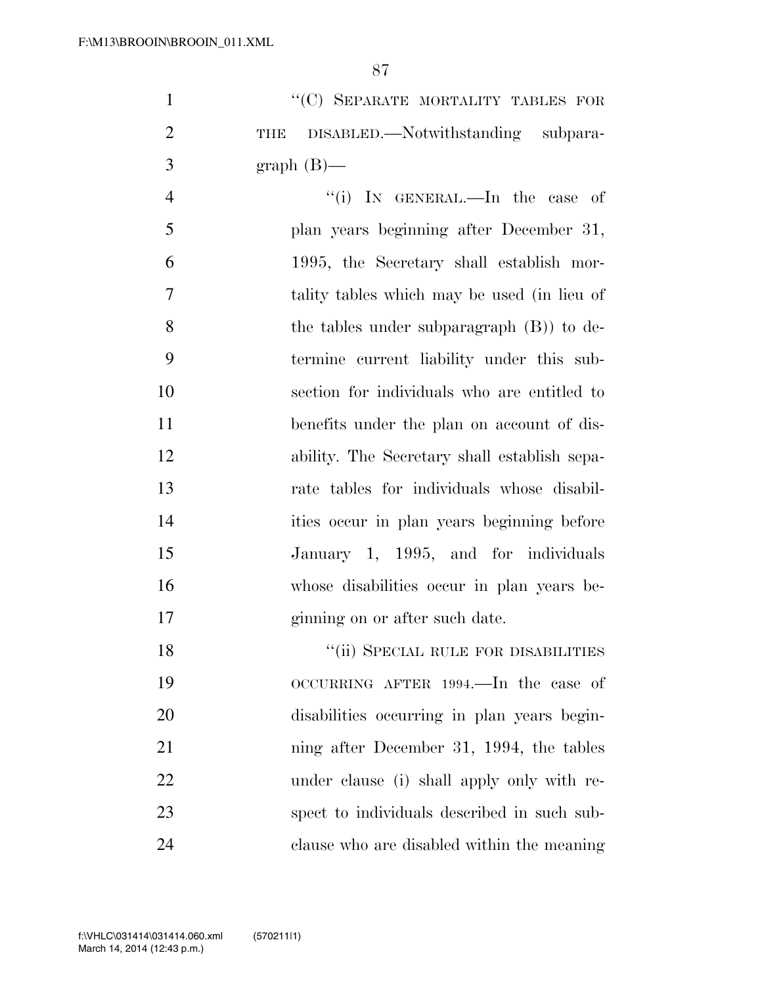1 "'(C) SEPARATE MORTALITY TABLES FOR THE DISABLED.—Notwithstanding subpara-3 graph  $(B)$ —

4 "(i) In GENERAL.—In the case of plan years beginning after December 31, 1995, the Secretary shall establish mor- tality tables which may be used (in lieu of the tables under subparagraph (B)) to de- termine current liability under this sub- section for individuals who are entitled to benefits under the plan on account of dis- ability. The Secretary shall establish sepa- rate tables for individuals whose disabil- ities occur in plan years beginning before January 1, 1995, and for individuals whose disabilities occur in plan years be-ginning on or after such date.

18 "(ii) SPECIAL RULE FOR DISABILITIES OCCURRING AFTER 1994.—In the case of disabilities occurring in plan years begin- ning after December 31, 1994, the tables under clause (i) shall apply only with re- spect to individuals described in such sub-clause who are disabled within the meaning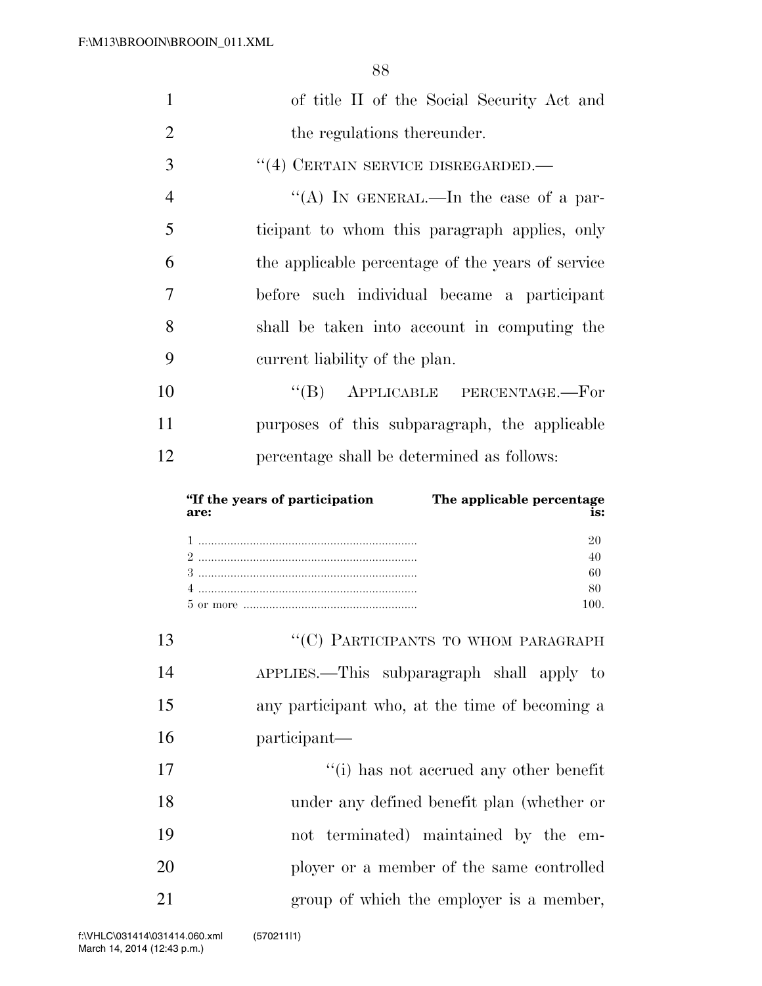| 1              | of title II of the Social Security Act and                                  |
|----------------|-----------------------------------------------------------------------------|
| $\overline{2}$ | the regulations thereunder.                                                 |
| 3              | $``(4)$ CERTAIN SERVICE DISREGARDED.                                        |
| $\overline{4}$ | "(A) IN GENERAL.—In the case of a par-                                      |
| 5              | ticipant to whom this paragraph applies, only                               |
| 6              | the applicable percentage of the years of service                           |
| 7              | before such individual became a participant                                 |
| 8              | shall be taken into account in computing the                                |
| 9              | current liability of the plan.                                              |
| 10             | "(B) APPLICABLE PERCENTAGE.-For                                             |
| 11             | purposes of this subparagraph, the applicable                               |
| 12             | percentage shall be determined as follows:                                  |
|                |                                                                             |
|                | The applicable percentage<br>"If the years of participation"<br>is:<br>are: |
|                | 20<br>40<br>60<br>80<br>100.                                                |
| 13             | "(C) PARTICIPANTS TO WHOM PARAGRAPH                                         |
| 14             | APPLIES.—This subparagraph shall apply to                                   |
| 15             | any participant who, at the time of becoming a                              |
| 16             | participant—                                                                |
| 17             | "(i) has not accrued any other benefit                                      |
| 18             | under any defined benefit plan (whether or                                  |
| 19             | not terminated) maintained by the<br>em-                                    |
| 20             | ployer or a member of the same controlled                                   |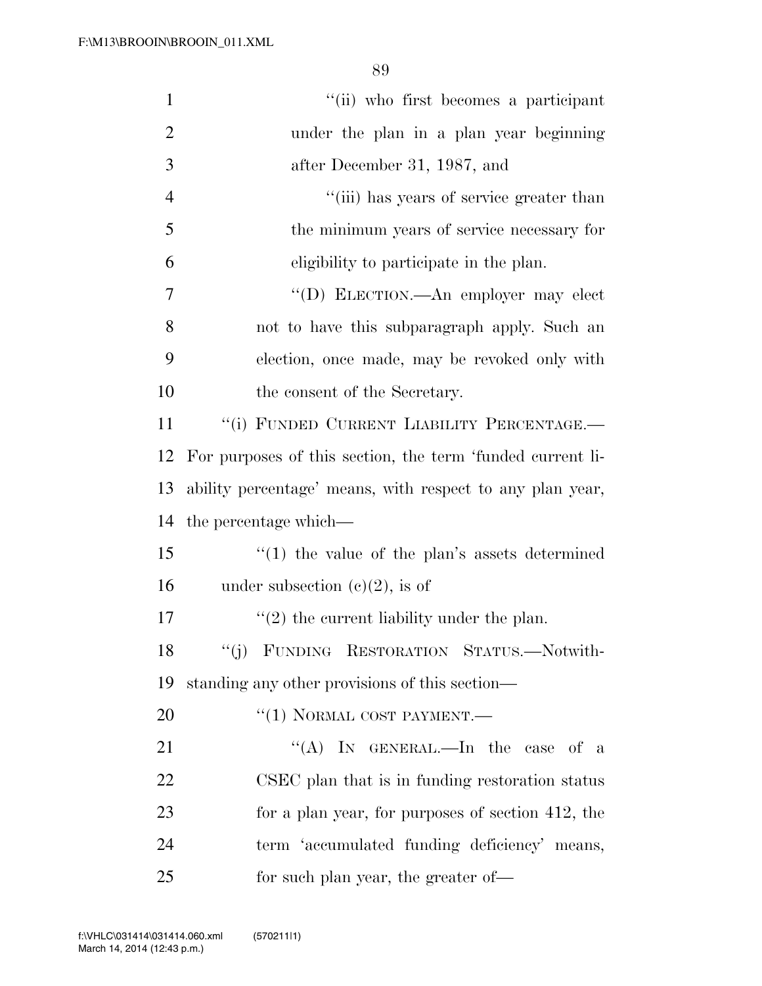| $\mathbf{1}$   | "(ii) who first becomes a participant                      |
|----------------|------------------------------------------------------------|
| $\overline{2}$ | under the plan in a plan year beginning                    |
| 3              | after December 31, 1987, and                               |
| $\overline{4}$ | "(iii) has years of service greater than                   |
| 5              | the minimum years of service necessary for                 |
| 6              | eligibility to participate in the plan.                    |
| 7              | "(D) ELECTION.—An employer may elect                       |
| 8              | not to have this subparagraph apply. Such an               |
| 9              | election, once made, may be revoked only with              |
| 10             | the consent of the Secretary.                              |
| 11             | "(i) FUNDED CURRENT LIABILITY PERCENTAGE.-                 |
| 12             | For purposes of this section, the term 'funded current li- |
| 13             | ability percentage' means, with respect to any plan year,  |
| 14             | the percentage which—                                      |
| 15             | $\cdot\cdot(1)$ the value of the plan's assets determined  |
| 16             | under subsection $(c)(2)$ , is of                          |
| 17             | $\lq(2)$ the current liability under the plan.             |
| 18             | "(j) FUNDING RESTORATION STATUS.—Notwith-                  |
| 19             | standing any other provisions of this section—             |
| 20             | $``(1)$ NORMAL COST PAYMENT.—                              |
| 21             | "(A) IN GENERAL.—In the case of a                          |
| 22             | CSEC plan that is in funding restoration status            |
| 23             | for a plan year, for purposes of section 412, the          |
| 24             | term 'accumulated funding deficiency' means,               |
| 25             | for such plan year, the greater of—                        |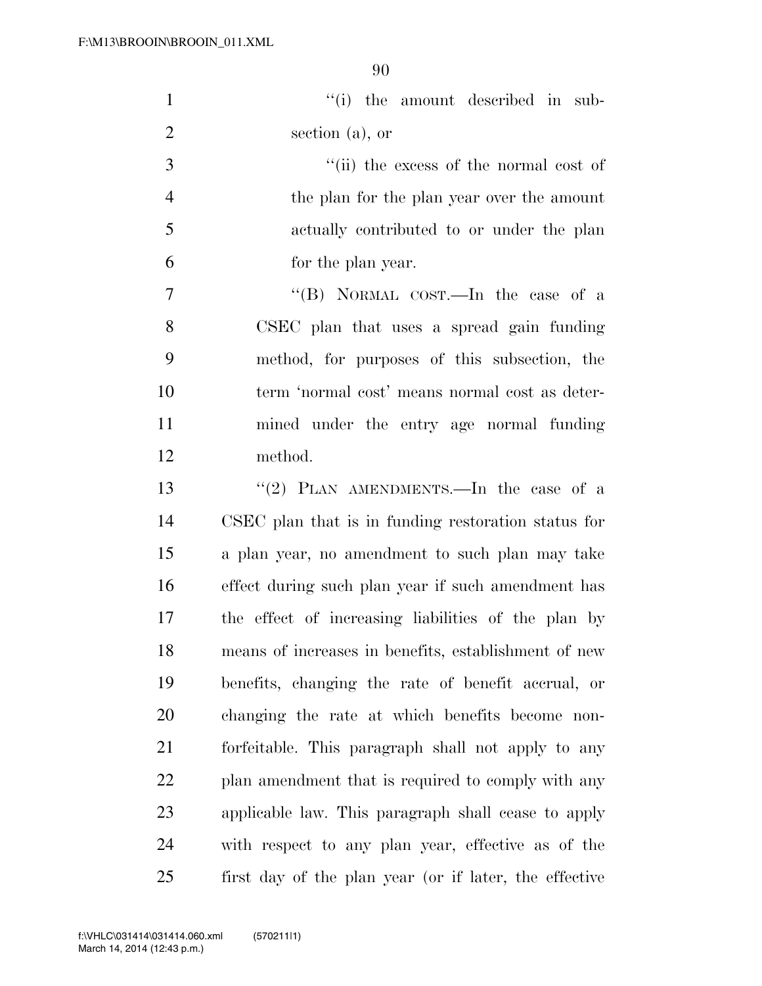| $\mathbf{1}$   | "(i) the amount described in sub-                      |
|----------------|--------------------------------------------------------|
| $\overline{2}$ | section $(a)$ , or                                     |
| 3              | "(ii) the excess of the normal cost of                 |
| $\overline{4}$ | the plan for the plan year over the amount             |
| $\mathfrak{S}$ | actually contributed to or under the plan              |
| 6              | for the plan year.                                     |
| $\tau$         | "(B) NORMAL COST.—In the case of a                     |
| 8              | CSEC plan that uses a spread gain funding              |
| 9              | method, for purposes of this subsection, the           |
| 10             | term 'normal cost' means normal cost as deter-         |
| 11             | mined under the entry age normal funding               |
| 12             | method.                                                |
| 13             | "(2) PLAN AMENDMENTS.—In the case of a                 |
| 14             | CSEC plan that is in funding restoration status for    |
| 15             | a plan year, no amendment to such plan may take        |
| 16             | effect during such plan year if such amendment has     |
| 17             | the effect of increasing liabilities of the plan by    |
| 18             | means of increases in benefits, establishment of new   |
| 19             | benefits, changing the rate of benefit accrual, or     |
| 20             | changing the rate at which benefits become non-        |
| 21             | forfeitable. This paragraph shall not apply to any     |
| 22             | plan amendment that is required to comply with any     |
| 23             | applicable law. This paragraph shall cease to apply    |
| 24             | with respect to any plan year, effective as of the     |
| 25             | first day of the plan year (or if later, the effective |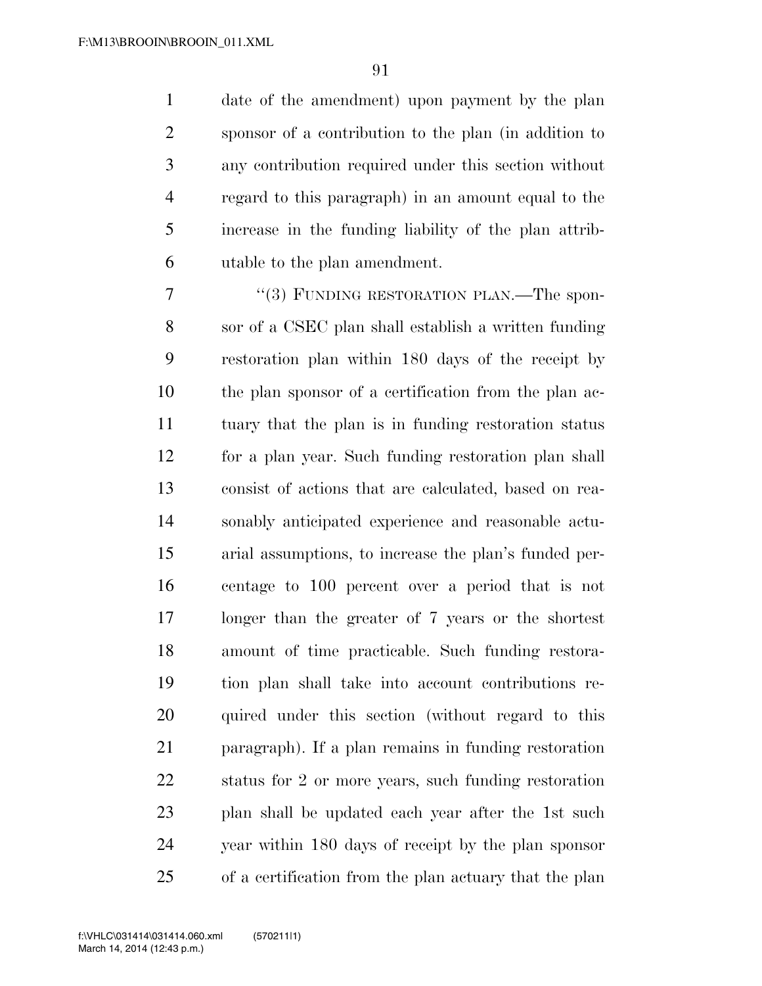date of the amendment) upon payment by the plan sponsor of a contribution to the plan (in addition to any contribution required under this section without regard to this paragraph) in an amount equal to the increase in the funding liability of the plan attrib-utable to the plan amendment.

7 "(3) FUNDING RESTORATION PLAN.—The spon- sor of a CSEC plan shall establish a written funding restoration plan within 180 days of the receipt by the plan sponsor of a certification from the plan ac- tuary that the plan is in funding restoration status for a plan year. Such funding restoration plan shall consist of actions that are calculated, based on rea- sonably anticipated experience and reasonable actu- arial assumptions, to increase the plan's funded per- centage to 100 percent over a period that is not longer than the greater of 7 years or the shortest amount of time practicable. Such funding restora- tion plan shall take into account contributions re- quired under this section (without regard to this paragraph). If a plan remains in funding restoration status for 2 or more years, such funding restoration plan shall be updated each year after the 1st such year within 180 days of receipt by the plan sponsor of a certification from the plan actuary that the plan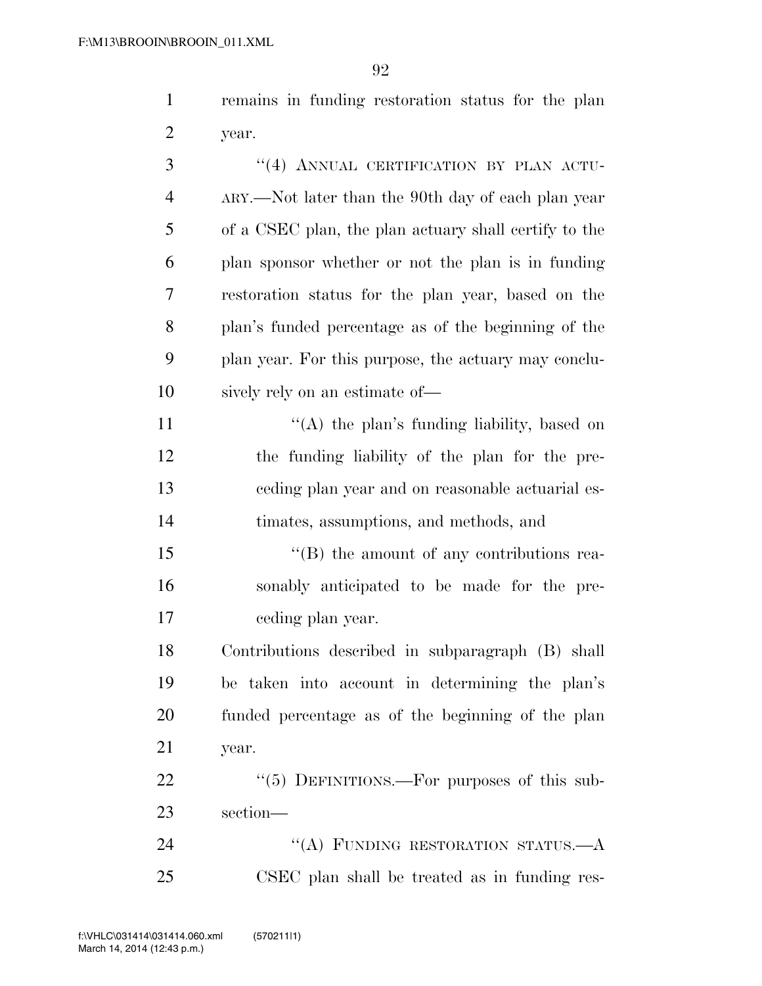remains in funding restoration status for the plan year.

3 "(4) ANNUAL CERTIFICATION BY PLAN ACTU- ARY.—Not later than the 90th day of each plan year of a CSEC plan, the plan actuary shall certify to the plan sponsor whether or not the plan is in funding restoration status for the plan year, based on the plan's funded percentage as of the beginning of the plan year. For this purpose, the actuary may conclu- sively rely on an estimate of—  $\langle (A)$  the plan's funding liability, based on the funding liability of the plan for the pre- ceding plan year and on reasonable actuarial es- timates, assumptions, and methods, and 15 "(B) the amount of any contributions rea- sonably anticipated to be made for the pre- ceding plan year. Contributions described in subparagraph (B) shall be taken into account in determining the plan's funded percentage as of the beginning of the plan year. 22 "(5) DEFINITIONS.—For purposes of this sub- section— 24 "(A) FUNDING RESTORATION STATUS.—A CSEC plan shall be treated as in funding res-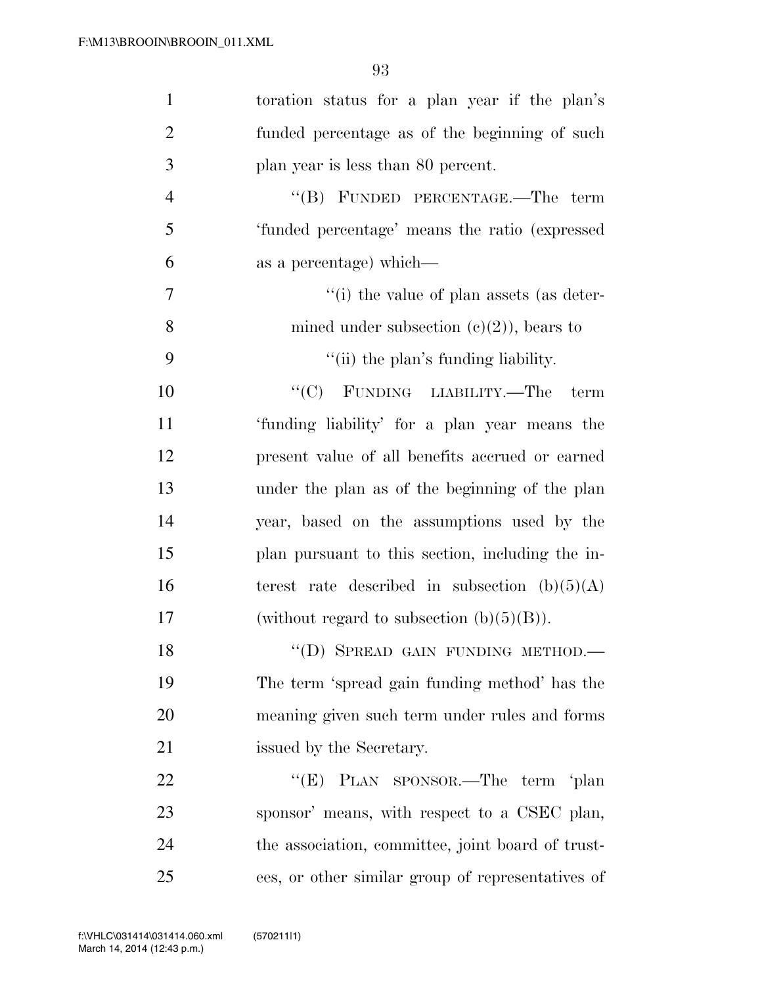| $\mathbf{1}$   | toration status for a plan year if the plan's     |
|----------------|---------------------------------------------------|
| $\overline{2}$ | funded percentage as of the beginning of such     |
| 3              | plan year is less than 80 percent.                |
| $\overline{4}$ | "(B) FUNDED PERCENTAGE.—The term                  |
| 5              | 'funded percentage' means the ratio (expressed    |
| 6              | as a percentage) which—                           |
| 7              | "(i) the value of plan assets (as deter-          |
| 8              | mined under subsection $(c)(2)$ , bears to        |
| 9              | "(ii) the plan's funding liability.               |
| 10             | "(C) FUNDING LIABILITY.—The<br>term               |
| 11             | 'funding liability' for a plan year means the     |
| 12             | present value of all benefits accrued or earned   |
| 13             | under the plan as of the beginning of the plan    |
| 14             | year, based on the assumptions used by the        |
| 15             | plan pursuant to this section, including the in-  |
| 16             | terest rate described in subsection $(b)(5)(A)$   |
| 17             | (without regard to subsection $(b)(5)(B)$ ).      |
| 18             | "(D) SPREAD GAIN FUNDING METHOD.-                 |
| 19             | The term 'spread gain funding method' has the     |
| 20             | meaning given such term under rules and forms     |
| 21             | issued by the Secretary.                          |
| 22             | "(E) PLAN SPONSOR.—The term 'plan                 |
| 23             | sponsor' means, with respect to a CSEC plan,      |
| 24             | the association, committee, joint board of trust- |
| 25             | ees, or other similar group of representatives of |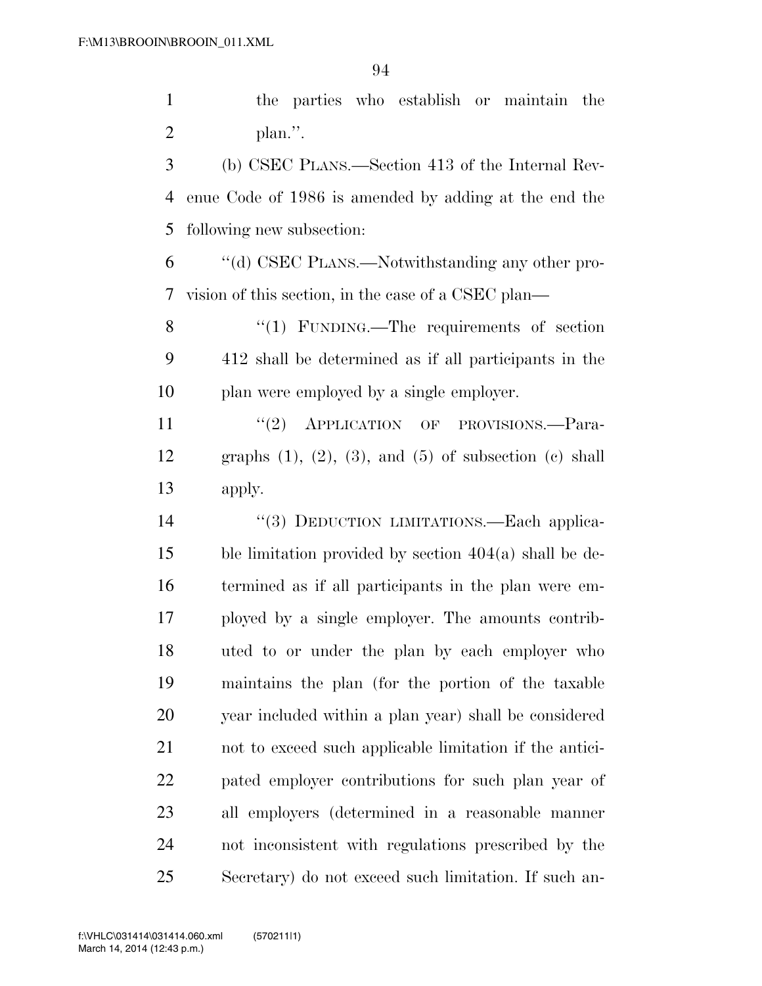the parties who establish or maintain the plan.''.

 (b) CSEC PLANS.—Section 413 of the Internal Rev- enue Code of 1986 is amended by adding at the end the following new subsection:

 ''(d) CSEC PLANS.—Notwithstanding any other pro-vision of this section, in the case of a CSEC plan—

8 "(1) FUNDING.—The requirements of section 412 shall be determined as if all participants in the plan were employed by a single employer.

11 "(2) APPLICATION OF PROVISIONS.—Para-12 graphs  $(1)$ ,  $(2)$ ,  $(3)$ , and  $(5)$  of subsection  $(e)$  shall apply.

14 "(3) DEDUCTION LIMITATIONS.—Each applica- ble limitation provided by section 404(a) shall be de- termined as if all participants in the plan were em- ployed by a single employer. The amounts contrib- uted to or under the plan by each employer who maintains the plan (for the portion of the taxable year included within a plan year) shall be considered not to exceed such applicable limitation if the antici- pated employer contributions for such plan year of all employers (determined in a reasonable manner not inconsistent with regulations prescribed by the Secretary) do not exceed such limitation. If such an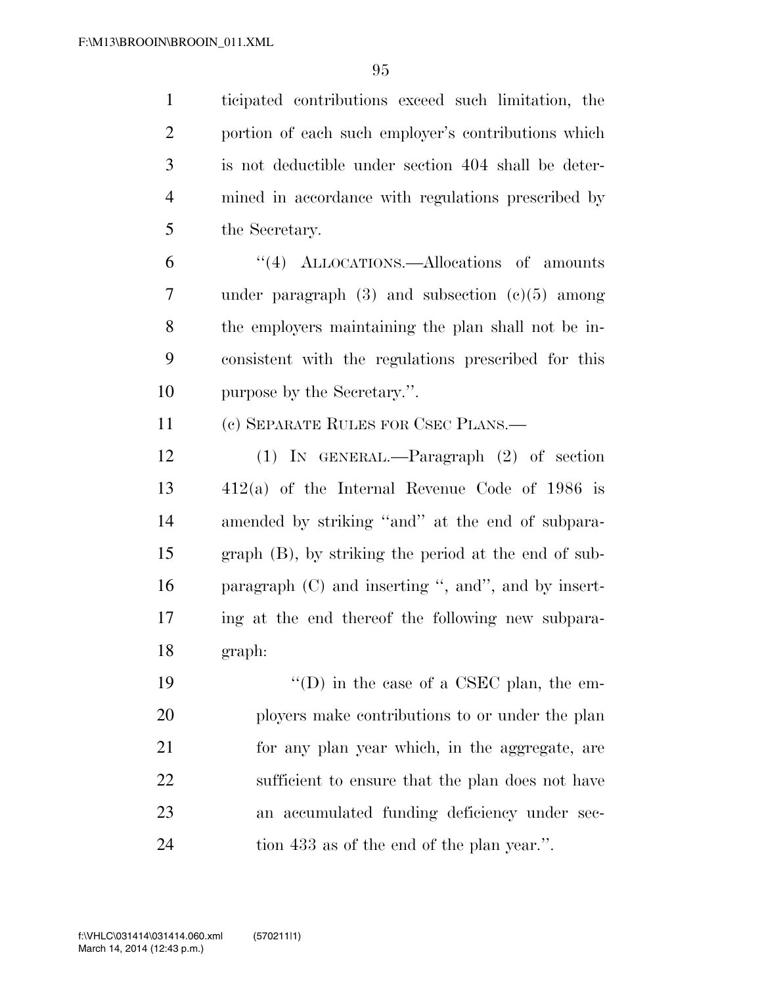ticipated contributions exceed such limitation, the portion of each such employer's contributions which is not deductible under section 404 shall be deter- mined in accordance with regulations prescribed by the Secretary.

 ''(4) ALLOCATIONS.—Allocations of amounts under paragraph (3) and subsection (c)(5) among the employers maintaining the plan shall not be in- consistent with the regulations prescribed for this purpose by the Secretary.''.

(c) SEPARATE RULES FOR CSEC PLANS.—

 (1) IN GENERAL.—Paragraph (2) of section 412(a) of the Internal Revenue Code of 1986 is amended by striking ''and'' at the end of subpara- graph (B), by striking the period at the end of sub- paragraph (C) and inserting '', and'', and by insert- ing at the end thereof the following new subpara-graph:

 ''(D) in the case of a CSEC plan, the em- ployers make contributions to or under the plan for any plan year which, in the aggregate, are sufficient to ensure that the plan does not have an accumulated funding deficiency under sec-tion 433 as of the end of the plan year.''.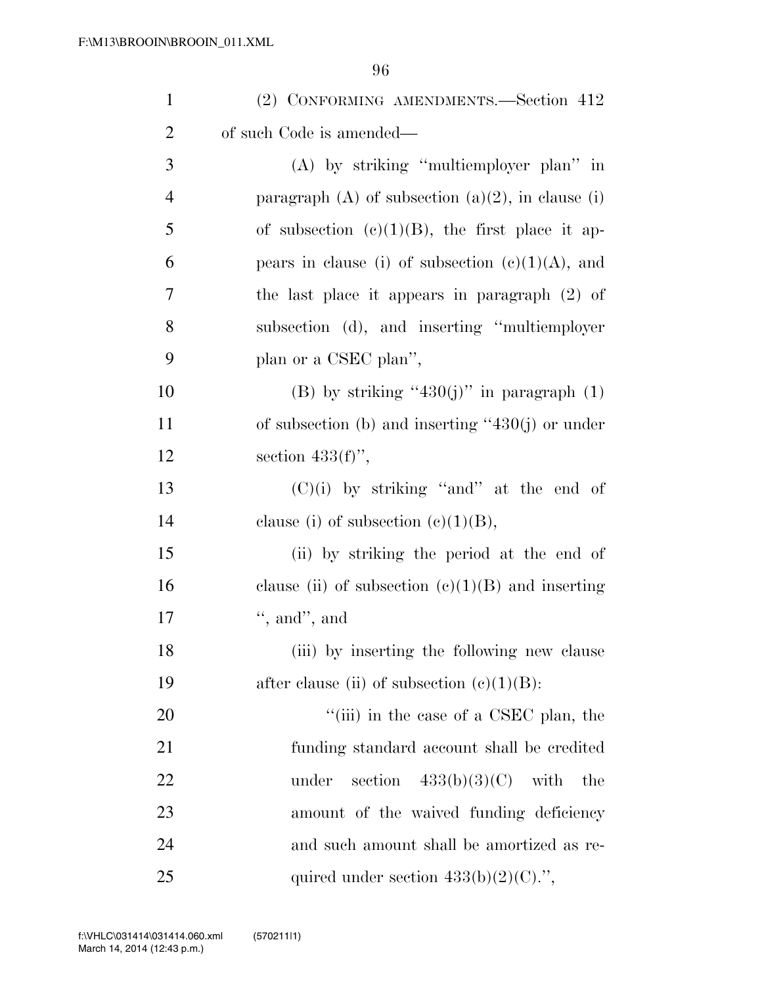| $\mathbf{1}$   | (2) CONFORMING AMENDMENTS.—Section 412               |
|----------------|------------------------------------------------------|
| $\overline{2}$ | of such Code is amended—                             |
| 3              | $(A)$ by striking "multiemployer plan" in            |
| $\overline{4}$ | paragraph (A) of subsection $(a)(2)$ , in clause (i) |
| 5              | of subsection $(e)(1)(B)$ , the first place it ap-   |
| 6              | pears in clause (i) of subsection $(c)(1)(A)$ , and  |
| 7              | the last place it appears in paragraph $(2)$ of      |
| 8              | subsection (d), and inserting "multiemployer"        |
| 9              | plan or a CSEC plan",                                |
| 10             | (B) by striking "430(j)" in paragraph $(1)$          |
| 11             | of subsection (b) and inserting " $430(j)$ or under  |
| 12             | section $433(f)$ ,                                   |
| 13             | $(C)(i)$ by striking "and" at the end of             |
| 14             | clause (i) of subsection $(c)(1)(B)$ ,               |
| 15             | (ii) by striking the period at the end of            |
| 16             | clause (ii) of subsection $(c)(1)(B)$ and inserting  |
| 17             | $\lq$ , and", and                                    |
| 18             | (iii) by inserting the following new clause          |
| 19             | after clause (ii) of subsection $(c)(1)(B)$ :        |
| 20             | "(iii) in the case of a CSEC plan, the               |
| 21             | funding standard account shall be credited           |
| 22             | section $433(b)(3)(C)$ with<br>under<br>the          |
| 23             | amount of the waived funding deficiency              |
| 24             | and such amount shall be amortized as re-            |
| 25             | quired under section $433(b)(2)(C)$ .",              |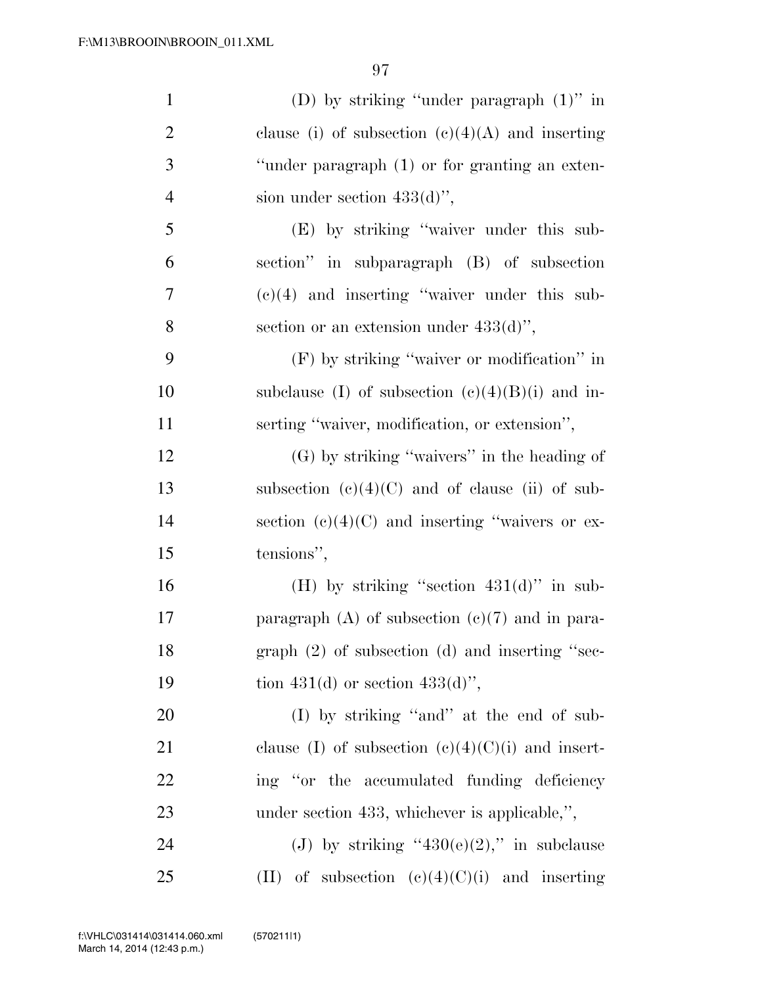| $\mathbf{1}$   | (D) by striking "under paragraph $(1)$ " in         |
|----------------|-----------------------------------------------------|
| $\overline{2}$ | clause (i) of subsection $(c)(4)(A)$ and inserting  |
| 3              | "under paragraph (1) or for granting an exten-      |
| $\overline{4}$ | sion under section $433(d)$ ",                      |
| 5              | (E) by striking "waiver under this sub-             |
| 6              | section" in subparagraph (B) of subsection          |
| 7              | $(e)(4)$ and inserting "waiver under this sub-      |
| 8              | section or an extension under $433(d)$ ",           |
| 9              | $(F)$ by striking "waiver or modification" in       |
| 10             | subclause (I) of subsection $(e)(4)(B)(i)$ and in-  |
| 11             | serting "waiver, modification, or extension",       |
| 12             | $(G)$ by striking "waivers" in the heading of       |
| 13             | subsection $(c)(4)(C)$ and of clause (ii) of sub-   |
| 14             | section $(e)(4)(C)$ and inserting "waivers or ex-   |
| 15             | tensions",                                          |
| 16             | (H) by striking "section $431(d)$ " in sub-         |
| 17             | paragraph $(A)$ of subsection $(e)(7)$ and in para- |
| 18             | graph $(2)$ of subsection $(d)$ and inserting "sec- |
| 19             | tion 431(d) or section 433(d)",                     |
| <b>20</b>      | (I) by striking "and" at the end of sub-            |
| 21             | clause (I) of subsection $(c)(4)(C)(i)$ and insert- |
| <u>22</u>      | ing "or the accumulated funding deficiency"         |
| 23             | under section 433, whichever is applicable,",       |
| 24             | (J) by striking "430(e)(2)," in subclause           |
| 25             | (II) of subsection $(e)(4)(C)(i)$ and inserting     |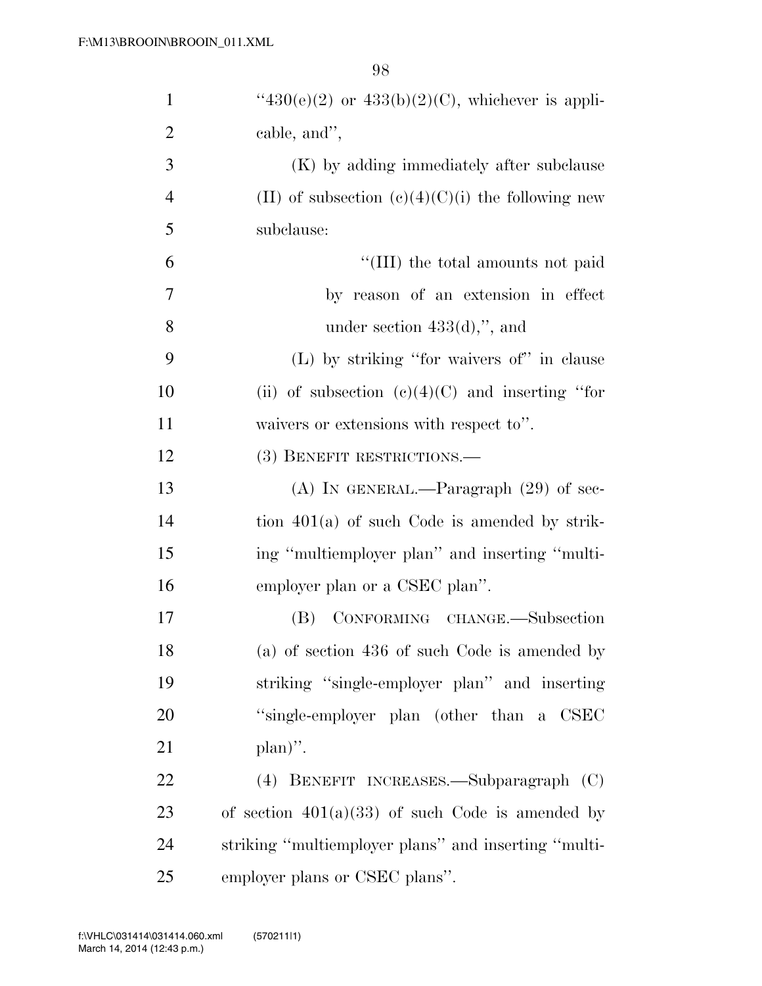| $\mathbf{1}$   | " $430(e)(2)$ or $433(b)(2)(C)$ , whichever is appli- |
|----------------|-------------------------------------------------------|
| $\overline{2}$ | cable, and",                                          |
| 3              | (K) by adding immediately after subclause             |
| $\overline{4}$ | (II) of subsection $(c)(4)(C)(i)$ the following new   |
| 5              | subclause:                                            |
| 6              | "(III) the total amounts not paid                     |
| $\overline{7}$ | by reason of an extension in effect                   |
| 8              | under section $433(d)$ ,", and                        |
| 9              | $(L)$ by striking "for waivers of" in clause          |
| 10             | (ii) of subsection $(e)(4)(C)$ and inserting "for     |
| 11             | waivers or extensions with respect to".               |
| 12             | (3) BENEFIT RESTRICTIONS.-                            |
| 13             | $(A)$ IN GENERAL.—Paragraph $(29)$ of sec-            |
| 14             | tion $401(a)$ of such Code is amended by strik-       |
| 15             | ing "multiemployer plan" and inserting "multi-        |
| 16             | employer plan or a CSEC plan".                        |
| 17             | CONFORMING CHANGE.-Subsection<br>(B)                  |
| 18             | (a) of section 436 of such Code is amended by         |
| 19             | striking "single-employer plan" and inserting         |
| 20             | "single-employer plan (other than a CSEC              |
| 21             | $plan)$ ".                                            |
| 22             | (4) BENEFIT INCREASES.—Subparagraph (C)               |
| 23             | of section $401(a)(33)$ of such Code is amended by    |
| 24             | striking "multiemployer plans" and inserting "multi-  |
| 25             | employer plans or CSEC plans".                        |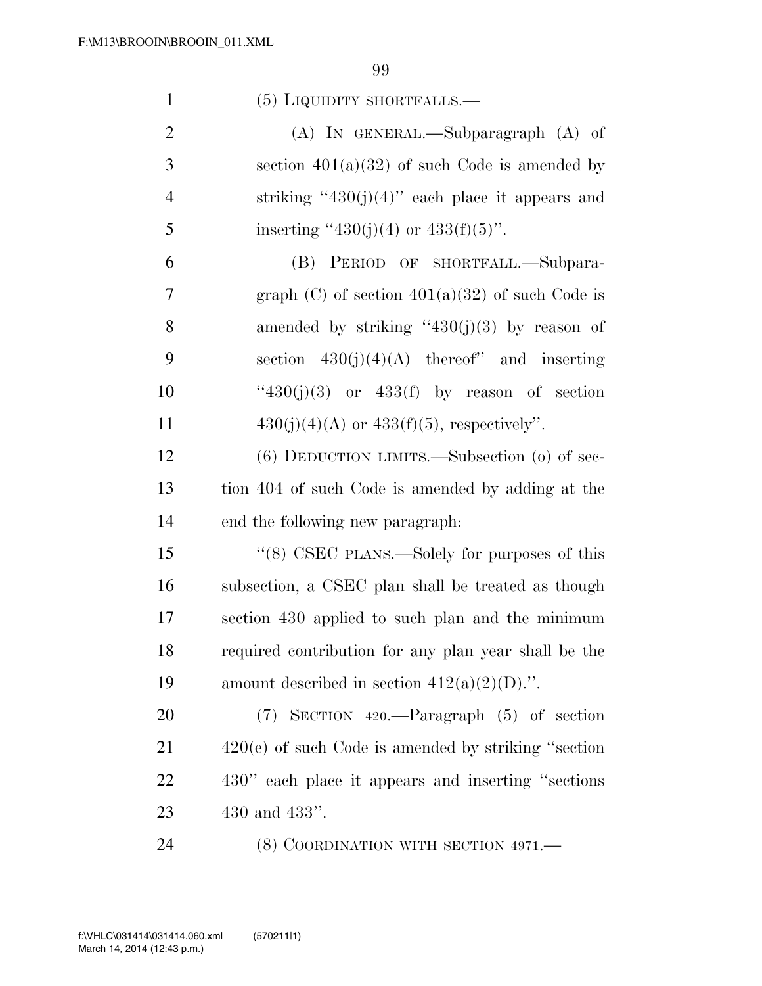| $\mathbf{1}$   | $(5)$ LIQUIDITY SHORTFALLS.—                           |
|----------------|--------------------------------------------------------|
| $\overline{2}$ | $(A)$ In GENERAL.—Subparagraph $(A)$ of                |
| 3              | section $401(a)(32)$ of such Code is amended by        |
| $\overline{4}$ | striking "430(j)(4)" each place it appears and         |
| 5              | inserting "430(j)(4) or 433(f)(5)".                    |
| 6              | (B) PERIOD OF SHORTFALL.—Subpara-                      |
| 7              | graph $(C)$ of section $401(a)(32)$ of such Code is    |
| 8              | amended by striking " $430(j)(3)$ by reason of         |
| 9              | section $430(j)(4)(A)$ thereof" and inserting          |
| 10             | " $430(j)(3)$ or $433(f)$ by reason of section         |
| 11             | $430(j)(4)(A)$ or $433(f)(5)$ , respectively".         |
| 12             | $(6)$ DEDUCTION LIMITS.—Subsection $(0)$ of sec-       |
| 13             | tion 404 of such Code is amended by adding at the      |
| 14             | end the following new paragraph:                       |
| 15             | "(8) CSEC PLANS.—Solely for purposes of this           |
| 16             | subsection, a CSEC plan shall be treated as though     |
| 17             | section 430 applied to such plan and the minimum       |
| 18             | required contribution for any plan year shall be the   |
| 19             | amount described in section $412(a)(2)(D)$ .".         |
| 20             | $(7)$ SECTION 420.—Paragraph $(5)$ of section          |
| 21             | $420(e)$ of such Code is amended by striking "section" |
| 22             | 430" each place it appears and inserting "sections"    |
| 23             | 430 and $433"$ .                                       |
| 24             | (8) COORDINATION WITH SECTION 4971.—                   |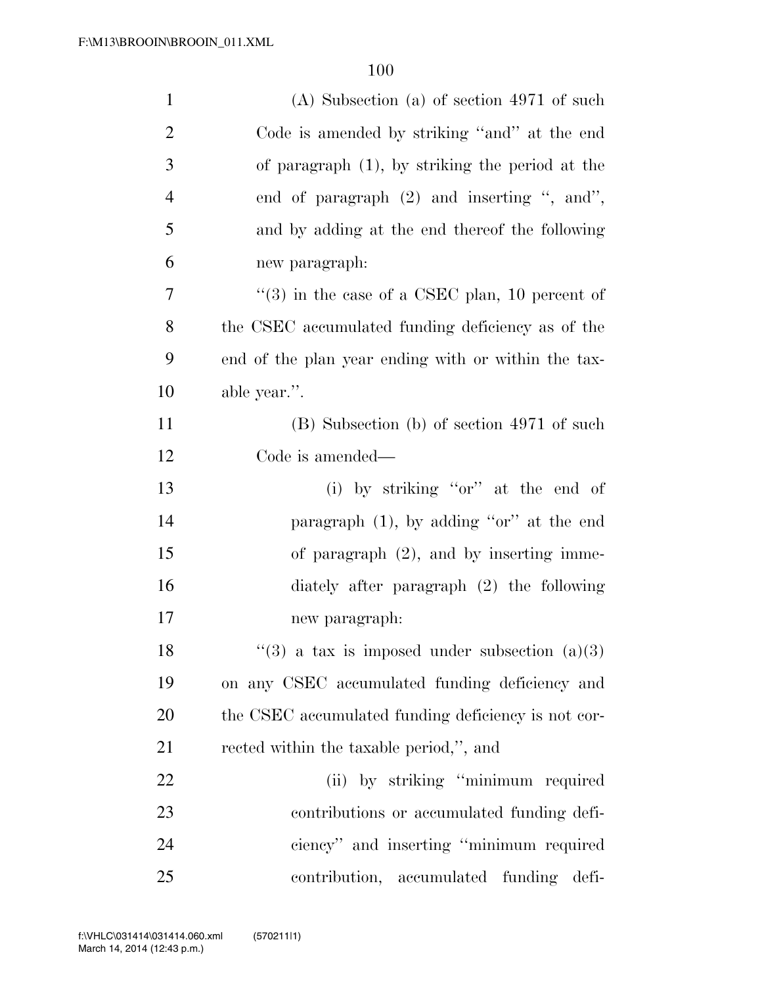| $\mathbf{1}$   | $(A)$ Subsection $(a)$ of section 4971 of such             |
|----------------|------------------------------------------------------------|
| $\overline{2}$ | Code is amended by striking "and" at the end               |
| 3              | of paragraph $(1)$ , by striking the period at the         |
| $\overline{4}$ | end of paragraph $(2)$ and inserting ", and",              |
| 5              | and by adding at the end thereof the following             |
| 6              | new paragraph:                                             |
| 7              | $\cdot\cdot$ (3) in the case of a CSEC plan, 10 percent of |
| $8\,$          | the CSEC accumulated funding deficiency as of the          |
| 9              | end of the plan year ending with or within the tax-        |
| 10             | able year.".                                               |
| 11             | (B) Subsection (b) of section 4971 of such                 |
| 12             | Code is amended—                                           |
| 13             | (i) by striking "or" at the end of                         |
| 14             | paragraph $(1)$ , by adding "or" at the end                |
| 15             | of paragraph $(2)$ , and by inserting imme-                |
| 16             | diately after paragraph $(2)$ the following                |
| 17             | new paragraph:                                             |
| 18             | "(3) a tax is imposed under subsection $(a)(3)$            |
| 19             | on any CSEC accumulated funding deficiency and             |
| 20             | the CSEC accumulated funding deficiency is not cor-        |
| 21             | rected within the taxable period,", and                    |
| 22             | (ii) by striking "minimum required                         |
| 23             | contributions or accumulated funding defi-                 |
| 24             | ciency" and inserting "minimum required                    |
| 25             | contribution, accumulated funding<br>defi-                 |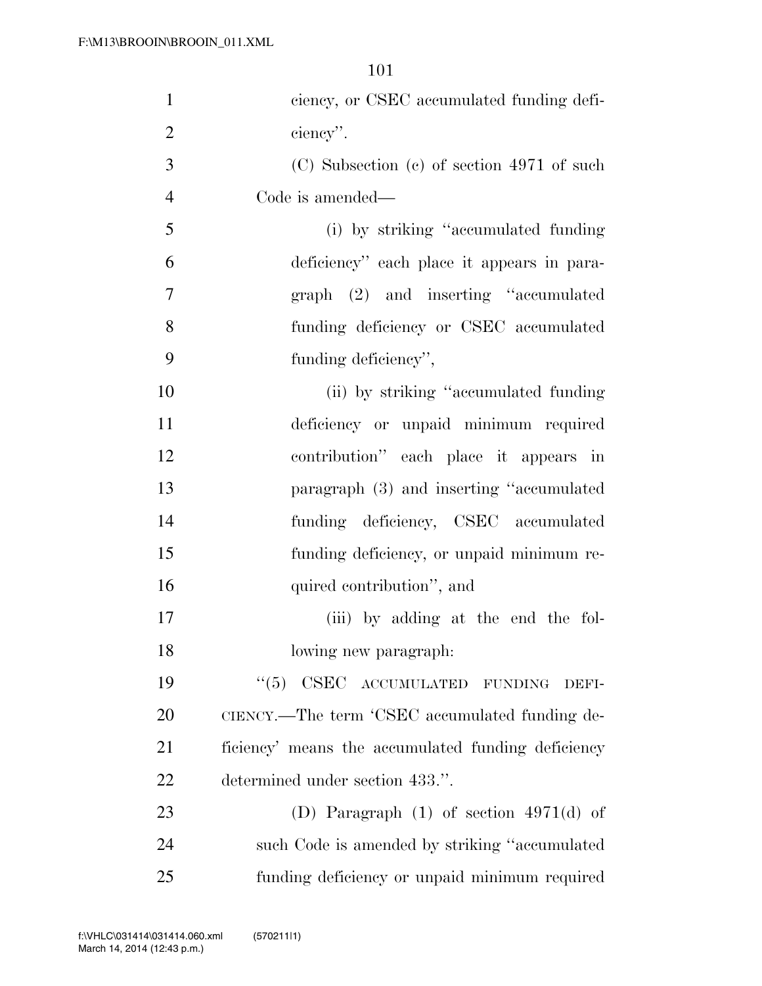| $\mathbf{1}$   | ciency, or CSEC accumulated funding defi-          |
|----------------|----------------------------------------------------|
| $\overline{2}$ | ciency".                                           |
| 3              | $(C)$ Subsection $(e)$ of section 4971 of such     |
| $\overline{4}$ | Code is amended—                                   |
| 5              | (i) by striking "accumulated funding"              |
| 6              | deficiency" each place it appears in para-         |
| $\tau$         | graph (2) and inserting "accumulated               |
| 8              | funding deficiency or CSEC accumulated             |
| 9              | funding deficiency",                               |
| 10             | (ii) by striking "accumulated funding              |
| 11             | deficiency or unpaid minimum required              |
| 12             | contribution" each place it appears in             |
| 13             | paragraph (3) and inserting "accumulated           |
| 14             | funding deficiency, CSEC accumulated               |
| 15             | funding deficiency, or unpaid minimum re-          |
| 16             | quired contribution", and                          |
| 17             | (iii) by adding at the end the fol-                |
| 18             | lowing new paragraph:                              |
| 19             | "(5) CSEC ACCUMULATED FUNDING<br>DEFI-             |
| 20             | CIENCY.—The term 'CSEC accumulated funding de-     |
| 21             | ficiency' means the accumulated funding deficiency |
| 22             | determined under section 433.".                    |
| 23             | (D) Paragraph $(1)$ of section 4971 $(d)$ of       |
| 24             | such Code is amended by striking "accumulated      |
| 25             | funding deficiency or unpaid minimum required      |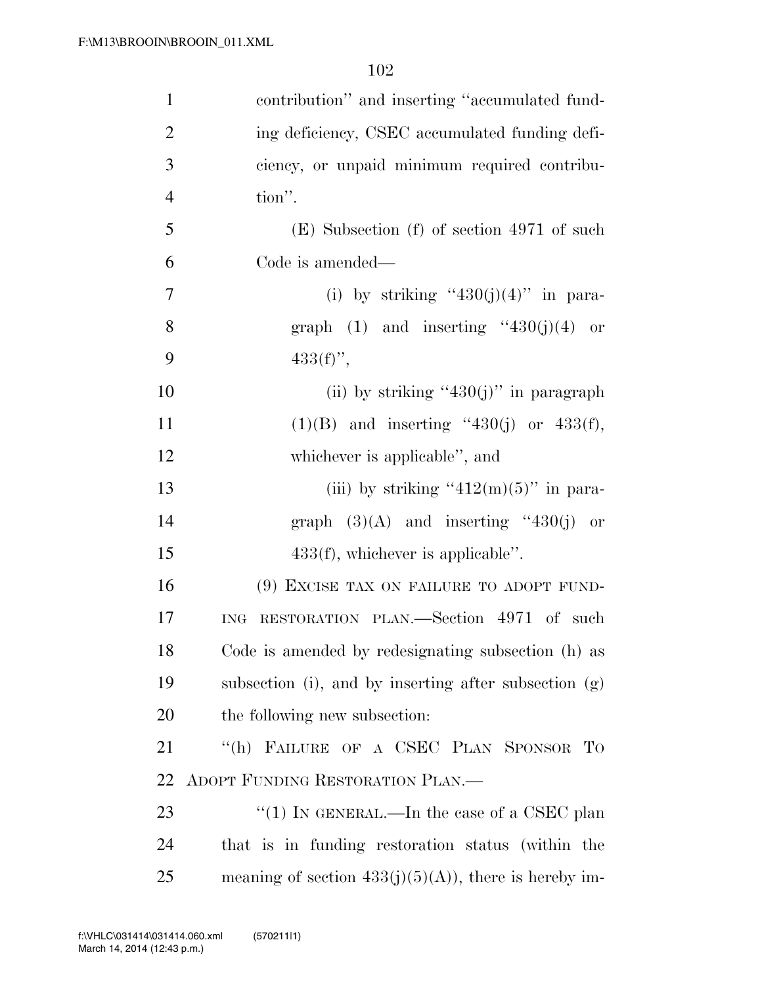| $\mathbf{1}$   | contribution" and inserting "accumulated fund-          |
|----------------|---------------------------------------------------------|
| $\overline{2}$ | ing deficiency, CSEC accumulated funding defi-          |
| 3              | ciency, or unpaid minimum required contribu-            |
| $\overline{4}$ | tion".                                                  |
| 5              | $(E)$ Subsection $(f)$ of section 4971 of such          |
| 6              | Code is amended—                                        |
| $\overline{7}$ | (i) by striking "430(j)(4)" in para-                    |
| 8              | graph $(1)$ and inserting "430(j)(4) or                 |
| 9              | $433(f)$ ,                                              |
| 10             | (ii) by striking "430(j)" in paragraph                  |
| 11             | $(1)(B)$ and inserting "430(j) or 433(f),               |
| 12             | whichever is applicable", and                           |
| 13             | (iii) by striking " $412(m)(5)$ " in para-              |
| 14             | graph $(3)(A)$ and inserting "430(j) or                 |
| 15             | $433(f)$ , whichever is applicable".                    |
| 16             | (9) EXCISE TAX ON FAILURE TO ADOPT FUND-                |
| 17             | RESTORATION PLAN.—Section 4971 of such<br>ING           |
| 18             | Code is amended by redesignating subsection (h) as      |
| 19             | subsection (i), and by inserting after subsection (g)   |
| 20             | the following new subsection:                           |
| 21             | "(h) FAILURE OF A CSEC PLAN SPONSOR TO                  |
| 22             | ADOPT FUNDING RESTORATION PLAN.                         |
| 23             | "(1) IN GENERAL.—In the case of a CSEC plan             |
| 24             | that is in funding restoration status (within the       |
| 25             | meaning of section $433(j)(5)(A)$ , there is hereby im- |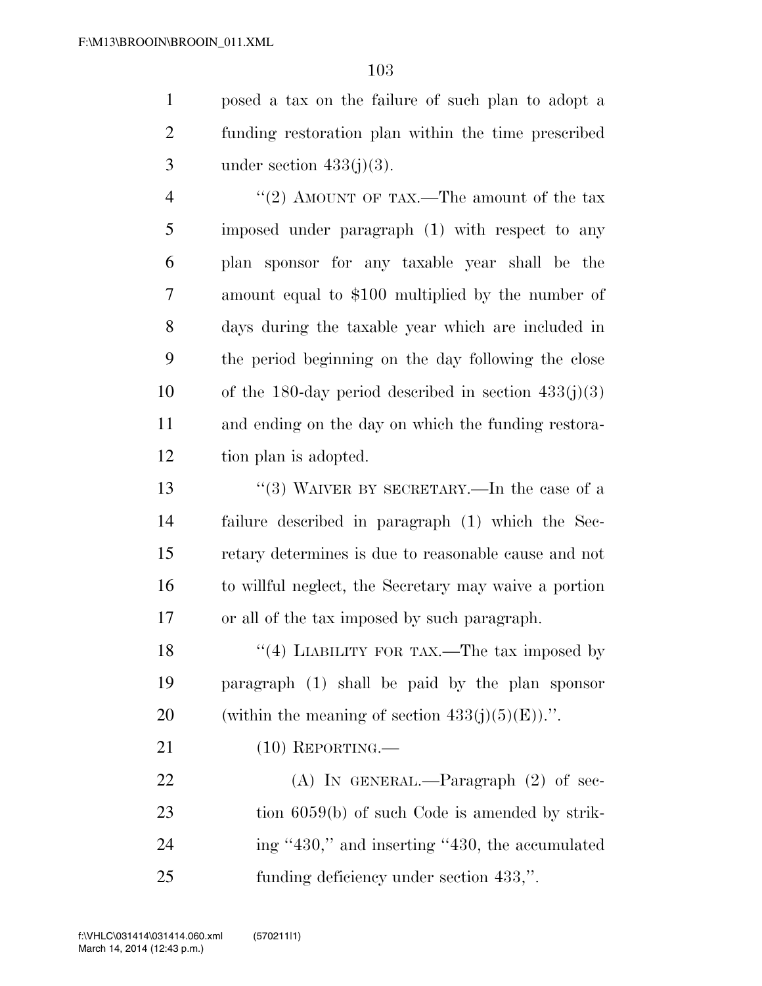posed a tax on the failure of such plan to adopt a funding restoration plan within the time prescribed 3 under section  $433(j)(3)$ .

4 ''(2) AMOUNT OF TAX.—The amount of the tax imposed under paragraph (1) with respect to any plan sponsor for any taxable year shall be the amount equal to \$100 multiplied by the number of days during the taxable year which are included in the period beginning on the day following the close 10 of the 180-day period described in section  $433(j)(3)$  and ending on the day on which the funding restora-tion plan is adopted.

 ''(3) WAIVER BY SECRETARY.—In the case of a failure described in paragraph (1) which the Sec- retary determines is due to reasonable cause and not to willful neglect, the Secretary may waive a portion or all of the tax imposed by such paragraph.

18 ''(4) LIABILITY FOR TAX.—The tax imposed by paragraph (1) shall be paid by the plan sponsor 20 (within the meaning of section  $433(i)(5)(E)$ ).".

(10) REPORTING.—

22 (A) IN GENERAL.—Paragraph (2) of sec-23 tion 6059(b) of such Code is amended by strik- ing ''430,'' and inserting ''430, the accumulated funding deficiency under section 433,''.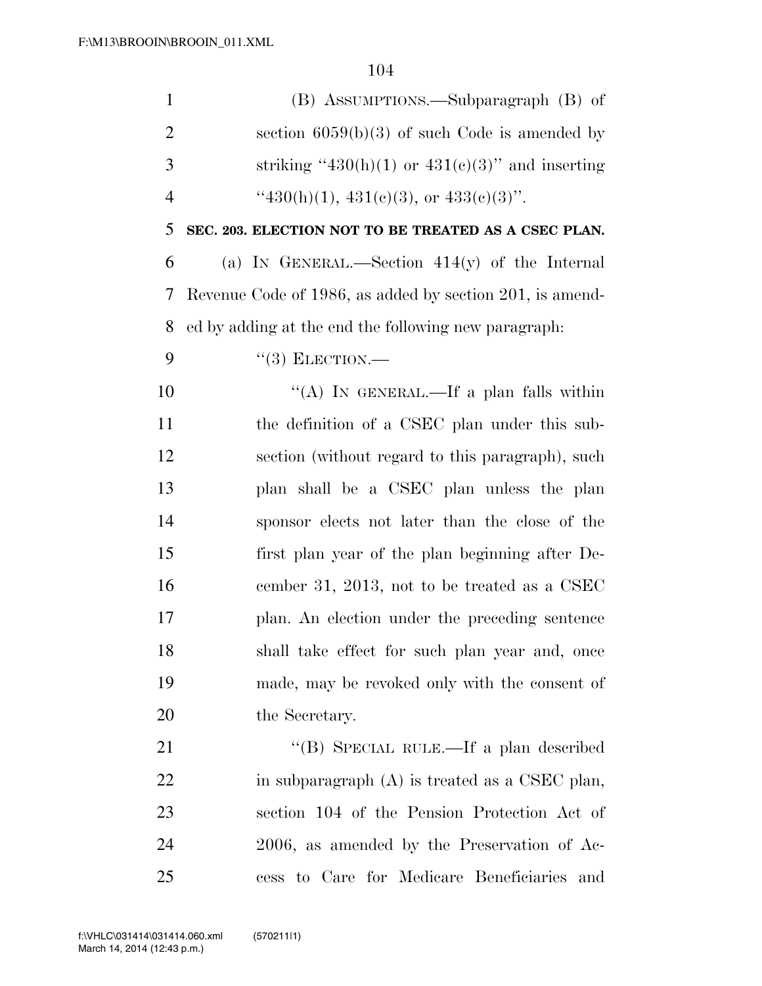| $\mathbf{1}$   | (B) ASSUMPTIONS.—Subparagraph (B) of                     |
|----------------|----------------------------------------------------------|
| $\overline{2}$ | section $6059(b)(3)$ of such Code is amended by          |
| 3              | striking "430(h)(1) or 431(e)(3)" and inserting          |
| $\overline{4}$ | " $430(h)(1)$ , $431(e)(3)$ , or $433(e)(3)$ ".          |
| 5              | SEC. 203. ELECTION NOT TO BE TREATED AS A CSEC PLAN.     |
| 6              | (a) IN GENERAL.—Section $414(y)$ of the Internal         |
| 7              | Revenue Code of 1986, as added by section 201, is amend- |
| 8              | ed by adding at the end the following new paragraph.     |
| 9              | $``(3)$ ELECTION.—                                       |
| 10             | "(A) IN GENERAL.—If a plan falls within                  |
| 11             | the definition of a CSEC plan under this sub-            |
| 12             | section (without regard to this paragraph), such         |
| 13             | plan shall be a CSEC plan unless the plan                |
| 14             | sponsor elects not later than the close of the           |
| 15             | first plan year of the plan beginning after De-          |
| 16             | cember 31, 2013, not to be treated as a CSEC             |
| 17             | plan. An election under the preceding sentence           |
| 18             | shall take effect for such plan year and, once           |
| 19             | made, may be revoked only with the consent of            |
| 20             | the Secretary.                                           |
| 21             | "(B) SPECIAL RULE.—If a plan described                   |
| 22             | in subparagraph $(A)$ is treated as a CSEC plan,         |
| 23             | section 104 of the Pension Protection Act of             |
| 24             | 2006, as amended by the Preservation of Ac-              |
| 25             | cess to Care for Medicare Beneficiaries and              |